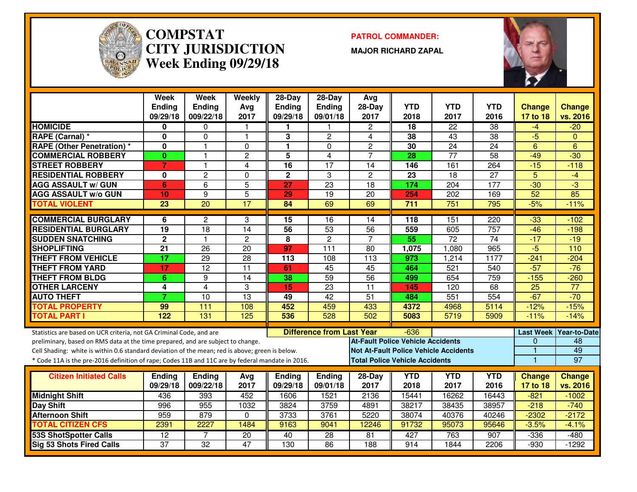

#### **COMPSTAT PATROL COMMANDER: CITY JURISDICTIONWeek Ending 09/29/18**

**MAJOR RICHARD ZAPAL**



|                                                                                                  | <b>Week</b>     | <b>Week</b>          | Weekly          | $28 - Day$    | $28-Day$                         | Avg                                      |            |                                              |                  |                  |                     |
|--------------------------------------------------------------------------------------------------|-----------------|----------------------|-----------------|---------------|----------------------------------|------------------------------------------|------------|----------------------------------------------|------------------|------------------|---------------------|
|                                                                                                  | <b>Ending</b>   | <b>Ending</b>        | Avg             | <b>Ending</b> | Ending                           | 28-Day                                   | <b>YTD</b> | <b>YTD</b>                                   | <b>YTD</b>       | <b>Change</b>    | <b>Change</b>       |
|                                                                                                  | 09/29/18        | 009/22/18            | 2017            | 09/29/18      | 09/01/18                         | 2017                                     | 2018       | 2017                                         | 2016             | 17 to 18         | vs. 2016            |
| <b>HOMICIDE</b>                                                                                  | 0               | $\mathbf{0}$         |                 |               |                                  | $\overline{c}$                           | 18         | $\overline{22}$                              | $\overline{38}$  | -4               | $-20$               |
| RAPE (Carnal) *                                                                                  | 0               | $\mathbf 0$          | 1               | 3             | $\overline{2}$                   | 4                                        | 38         | 43                                           | $\overline{38}$  | $-5$             | $\Omega$            |
| <b>RAPE (Other Penetration) *</b>                                                                | $\mathbf{0}$    | $\overline{1}$       | $\Omega$        | 1             | $\Omega$                         | $\overline{2}$                           | 30         | $\overline{24}$                              | $\overline{24}$  | 6                | $\overline{6}$      |
| <b>COMMERCIAL ROBBERY</b>                                                                        | $\mathbf{0}$    | $\blacktriangleleft$ | $\overline{c}$  | 5             | $\overline{4}$                   | $\overline{7}$                           | 28         | $\overline{77}$                              | 58               | $-49$            | $-30$               |
| <b>STREET ROBBERY</b>                                                                            | $\overline{7}$  | 1                    | 4               | 16            | 17                               | 14                                       | 146        | 161                                          | 264              | $-15$            | $-118$              |
| <b>RESIDENTIAL ROBBERY</b>                                                                       | 0               | $\overline{c}$       | 0               | $\mathbf 2$   | 3                                | $\overline{c}$                           | 23         | 18                                           | 27               | 5                | $-4$                |
| <b>AGG ASSAULT w/ GUN</b>                                                                        | 6               | 6                    | 5               | 27            | 23                               | 18                                       | 174        | 204                                          | 177              | $-30$            | لى.<br>ا            |
| <b>AGG ASSAULT w/o GUN</b>                                                                       | 10              | 9                    | $\overline{5}$  | 29            | 19                               | 20                                       | 254        | 202                                          | 169              | $\overline{52}$  | 85                  |
| <b>TOTAL VIOLENT</b>                                                                             | $\overline{23}$ | $\overline{20}$      | $\overline{17}$ | 84            | 69                               | 69                                       | 711        | $\overline{751}$                             | 795              | $-5%$            | $-11%$              |
| <b>COMMERCIAL BURGLARY</b>                                                                       | 6               | $\overline{2}$       | 3               | 15            | $\overline{16}$                  | 14                                       | 118        | 151                                          | 220              | $-33$            | $-102$              |
| <b>RESIDENTIAL BURGLARY</b>                                                                      | $\overline{19}$ | $\overline{18}$      | $\overline{14}$ | 56            | 53                               | 56                                       | 559        | 605                                          | $\overline{757}$ | $-46$            | $-198$              |
| <b>SUDDEN SNATCHING</b>                                                                          | $\overline{2}$  | $\mathbf{1}$         | $\mathbf{2}$    | 8             | $\overline{2}$                   | $\overline{7}$                           | 55         | $\overline{72}$                              | $\overline{74}$  | $-17$            | $-19$               |
| <b>SHOPLIFTING</b>                                                                               | 21              | 26                   | 20              | 97            | 111                              | 80                                       | 1,075      | 1,080                                        | 965              | $\overline{5}$   | 110                 |
| <b>THEFT FROM VEHICLE</b>                                                                        | $\overline{17}$ | 29                   | $\overline{28}$ | 113           | 108                              | 113                                      | 973        | 1,214                                        | 1177             | $-241$           | $-204$              |
| <b>THEFT FROM YARD</b>                                                                           | 17              | $\overline{12}$      | $\overline{11}$ | 61            | 45                               | 45                                       | 464        | 521                                          | $\overline{540}$ | $-57$            | $-76$               |
| <b>THEFT FROM BLDG</b>                                                                           | 6               | 9                    | $\overline{14}$ | 38            | 59                               | 56                                       | 499        | 654                                          | 759              | $-155$           | $-260$              |
| <b>OTHER LARCENY</b>                                                                             | 4               | $\overline{4}$       | 3               | 15            | $\overline{23}$                  | $\overline{11}$                          | 145        | 120                                          | 68               | $\overline{25}$  | $\overline{77}$     |
| <b>AUTO THEFT</b>                                                                                | $\overline{7}$  | $\overline{10}$      | $\overline{13}$ | 49            | 42                               | $\overline{51}$                          | 484        | 551                                          | 554              | $-67$            | $-70$               |
| <b>TOTAL PROPERTY</b>                                                                            | 99              | 111                  | 108             | 452           | 459                              | 433                                      | 4372       | 4968                                         | 5114             | $-12%$           | $-15%$              |
| <b>TOTAL PART I</b>                                                                              | 122             | 131                  | 125             | 536           | 528                              | 502                                      | 5083       | 5719                                         | 5909             | $-11%$           | $-14%$              |
| Statistics are based on UCR criteria, not GA Criminal Code, and are                              |                 |                      |                 |               | <b>Difference from Last Year</b> |                                          | $-636$     |                                              |                  | <b>Last Week</b> | <b>Year-to-Date</b> |
| preliminary, based on RMS data at the time prepared, and are subject to change.                  |                 |                      |                 |               |                                  | <b>At-Fault Police Vehicle Accidents</b> |            |                                              |                  | $\Omega$         | 48                  |
| Cell Shading: white is within 0.6 standard deviation of the mean; red is above; green is below.  |                 |                      |                 |               |                                  |                                          |            | <b>Not At-Fault Police Vehicle Accidents</b> |                  |                  | 49                  |
| * Code 11A is the pre-2016 definition of rape; Codes 11B and 11C are by federal mandate in 2016. |                 |                      |                 |               |                                  | <b>Total Police Vehicle Accidents</b>    |            |                                              |                  | $\mathbf{1}$     | $\overline{97}$     |
| <b>Citizen Initiated Calls</b>                                                                   | <b>Endina</b>   | Ending               | Avg             | Ending        | Ending                           | 28-Day                                   | <b>YTD</b> | <b>YTD</b>                                   | <b>YTD</b>       | <b>Change</b>    | <b>Change</b>       |
|                                                                                                  | 09/29/18        | 009/22/18            | 2017            | 09/29/18      | 09/01/18                         | 2017                                     | 2018       | 2017                                         | 2016             | 17 to 18         | vs. 2016            |
| <b>Midnight Shift</b>                                                                            | 436             | 393                  | 452             | 1606          | 1521                             | 2136                                     | 15441      | 16262                                        | 16443            | $-821$           | $-1002$             |
| <b>Day Shift</b>                                                                                 | 996             | 955                  | 1032            | 3824          | 3759                             | 4891                                     | 38217      | 38435                                        | 38957            | $-218$           | $-740$              |
| <b>Afternoon Shift</b>                                                                           | 959             | 879                  | $\Omega$        | 3733          | 3761                             | 5220                                     | 38074      | 40376                                        | 40246            | $-2302$          | $-2172$             |
| <b>TOTAL CITIZEN CFS</b>                                                                         | 2391            | 2227                 | 1484            | 9163          | 9041                             | 12246                                    | 91732      | 95073                                        | 95646            | $-3.5%$          | $-4.1%$             |
| <b>53S ShotSpotter Calls</b>                                                                     | $\overline{12}$ | $\overline{7}$       | $\overline{20}$ | 40            | 28                               | 81                                       | 427        | 763                                          | 907              | $-336$           | $-480$              |
| <b>Sig 53 Shots Fired Calls</b>                                                                  | $\overline{37}$ | $\overline{32}$      | 47              | 130           | $\overline{86}$                  | 188                                      | 914        | 1844                                         | 2206             | $-930$           | $-1292$             |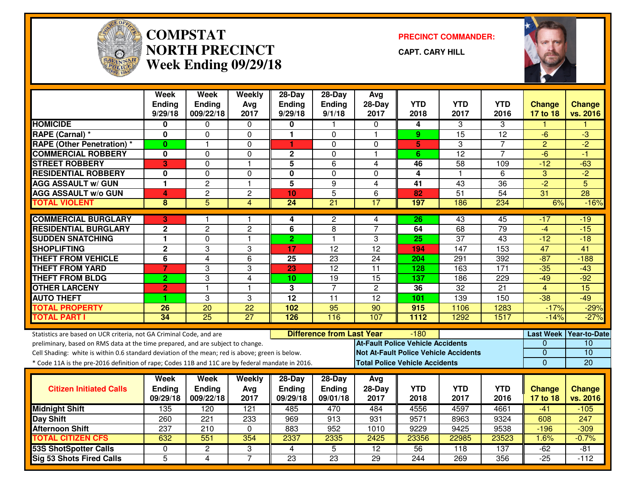

#### **COMPSTAT PRECINCT COMMANDER: NORTH PRECINCTWeek Ending 09/29/18**

**CAPT. CARY HILL**



|                                                                                                  | Week<br><b>Ending</b><br>9/29/18 | Week<br><b>Ending</b><br>009/22/18 | Weekly<br>Avg<br>2017 | 28-Day<br><b>Ending</b><br>9/29/18 | 28-Day<br>Ending<br>9/1/18       | Avg<br>$28-Day$<br>2017                  | <b>YTD</b><br>2018 | <b>YTD</b><br>2017 | <b>YTD</b><br>2016 | <b>Change</b><br>17 to 18 | <b>Change</b><br>vs. 2016 |
|--------------------------------------------------------------------------------------------------|----------------------------------|------------------------------------|-----------------------|------------------------------------|----------------------------------|------------------------------------------|--------------------|--------------------|--------------------|---------------------------|---------------------------|
| <b>HOMICIDE</b>                                                                                  | 0                                | $\Omega$                           | $\mathbf{0}$          | 0                                  | $\mathbf{1}$                     | $\Omega$                                 | 4                  | 3                  | 3                  | 1                         | 1                         |
| RAPE (Carnal) *                                                                                  | 0                                | $\Omega$                           | 0                     | $\mathbf{1}$                       | $\Omega$                         | $\overline{1}$                           | 9                  | 15                 | $\overline{12}$    | -6                        | $\overline{\omega}$       |
| <b>RAPE (Other Penetration) *</b>                                                                | $\mathbf{0}$                     | $\mathbf{1}$                       | 0                     | $\blacktriangleleft$               | $\Omega$                         | 0                                        | 5                  | 3                  | 7                  | $\overline{2}$            | $-2$                      |
| <b>COMMERCIAL ROBBERY</b>                                                                        | 0                                | $\Omega$                           | 0                     | $\mathbf 2$                        | $\mathbf 0$                      | $\overline{1}$                           | 6                  | $\overline{12}$    | $\overline{7}$     | -6                        | -1                        |
| <b>STREET ROBBERY</b>                                                                            | 3                                | $\Omega$                           | 1                     | 5                                  | $6\phantom{1}6$                  | 4                                        | 46                 | 58                 | 109                | $-12$                     | $-63$                     |
| <b>RESIDENTIAL ROBBERY</b>                                                                       | 0                                | 0                                  | $\Omega$              | $\mathbf 0$                        | $\mathbf 0$                      | $\Omega$                                 | 4                  | $\mathbf{1}$       | 6                  | 3                         | $-2$                      |
| <b>AGG ASSAULT w/ GUN</b>                                                                        | 1                                | $\overline{c}$                     | $\mathbf{1}$          | 5                                  | 9                                | 4                                        | $\overline{41}$    | $\overline{43}$    | $\overline{36}$    | $-2$                      | 5                         |
| <b>AGG ASSAULT w/o GUN</b>                                                                       | 4                                | $\overline{c}$                     | $\mathbf{2}$          | 10                                 | $\overline{5}$                   | 6                                        | 82                 | 51                 | $\overline{54}$    | 31                        | $\overline{28}$           |
| <b>TOTAL VIOLENT</b>                                                                             | 8                                | 5                                  | $\overline{4}$        | $\overline{24}$                    | $\overline{21}$                  | 17                                       | 197                | 186                | 234                | 6%                        | $-16%$                    |
| <b>COMMERCIAL BURGLARY</b>                                                                       | 3                                | 1                                  | 1                     | 4                                  | $\overline{c}$                   | 4                                        | $\overline{26}$    | 43                 | 45                 | -17                       | -19                       |
| <b>RESIDENTIAL BURGLARY</b>                                                                      | $\mathbf 2$                      | $\overline{2}$                     | $\overline{c}$        | 6                                  | 8                                | $\overline{7}$                           | 64                 | 68                 | 79                 | $-4$                      | $-15$                     |
| <b>SUDDEN SNATCHING</b>                                                                          | 1                                | 0                                  | $\mathbf{1}$          | $\overline{2}$                     | $\mathbf{1}$                     | 3                                        | 25                 | $\overline{37}$    | 43                 | $-12$                     | $-18$                     |
| <b>SHOPLIFTING</b>                                                                               | $\mathbf 2$                      | 3                                  | 3                     | 17                                 | $\overline{12}$                  | $\overline{12}$                          | 194                | 147                | 153                | 47                        | 41                        |
| <b>THEFT FROM VEHICLE</b>                                                                        | 6                                | $\overline{4}$                     | 6                     | 25                                 | 23                               | 24                                       | 204                | 291                | 392                | $-87$                     | $-188$                    |
| <b>THEFT FROM YARD</b>                                                                           | $\overline{7}$                   | 3                                  | 3                     | 23                                 | $\overline{12}$                  | $\overline{11}$                          | 128                | 163                | 171                | $-35$                     | $-43$                     |
| <b>THEFT FROM BLDG</b>                                                                           | $\overline{2}$                   | 3                                  | 4                     | $\overline{10}$                    | 19                               | 15                                       | $\overline{137}$   | 186                | $\overline{229}$   | $-49$                     | $-92$                     |
| <b>OTHER LARCENY</b>                                                                             | $\overline{2}$                   | 1                                  | 1                     | 3                                  | $\overline{7}$                   | $\overline{2}$                           | 36                 | 32                 | 21                 | 4                         | $\overline{15}$           |
| <b>AUTO THEFT</b>                                                                                | 1                                | 3                                  | 3                     | $\overline{12}$                    | $\overline{11}$                  | $\overline{12}$                          | 101                | 139                | 150                | $-38$                     | $-49$                     |
| <b>TOTAL PROPERTY</b>                                                                            | 26                               | $\overline{20}$                    | $\overline{22}$       | 102                                | 95                               | $\overline{90}$                          | 915                | 1106               | 1283               | $-17%$                    | $-29%$                    |
| <b>TOTAL PART I</b>                                                                              | 34                               | $\overline{25}$                    | $\overline{27}$       | 126                                | 116                              | 107                                      | 1112               | 1292               | 1517               | $-14%$                    | $-27%$                    |
| Statistics are based on UCR criteria, not GA Criminal Code, and are                              |                                  |                                    |                       |                                    | <b>Difference from Last Year</b> |                                          | $-180$             |                    |                    | <b>Last Week</b>          | <b>Year-to-Date</b>       |
| preliminary, based on RMS data at the time prepared, and are subject to change.                  |                                  |                                    |                       |                                    |                                  | <b>At-Fault Police Vehicle Accidents</b> |                    |                    |                    | $\Omega$                  | 10                        |
| Cell Shading: white is within 0.6 standard deviation of the mean; red is above; green is below.  |                                  |                                    |                       |                                    |                                  | Not At-Fault Police Vehicle Accidents    |                    |                    |                    | $\mathbf{0}$              | 10                        |
| * Code 11A is the pre-2016 definition of rape; Codes 11B and 11C are by federal mandate in 2016. |                                  |                                    |                       |                                    |                                  | <b>Total Police Vehicle Accidents</b>    |                    |                    |                    | $\Omega$                  | 20                        |
|                                                                                                  | Week                             | Week                               | Weekly                | 28-Day                             | 28-Day                           | Avg                                      |                    |                    |                    |                           |                           |
| <b>Citizen Initiated Calls</b>                                                                   | <b>Ending</b>                    | Ending                             | Avg                   | <b>Ending</b>                      | <b>Ending</b>                    | 28-Day                                   | <b>YTD</b>         | <b>YTD</b>         | <b>YTD</b>         | <b>Change</b>             | <b>Change</b>             |
|                                                                                                  | 09/29/18                         | 009/22/18                          | 2017                  | 09/29/18                           | 09/01/18                         | 2017                                     | 2018               | 2017               | 2016               | 17 to 18                  | vs. 2016                  |
| <b>Midnight Shift</b>                                                                            | 135                              | 120                                | 121                   | 485                                | 470                              | 484                                      | 4556               | 4597               | 4661               | $-41$                     | $-105$                    |
| Day Shift                                                                                        | 260                              | 221                                | 233                   | 969                                | $\overline{913}$                 | 931                                      | 9571               | 8963               | 9324               | 608                       | $\overline{247}$          |
| <b>Afternoon Shift</b>                                                                           | 237                              | 210                                | 0                     | 883                                | 952                              | 1010                                     | 9229               | 9425               | 9538               | $-196$                    | $-309$                    |
| <b>TOTAL CITIZEN CFS</b>                                                                         | 632                              | 551                                | 354                   | 2337                               | 2335                             | 2425                                     | 23356              | 22985              | 23523              | 1.6%                      | $-0.7%$                   |
| <b>53S ShotSpotter Calls</b>                                                                     | 0                                | $\overline{2}$                     | 3                     | 4                                  | $\overline{5}$                   | $\overline{12}$                          | 56                 | 118                | 137                | $-62$                     | $-81$                     |
| <b>Sig 53 Shots Fired Calls</b>                                                                  | $\overline{5}$                   | $\overline{4}$                     | $\overline{7}$        | $\overline{23}$                    | $\overline{23}$                  | $\overline{29}$                          | 244                | 269                | 356                | $-25$                     | $-112$                    |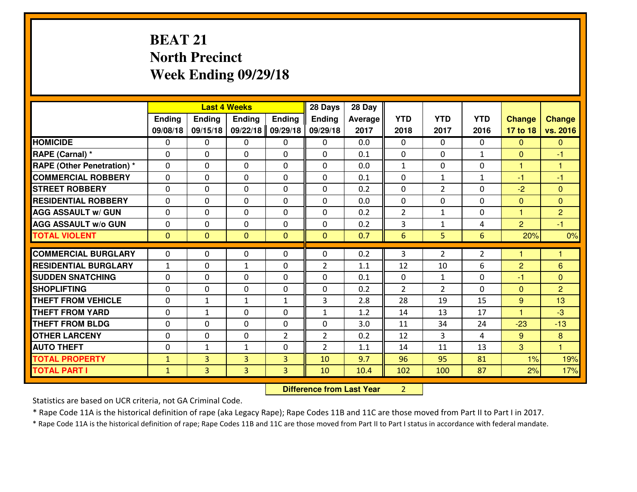# **BEAT 21 North PrecinctWeek Ending 09/29/18**

|                                   |               |                | <b>Last 4 Weeks</b> |                | 28 Days        | 28 Day  |                |                |                |                      |                |
|-----------------------------------|---------------|----------------|---------------------|----------------|----------------|---------|----------------|----------------|----------------|----------------------|----------------|
|                                   | <b>Ending</b> | <b>Ending</b>  | <b>Ending</b>       | <b>Ending</b>  | <b>Ending</b>  | Average | <b>YTD</b>     | <b>YTD</b>     | <b>YTD</b>     | <b>Change</b>        | <b>Change</b>  |
|                                   | 09/08/18      | 09/15/18       | 09/22/18            | 09/29/18       | 09/29/18       | 2017    | 2018           | 2017           | 2016           | 17 to 18             | vs. 2016       |
| <b>HOMICIDE</b>                   | $\mathbf{0}$  | 0              | $\mathbf{0}$        | 0              | $\mathbf{0}$   | 0.0     | $\mathbf{0}$   | $\Omega$       | $\Omega$       | $\Omega$             | $\mathbf{0}$   |
| RAPE (Carnal) *                   | $\Omega$      | 0              | $\mathbf 0$         | $\Omega$       | 0              | 0.1     | $\Omega$       | $\Omega$       | $\mathbf{1}$   | $\Omega$             | -1             |
| <b>RAPE (Other Penetration) *</b> | $\Omega$      | $\Omega$       | $\mathbf 0$         | $\Omega$       | $\Omega$       | 0.0     | $\mathbf{1}$   | 0              | $\Omega$       | $\mathbf{1}$         | 1              |
| <b>COMMERCIAL ROBBERY</b>         | 0             | 0              | $\mathbf 0$         | 0              | 0              | 0.1     | $\Omega$       | $\mathbf{1}$   | $\mathbf{1}$   | $-1$                 | $-1$           |
| <b>STREET ROBBERY</b>             | $\Omega$      | 0              | $\mathbf{0}$        | $\Omega$       | $\Omega$       | 0.2     | $\mathbf{0}$   | $\overline{2}$ | 0              | $-2$                 | $\mathbf{0}$   |
| <b>RESIDENTIAL ROBBERY</b>        | $\Omega$      | 0              | $\mathbf 0$         | $\Omega$       | $\Omega$       | 0.0     | $\Omega$       | $\Omega$       | 0              | $\mathbf{0}$         | $\mathbf{0}$   |
| <b>AGG ASSAULT W/ GUN</b>         | $\Omega$      | $\Omega$       | $\mathbf 0$         | $\Omega$       | 0              | 0.2     | $\overline{2}$ | $\mathbf{1}$   | 0              | $\mathbf{1}$         | $\overline{2}$ |
| <b>AGG ASSAULT W/o GUN</b>        | 0             | 0              | $\mathbf 0$         | $\Omega$       | 0              | 0.2     | 3              | $\mathbf{1}$   | 4              | $\overline{2}$       | $-1$           |
| <b>TOTAL VIOLENT</b>              | $\mathbf{0}$  | $\mathbf{0}$   | $\mathbf{0}$        | $\mathbf{0}$   | $\mathbf{0}$   | 0.7     | 6              | 5              | $6\phantom{1}$ | 20%                  | 0%             |
| <b>COMMERCIAL BURGLARY</b>        | 0             | 0              | $\mathbf{0}$        | 0              | $\Omega$       | 0.2     | 3              | $\overline{2}$ | $\overline{2}$ |                      | 1              |
|                                   |               |                |                     |                |                |         |                |                |                |                      |                |
| <b>RESIDENTIAL BURGLARY</b>       | $\mathbf{1}$  | 0              | $\mathbf{1}$        | 0              | $\overline{2}$ | 1.1     | 12             | 10             | 6              | 2                    | 6              |
| <b>SUDDEN SNATCHING</b>           | 0             | 0              | $\mathbf 0$         | 0              | 0              | 0.1     | 0              | $\mathbf{1}$   | 0              | $-1$                 | $\mathbf{0}$   |
| <b>SHOPLIFTING</b>                | $\mathbf{0}$  | 0              | $\mathbf{0}$        | $\Omega$       | $\Omega$       | 0.2     | 2              | $\overline{2}$ | 0              | $\Omega$             | $\overline{2}$ |
| <b>THEFT FROM VEHICLE</b>         | $\Omega$      | $\mathbf{1}$   | $\mathbf{1}$        | $\mathbf{1}$   | 3              | 2.8     | 28             | 19             | 15             | 9                    | 13             |
| <b>THEFT FROM YARD</b>            | 0             | $\mathbf{1}$   | $\mathbf 0$         | $\Omega$       | $\mathbf{1}$   | 1.2     | 14             | 13             | 17             | $\blacktriangleleft$ | $-3$           |
| <b>THEFT FROM BLDG</b>            | $\mathbf{0}$  | 0              | 0                   | 0              | $\Omega$       | 3.0     | 11             | 34             | 24             | $-23$                | $-13$          |
| <b>OTHER LARCENY</b>              | 0             | 0              | $\mathbf 0$         | $\overline{2}$ | $\overline{2}$ | 0.2     | 12             | 3              | 4              | 9 <sup>°</sup>       | 8              |
| <b>AUTO THEFT</b>                 | 0             | $\mathbf{1}$   | 1                   | 0              | $\overline{2}$ | 1.1     | 14             | 11             | 13             | 3                    | $\overline{1}$ |
| <b>TOTAL PROPERTY</b>             | $\mathbf{1}$  | $\overline{3}$ | $\overline{3}$      | 3              | 10             | 9.7     | 96             | 95             | 81             | 1%                   | 19%            |
| <b>TOTAL PART I</b>               | $\mathbf{1}$  | $\overline{3}$ | 3                   | 3              | 10             | 10.4    | 102            | 100            | 87             | 2%                   | 17%            |

**Difference from Last Year** 2

Statistics are based on UCR criteria, not GA Criminal Code.

\* Rape Code 11A is the historical definition of rape (aka Legacy Rape); Rape Codes 11B and 11C are those moved from Part II to Part I in 2017.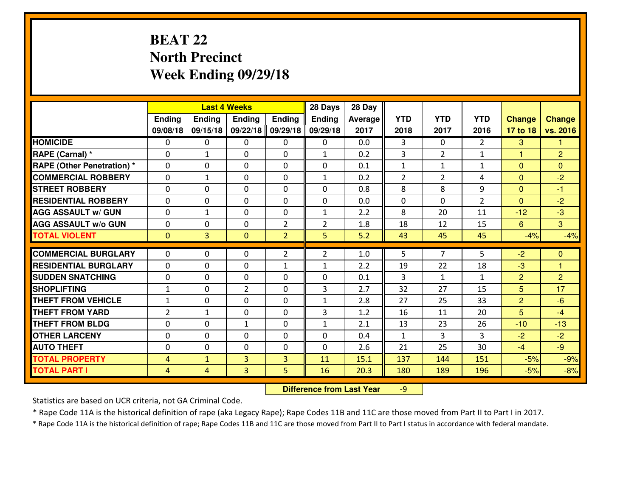# **BEAT 22 North PrecinctWeek Ending 09/29/18**

|                                  |                |               | <b>Last 4 Weeks</b> |                | 28 Days        | 28 Day  |                |                |                |                |                |
|----------------------------------|----------------|---------------|---------------------|----------------|----------------|---------|----------------|----------------|----------------|----------------|----------------|
|                                  | Ending         | <b>Ending</b> | <b>Ending</b>       | <b>Ending</b>  | <b>Ending</b>  | Average | <b>YTD</b>     | <b>YTD</b>     | <b>YTD</b>     | <b>Change</b>  | <b>Change</b>  |
|                                  | 09/08/18       | 09/15/18      | 09/22/18            | 09/29/18       | 09/29/18       | 2017    | 2018           | 2017           | 2016           | 17 to 18       | vs. 2016       |
| <b>HOMICIDE</b>                  | $\Omega$       | 0             | 0                   | 0              | 0              | 0.0     | 3              | $\Omega$       | $\mathfrak{D}$ | 3              | 1              |
| RAPE (Carnal) *                  | $\Omega$       | $\mathbf{1}$  | $\Omega$            | $\Omega$       | $\mathbf{1}$   | 0.2     | 3              | $\overline{2}$ | $\mathbf{1}$   | $\mathbf{1}$   | $\overline{2}$ |
| <b>RAPE (Other Penetration)*</b> | 0              | 0             | $\mathbf 0$         | 0              | 0              | 0.1     | $\mathbf{1}$   | $\mathbf{1}$   | $\mathbf{1}$   | $\overline{0}$ | $\overline{0}$ |
| <b>COMMERCIAL ROBBERY</b>        | 0              | $\mathbf{1}$  | $\mathbf 0$         | 0              | $\mathbf{1}$   | 0.2     | $\overline{2}$ | $\overline{2}$ | 4              | $\mathbf{0}$   | $-2$           |
| <b>STREET ROBBERY</b>            | 0              | 0             | $\mathbf 0$         | 0              | 0              | 0.8     | 8              | 8              | 9              | $\mathbf{0}$   | $-1$           |
| <b>RESIDENTIAL ROBBERY</b>       | 0              | 0             | $\mathbf 0$         | $\mathbf{0}$   | 0              | 0.0     | 0              | $\Omega$       | $\overline{2}$ | $\Omega$       | $-2$           |
| <b>AGG ASSAULT W/ GUN</b>        | 0              | $\mathbf{1}$  | $\mathbf 0$         | 0              | $\mathbf{1}$   | 2.2     | 8              | 20             | 11             | $-12$          | $-3$           |
| <b>AGG ASSAULT W/o GUN</b>       | 0              | 0             | 0                   | 2              | $\overline{2}$ | 1.8     | 18             | 12             | 15             | 6              | $\mathbf{3}$   |
| <b>TOTAL VIOLENT</b>             | $\mathbf{0}$   | 3             | $\overline{0}$      | $\overline{2}$ | 5              | 5.2     | 43             | 45             | 45             | $-4%$          | $-4%$          |
| <b>COMMERCIAL BURGLARY</b>       | $\Omega$       | 0             | $\mathbf{0}$        | $\overline{2}$ | $\overline{2}$ | 1.0     | 5.             | $\overline{7}$ | 5              | $-2$           | $\mathbf{0}$   |
| <b>RESIDENTIAL BURGLARY</b>      | $\mathbf{0}$   | 0             | 0                   | $\mathbf{1}$   | 1              | 2.2     | 19             | 22             | 18             | $-3$           | 1              |
| <b>SUDDEN SNATCHING</b>          | $\mathbf{0}$   | 0             | $\mathbf 0$         | 0              | 0              | 0.1     | 3              | $\mathbf{1}$   | $\mathbf{1}$   | $\overline{2}$ | $\overline{2}$ |
| <b>SHOPLIFTING</b>               | $\mathbf{1}$   | 0             | $\overline{2}$      | 0              | 3              | 2.7     | 32             | 27             | 15             | 5              | 17             |
| <b>THEFT FROM VEHICLE</b>        | $\mathbf{1}$   | 0             | $\mathbf 0$         | 0              | $\mathbf{1}$   | 2.8     | 27             | 25             | 33             | $\overline{2}$ | $-6$           |
| <b>THEFT FROM YARD</b>           | $\overline{2}$ | $\mathbf{1}$  | $\mathbf 0$         | 0              | 3              | 1.2     | 16             | 11             | 20             | 5              | $-4$           |
| <b>THEFT FROM BLDG</b>           | 0              | 0             | $\mathbf{1}$        | $\mathbf{0}$   | $\mathbf{1}$   | 2.1     | 13             | 23             | 26             | $-10$          | $-13$          |
| <b>OTHER LARCENY</b>             | 0              | 0             | $\mathbf 0$         | 0              | 0              | 0.4     | $\mathbf{1}$   | 3              | 3              | $-2$           | $-2$           |
| <b>AUTO THEFT</b>                | 0              | 0             | $\mathbf 0$         | 0              | 0              | 2.6     | 21             | 25             | 30             | $-4$           | $-9$           |
| <b>TOTAL PROPERTY</b>            | $\overline{4}$ | $\mathbf{1}$  | 3                   | $\overline{3}$ | 11             | 15.1    | 137            | 144            | 151            | $-5%$          | $-9%$          |
| <b>TOTAL PART I</b>              | $\overline{4}$ | 4             | 3                   | 5              | 16             | 20.3    | 180            | 189            | 196            | $-5%$          | $-8%$          |

 **Difference from Last Year**-9

Statistics are based on UCR criteria, not GA Criminal Code.

\* Rape Code 11A is the historical definition of rape (aka Legacy Rape); Rape Codes 11B and 11C are those moved from Part II to Part I in 2017.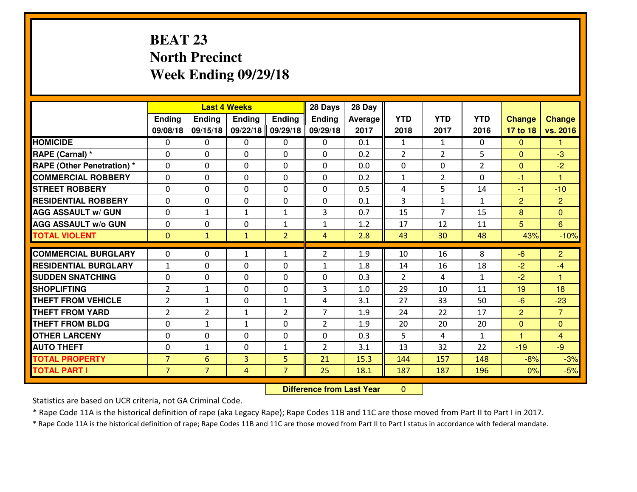# **BEAT 23 North PrecinctWeek Ending 09/29/18**

|                                              |                                  |                     | <b>Last 4 Weeks</b> |                     | 28 Days        | 28 Day       |                |                |                |                |                      |
|----------------------------------------------|----------------------------------|---------------------|---------------------|---------------------|----------------|--------------|----------------|----------------|----------------|----------------|----------------------|
|                                              | Ending                           | Ending              | <b>Ending</b>       | <b>Ending</b>       | <b>Ending</b>  | Average      | <b>YTD</b>     | <b>YTD</b>     | <b>YTD</b>     | <b>Change</b>  | <b>Change</b>        |
|                                              | 09/08/18                         | 09/15/18            | 09/22/18            | 09/29/18            | 09/29/18       | 2017         | 2018           | 2017           | 2016           | 17 to 18       | vs. 2016             |
| <b>HOMICIDE</b>                              | $\mathbf{0}$                     | 0                   | 0                   | 0                   | 0              | 0.1          | 1              | $\mathbf{1}$   | 0              | $\Omega$       | 1                    |
| RAPE (Carnal) *                              | 0                                | 0                   | $\mathbf{0}$        | 0                   | $\Omega$       | 0.2          | 2              | $\overline{2}$ | 5              | $\Omega$       | $-3$                 |
| <b>RAPE (Other Penetration)*</b>             | $\Omega$                         | 0                   | $\mathbf{0}$        | $\Omega$            | $\Omega$       | 0.0          | $\Omega$       | 0              | $\overline{2}$ | $\Omega$       | $-2$                 |
| <b>COMMERCIAL ROBBERY</b>                    | $\Omega$                         | 0                   | $\mathbf 0$         | $\Omega$            | 0              | 0.2          | $\mathbf{1}$   | $\overline{2}$ | $\Omega$       | $-1$           | $\blacktriangleleft$ |
| <b>ISTREET ROBBERY</b>                       | 0                                | 0                   | $\mathbf 0$         | 0                   | 0              | 0.5          | 4              | 5              | 14             | $-1$           | $-10$                |
| <b>RESIDENTIAL ROBBERY</b>                   | $\mathbf{0}$                     | 0                   | $\mathbf 0$         | 0                   | 0              | 0.1          | 3              | $\mathbf{1}$   | $\mathbf{1}$   | $\overline{2}$ | $\overline{2}$       |
| <b>AGG ASSAULT W/ GUN</b>                    | 0                                | 1                   | 1                   | $\mathbf{1}$        | 3              | 0.7          | 15             | $\overline{7}$ | 15             | 8              | $\overline{0}$       |
| <b>AGG ASSAULT W/o GUN</b>                   | 0                                | 0                   | $\mathbf 0$         | $\mathbf{1}$        | $\mathbf{1}$   | 1.2          | 17             | 12             | 11             | 5              | $6^{\circ}$          |
| <b>TOTAL VIOLENT</b>                         | $\mathbf{0}$                     | $\mathbf{1}$        | $\mathbf{1}$        | $\overline{2}$      | $\overline{4}$ | 2.8          | 43             | 30             | 48             | 43%            | $-10%$               |
| <b>COMMERCIAL BURGLARY</b>                   | $\mathbf{0}$                     | 0                   | 1                   | $\mathbf{1}$        | $\overline{2}$ | 1.9          | 10             | 16             | 8              | $-6$           | $\overline{2}$       |
| <b>RESIDENTIAL BURGLARY</b>                  | $\mathbf{1}$                     | 0                   | $\mathbf{0}$        | 0                   | 1              | 1.8          | 14             | 16             | 18             | $-2$           | $-4$                 |
| <b>SUDDEN SNATCHING</b>                      | $\Omega$                         | 0                   | $\mathbf 0$         | $\Omega$            |                |              | $\overline{2}$ |                |                |                | 1                    |
|                                              |                                  |                     |                     |                     |                |              |                |                |                |                |                      |
|                                              |                                  |                     |                     |                     | $\Omega$       | 0.3          |                | 4              | $\mathbf{1}$   | $-2$           |                      |
| <b>SHOPLIFTING</b>                           | $\overline{2}$                   | $\mathbf{1}$        | $\mathbf{0}$        | $\Omega$            | 3              | 1.0          | 29             | 10             | 11             | 19             | 18                   |
| <b>THEFT FROM VEHICLE</b>                    | $\overline{2}$                   | 1                   | 0                   | $\mathbf{1}$        | 4              | 3.1          | 27             | 33             | 50             | $-6$           | $-23$                |
| <b>THEFT FROM YARD</b>                       | $\overline{2}$                   | $\overline{2}$      | 1                   | $\overline{2}$      | $\overline{7}$ | 1.9          | 24             | 22             | 17             | $\overline{2}$ | $\overline{7}$       |
| <b>THEFT FROM BLDG</b>                       | 0                                | $\mathbf{1}$        | 1                   | 0                   | $\overline{2}$ | 1.9          | 20             | 20             | 20             | $\overline{0}$ | $\overline{0}$       |
| <b>OTHER LARCENY</b>                         | 0                                | 0                   | $\mathbf 0$         | 0                   | 0              | 0.3          | 5              | 4              | $\mathbf{1}$   | $\overline{1}$ | $\overline{4}$       |
| <b>AUTO THEFT</b>                            | $\mathbf{0}$                     | 1                   | 0                   | $\mathbf{1}$        | $\overline{2}$ | 3.1          | 13             | 32             | 22             | $-19$          | $-9$                 |
| <b>TOTAL PROPERTY</b><br><b>TOTAL PART I</b> | $\overline{7}$<br>$\overline{7}$ | 6<br>$\overline{7}$ | $\overline{3}$<br>4 | 5<br>$\overline{7}$ | 21<br>25       | 15.3<br>18.1 | 144<br>187     | 157<br>187     | 148<br>196     | $-8%$<br>0%    | $-3%$<br>$-5%$       |

 **Difference from Last Year** $\mathbf{0}$ 

Statistics are based on UCR criteria, not GA Criminal Code.

\* Rape Code 11A is the historical definition of rape (aka Legacy Rape); Rape Codes 11B and 11C are those moved from Part II to Part I in 2017.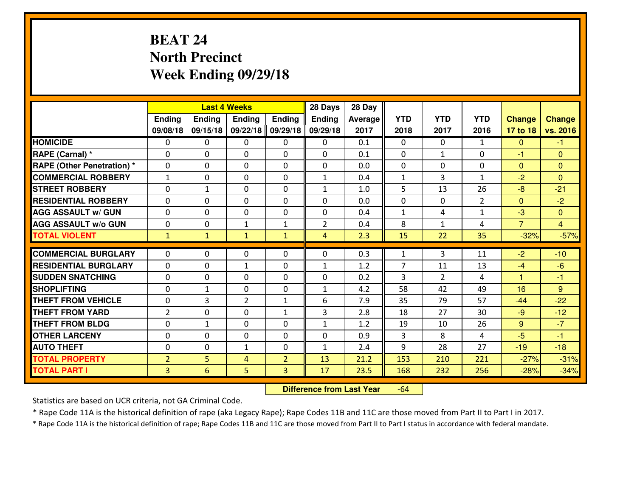# **BEAT 24 North PrecinctWeek Ending 09/29/18**

|                                   |                |              | <b>Last 4 Weeks</b> |                | 28 Days        | 28 Day  |                |                |                |                |                |
|-----------------------------------|----------------|--------------|---------------------|----------------|----------------|---------|----------------|----------------|----------------|----------------|----------------|
|                                   | Ending         | Ending       | <b>Ending</b>       | Ending         | <b>Ending</b>  | Average | <b>YTD</b>     | <b>YTD</b>     | <b>YTD</b>     | <b>Change</b>  | <b>Change</b>  |
|                                   | 09/08/18       | 09/15/18     | 09/22/18            | 09/29/18       | 09/29/18       | 2017    | 2018           | 2017           | 2016           | 17 to 18       | vs. 2016       |
| <b>HOMICIDE</b>                   | 0              | $\Omega$     | 0                   | 0              | $\Omega$       | 0.1     | $\Omega$       | $\Omega$       | $\mathbf{1}$   | $\mathbf{0}$   | $-1$           |
| RAPE (Carnal) *                   | $\Omega$       | $\Omega$     | $\Omega$            | 0              | 0              | 0.1     | $\Omega$       | $\mathbf{1}$   | $\Omega$       | $-1$           | $\Omega$       |
| <b>RAPE (Other Penetration) *</b> | 0              | 0            | $\mathbf 0$         | 0              | 0              | 0.0     | $\mathbf 0$    | 0              | 0              | $\mathbf{0}$   | $\mathbf{0}$   |
| <b>COMMERCIAL ROBBERY</b>         | $\mathbf{1}$   | 0            | $\mathbf 0$         | $\Omega$       | $\mathbf{1}$   | 0.4     | $\mathbf{1}$   | 3              | $\mathbf{1}$   | $-2$           | $\mathbf{0}$   |
| <b>STREET ROBBERY</b>             | 0              | $\mathbf{1}$ | 0                   | $\Omega$       | $\mathbf{1}$   | 1.0     | 5              | 13             | 26             | $-8$           | $-21$          |
| <b>RESIDENTIAL ROBBERY</b>        | 0              | 0            | 0                   | $\Omega$       | 0              | 0.0     | $\mathbf 0$    | $\mathbf{0}$   | $\overline{2}$ | $\mathbf{0}$   | $-2$           |
| <b>AGG ASSAULT W/ GUN</b>         | 0              | 0            | 0                   | $\Omega$       | 0              | 0.4     | $\mathbf{1}$   | 4              | $\mathbf{1}$   | $-3$           | $\overline{0}$ |
| <b>AGG ASSAULT W/o GUN</b>        | 0              | 0            | $\mathbf{1}$        | $\mathbf{1}$   | $\overline{2}$ | 0.4     | 8              | $\mathbf{1}$   | 4              | $\overline{7}$ | $\overline{4}$ |
| <b>TOTAL VIOLENT</b>              | $\mathbf{1}$   | $\mathbf{1}$ | $\mathbf{1}$        | $\mathbf{1}$   | 4              | 2.3     | 15             | 22             | 35             | $-32%$         | $-57%$         |
| <b>COMMERCIAL BURGLARY</b>        | $\Omega$       | 0            | $\mathbf{0}$        | 0              | $\mathbf{0}$   | 0.3     | $\mathbf{1}$   | 3              | 11             | $-2$           | $-10$          |
| <b>RESIDENTIAL BURGLARY</b>       | $\Omega$       | 0            | 1                   | 0              | $\mathbf{1}$   | 1.2     | $\overline{7}$ | 11             | 13             | $-4$           | $-6$           |
| <b>SUDDEN SNATCHING</b>           | 0              | 0            | 0                   | $\Omega$       | 0              | 0.2     | 3              | $\overline{2}$ | 4              | 1              | $-1$           |
| <b>SHOPLIFTING</b>                | 0              | $\mathbf{1}$ | 0                   | 0              | $\mathbf{1}$   | 4.2     | 58             | 42             | 49             | 16             | 9              |
| <b>THEFT FROM VEHICLE</b>         | 0              | 3            | $\overline{2}$      | $\mathbf{1}$   | 6              | 7.9     | 35             | 79             | 57             | $-44$          | $-22$          |
| <b>THEFT FROM YARD</b>            | $\overline{2}$ | $\mathbf 0$  | $\mathbf 0$         | $\mathbf{1}$   | 3              | 2.8     | 18             | 27             | 30             | $-9$           | $-12$          |
| <b>THEFT FROM BLDG</b>            | 0              | $\mathbf{1}$ | $\mathbf 0$         | $\Omega$       | $\mathbf{1}$   | 1.2     | 19             | 10             | 26             | 9              | $-7$           |
| <b>OTHER LARCENY</b>              | 0              | 0            | $\mathbf 0$         | 0              | 0              | 0.9     | 3              | 8              | 4              | $-5$           | $-1$           |
| <b>AUTO THEFT</b>                 | 0              | 0            | $\mathbf{1}$        | 0              | $\mathbf{1}$   | 2.4     | 9              | 28             | 27             | $-19$          | $-18$          |
| <b>TOTAL PROPERTY</b>             | $\overline{2}$ | 5            | 4                   | $\overline{2}$ | 13             | 21.2    | 153            | 210            | 221            | $-27%$         | $-31%$         |
| <b>TOTAL PART I</b>               | $\overline{3}$ | 6            | 5                   | 3              | 17             | 23.5    | 168            | 232            | 256            | $-28%$         | $-34%$         |
|                                   |                |              |                     |                |                |         |                |                |                |                |                |

 **Difference from Last Year**-64

Statistics are based on UCR criteria, not GA Criminal Code.

\* Rape Code 11A is the historical definition of rape (aka Legacy Rape); Rape Codes 11B and 11C are those moved from Part II to Part I in 2017.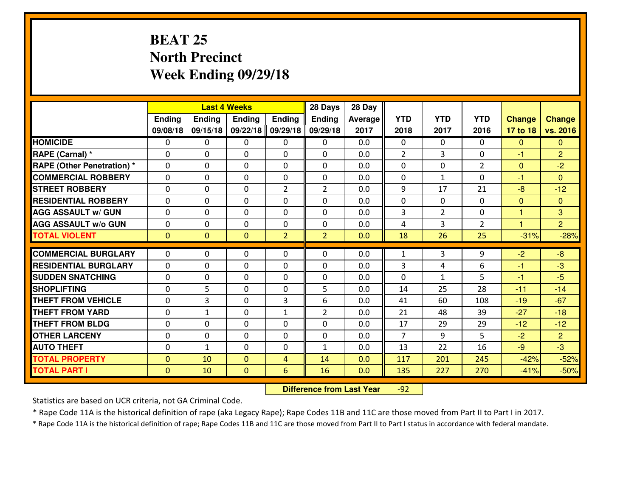# **BEAT 25 North PrecinctWeek Ending 09/29/18**

|                                  |              |                | <b>Last 4 Weeks</b> |                | 28 Days        | 28 Day  |                |                |                |                      |                |
|----------------------------------|--------------|----------------|---------------------|----------------|----------------|---------|----------------|----------------|----------------|----------------------|----------------|
|                                  | Ending       | <b>Ending</b>  | <b>Ending</b>       | <b>Ending</b>  | <b>Ending</b>  | Average | <b>YTD</b>     | <b>YTD</b>     | <b>YTD</b>     | <b>Change</b>        | <b>Change</b>  |
|                                  | 09/08/18     | 09/15/18       | 09/22/18            | 09/29/18       | 09/29/18       | 2017    | 2018           | 2017           | 2016           | 17 to 18             | vs. 2016       |
| <b>HOMICIDE</b>                  | $\Omega$     | 0              | 0                   | 0              | $\Omega$       | 0.0     | 0              | $\Omega$       | 0              | $\Omega$             | $\mathbf{0}$   |
| RAPE (Carnal) *                  | $\Omega$     | 0              | $\Omega$            | 0              | $\Omega$       | 0.0     | 2              | 3              | 0              | $-1$                 | $\overline{2}$ |
| <b>RAPE (Other Penetration)*</b> | 0            | 0              | $\mathbf 0$         | 0              | 0              | 0.0     | 0              | 0              | $\overline{2}$ | $\overline{0}$       | $-2$           |
| <b>COMMERCIAL ROBBERY</b>        | 0            | 0              | $\mathbf 0$         | 0              | 0              | 0.0     | 0              | $\mathbf{1}$   | 0              | $-1$                 | $\Omega$       |
| <b>STREET ROBBERY</b>            | $\mathbf{0}$ | 0              | $\mathbf 0$         | $\overline{2}$ | $\overline{2}$ | 0.0     | 9              | 17             | 21             | $-8$                 | $-12$          |
| <b>RESIDENTIAL ROBBERY</b>       | 0            | 0              | $\mathbf 0$         | 0              | 0              | 0.0     | 0              | $\mathbf{0}$   | $\Omega$       | $\mathbf{0}$         | $\mathbf{0}$   |
| <b>AGG ASSAULT W/ GUN</b>        | 0            | 0              | $\mathbf 0$         | 0              | 0              | 0.0     | 3              | $\overline{2}$ | 0              | $\mathbf{1}$         | 3              |
| <b>AGG ASSAULT W/o GUN</b>       | 0            | 0              | 0                   | 0              | $\mathbf 0$    | 0.0     | 4              | 3              | $\overline{2}$ | $\blacktriangleleft$ | $\overline{2}$ |
| <b>TOTAL VIOLENT</b>             | $\mathbf{0}$ | $\overline{0}$ | $\overline{0}$      | $\overline{2}$ | $\overline{2}$ | 0.0     | 18             | 26             | 25             | $-31%$               | $-28%$         |
| <b>COMMERCIAL BURGLARY</b>       | $\Omega$     | 0              | $\mathbf{0}$        | 0              | $\Omega$       | 0.0     | $\mathbf{1}$   | 3              | 9              | $-2$                 | $-8$           |
| <b>RESIDENTIAL BURGLARY</b>      | $\mathbf{0}$ | 0              | 0                   | 0              | 0              | 0.0     | 3              | 4              | 6              | $-1$                 | $-3$           |
| <b>SUDDEN SNATCHING</b>          | $\mathbf{0}$ | 0              | $\mathbf 0$         | 0              | 0              | 0.0     | 0              | $\mathbf{1}$   | 5              | $-1$                 | $-5$           |
| <b>SHOPLIFTING</b>               | 0            | 5              | $\mathbf 0$         | 0              | 5              | 0.0     | 14             | 25             | 28             | $-11$                | $-14$          |
| <b>THEFT FROM VEHICLE</b>        | 0            | 3              | $\mathbf 0$         | 3              | 6              | 0.0     | 41             | 60             | 108            | $-19$                | $-67$          |
| <b>THEFT FROM YARD</b>           | 0            | $\mathbf{1}$   | $\mathbf 0$         | $\mathbf{1}$   | $\overline{2}$ | 0.0     | 21             | 48             | 39             | $-27$                | $-18$          |
| <b>THEFT FROM BLDG</b>           | 0            | 0              | $\mathbf 0$         | $\mathbf{0}$   | 0              | 0.0     | 17             | 29             | 29             | $-12$                | $-12$          |
| <b>OTHER LARCENY</b>             | 0            | 0              | $\mathbf 0$         | $\mathbf 0$    | 0              | 0.0     | $\overline{7}$ | 9              | 5              | $-2$                 | $\overline{2}$ |
| <b>AUTO THEFT</b>                | 0            | $\mathbf{1}$   | $\mathbf 0$         | 0              | $\mathbf{1}$   | 0.0     | 13             | 22             | 16             | $-9$                 | $-3$           |
| <b>TOTAL PROPERTY</b>            | $\mathbf{0}$ | 10             | $\mathbf{0}$        | $\overline{4}$ | 14             | 0.0     | 117            | 201            | 245            | $-42%$               | $-52%$         |
| <b>TOTAL PART I</b>              | $\mathbf{0}$ | 10             | $\mathbf{0}$        | 6              | 16             | 0.0     | 135            | 227            | 270            | $-41%$               | $-50%$         |
|                                  |              |                |                     |                |                |         |                |                |                |                      |                |

 **Difference from Last Year**-92

Statistics are based on UCR criteria, not GA Criminal Code.

\* Rape Code 11A is the historical definition of rape (aka Legacy Rape); Rape Codes 11B and 11C are those moved from Part II to Part I in 2017.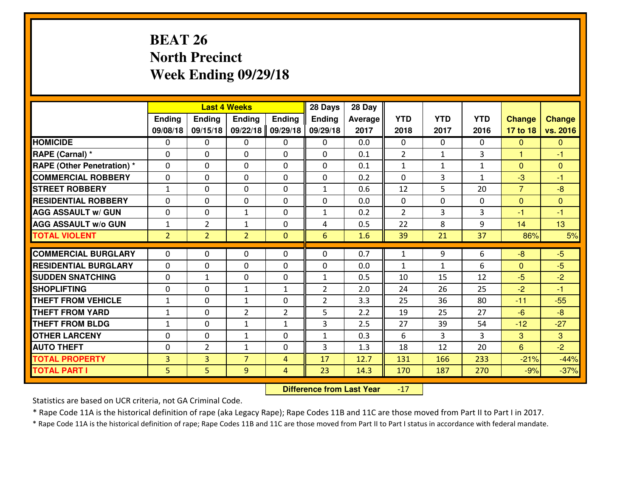# **BEAT 26 North PrecinctWeek Ending 09/29/18**

|                                  |                |                | <b>Last 4 Weeks</b> |                | 28 Days        | 28 Day  |                |              |              |                |               |
|----------------------------------|----------------|----------------|---------------------|----------------|----------------|---------|----------------|--------------|--------------|----------------|---------------|
|                                  | Ending         | Ending         | <b>Ending</b>       | <b>Ending</b>  | <b>Ending</b>  | Average | <b>YTD</b>     | <b>YTD</b>   | <b>YTD</b>   | <b>Change</b>  | <b>Change</b> |
|                                  | 09/08/18       | 09/15/18       | 09/22/18            | 09/29/18       | 09/29/18       | 2017    | 2018           | 2017         | 2016         | 17 to 18       | vs. 2016      |
| <b>HOMICIDE</b>                  | 0              | 0              | $\Omega$            | $\mathbf{0}$   | 0              | 0.0     | $\Omega$       | $\Omega$     | $\Omega$     | $\mathbf{0}$   | $\Omega$      |
| RAPE (Carnal) *                  | $\Omega$       | 0              | $\mathbf{0}$        | $\Omega$       | $\Omega$       | 0.1     | $\overline{2}$ | $\mathbf{1}$ | 3            | $\mathbf{1}$   | $-1$          |
| <b>RAPE (Other Penetration)*</b> | $\Omega$       | 0              | $\Omega$            | $\Omega$       | $\Omega$       | 0.1     | $\mathbf{1}$   | $\mathbf{1}$ | $\mathbf{1}$ | $\Omega$       | $\Omega$      |
| <b>COMMERCIAL ROBBERY</b>        | $\Omega$       | $\Omega$       | $\mathbf 0$         | $\Omega$       | $\Omega$       | 0.2     | $\Omega$       | 3            | $\mathbf{1}$ | $-3$           | $-1$          |
| <b>ISTREET ROBBERY</b>           | $\mathbf{1}$   | 0              | $\mathbf{0}$        | 0              | $\mathbf{1}$   | 0.6     | 12             | 5            | 20           | $\overline{7}$ | $-8$          |
| <b>RESIDENTIAL ROBBERY</b>       | 0              | 0              | $\mathbf 0$         | 0              | 0              | 0.0     | $\mathbf{0}$   | $\mathbf{0}$ | 0            | $\mathbf{0}$   | $\mathbf{0}$  |
| <b>AGG ASSAULT W/ GUN</b>        | 0              | 0              | $\mathbf{1}$        | 0              | $\mathbf{1}$   | 0.2     | $\overline{2}$ | 3            | 3            | $-1$           | $-1$          |
| <b>AGG ASSAULT W/o GUN</b>       | $\mathbf{1}$   | $\overline{2}$ | 1                   | 0              | 4              | 0.5     | 22             | 8            | 9            | 14             | 13            |
| <b>TOTAL VIOLENT</b>             | $\overline{2}$ | $\overline{2}$ | $\overline{2}$      | $\overline{0}$ | 6              | 1.6     | 39             | 21           | 37           | 86%            | 5%            |
| <b>COMMERCIAL BURGLARY</b>       | $\Omega$       | 0              | $\mathbf{0}$        | $\Omega$       | $\Omega$       | 0.7     | $\mathbf{1}$   | 9            | 6            | $-8$           | $-5$          |
| <b>RESIDENTIAL BURGLARY</b>      | $\Omega$       | 0              | $\mathbf{0}$        | $\Omega$       | 0              | 0.0     | $\mathbf{1}$   | $\mathbf{1}$ | 6            | $\mathbf{0}$   | $-5$          |
| <b>SUDDEN SNATCHING</b>          | 0              | $\mathbf{1}$   | $\mathbf 0$         | 0              | $\mathbf{1}$   | 0.5     | 10             | 15           | 12           | $-5$           | $-2$          |
| <b>SHOPLIFTING</b>               | 0              | 0              | $\mathbf{1}$        | $\mathbf{1}$   | $\overline{2}$ | 2.0     | 24             | 26           | 25           | $-2$           | $-1$          |
| <b>THEFT FROM VEHICLE</b>        | $\mathbf{1}$   | 0              | $\mathbf{1}$        | 0              | $\overline{2}$ | 3.3     | 25             | 36           | 80           | $-11$          | $-55$         |
| <b>THEFT FROM YARD</b>           | $1\,$          | 0              | $\overline{2}$      | $\overline{2}$ | 5              | 2.2     | 19             | 25           | 27           | $-6$           | $-8-$         |
| <b>THEFT FROM BLDG</b>           | $\mathbf{1}$   | 0              | $\mathbf{1}$        | $\mathbf{1}$   | 3              | 2.5     | 27             | 39           | 54           | $-12$          | $-27$         |
| <b>OTHER LARCENY</b>             | 0              | 0              | $\mathbf{1}$        | 0              | $\mathbf{1}$   | 0.3     | 6              | 3            | 3            | 3              | 3             |
| <b>AUTO THEFT</b>                | $\mathbf{0}$   | $\overline{2}$ | $\mathbf{1}$        | 0              | 3              | 1.3     | 18             | 12           | 20           | $6\phantom{1}$ | $-2$          |
| <b>TOTAL PROPERTY</b>            | $\overline{3}$ | $\overline{3}$ | $\overline{7}$      | $\overline{4}$ | 17             | 12.7    | 131            | 166          | 233          | $-21%$         | $-44%$        |
| <b>TOTAL PART I</b>              | 5              | 5              | 9                   | $\overline{4}$ | 23             | 14.3    | 170            | 187          | 270          | $-9%$          | $-37%$        |

 **Difference from Last Year** $-17$ 

Statistics are based on UCR criteria, not GA Criminal Code.

\* Rape Code 11A is the historical definition of rape (aka Legacy Rape); Rape Codes 11B and 11C are those moved from Part II to Part I in 2017.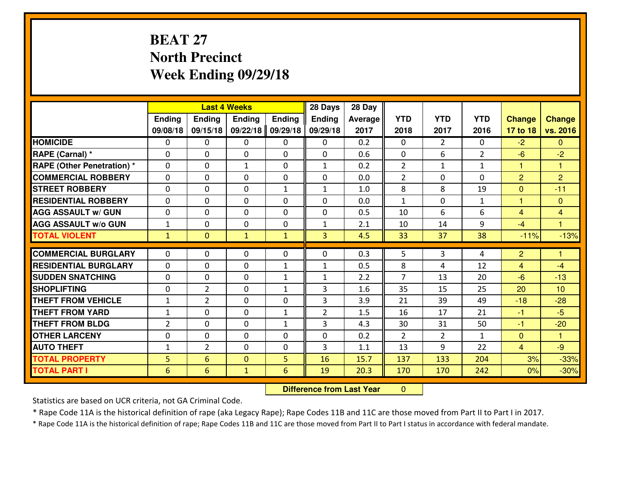# **BEAT 27 North PrecinctWeek Ending 09/29/18**

|                                              |                |                      | <b>Last 4 Weeks</b>          |               | 28 Days        | 28 Day       |              |                |                |                |                  |
|----------------------------------------------|----------------|----------------------|------------------------------|---------------|----------------|--------------|--------------|----------------|----------------|----------------|------------------|
|                                              | Ending         | <b>Ending</b>        | <b>Ending</b>                | <b>Ending</b> | <b>Ending</b>  | Average      | <b>YTD</b>   | <b>YTD</b>     | <b>YTD</b>     | <b>Change</b>  | Change           |
|                                              | 09/08/18       | 09/15/18             | 09/22/18                     | 09/29/18      | 09/29/18       | 2017         | 2018         | 2017           | 2016           | 17 to 18       | vs. 2016         |
| <b>HOMICIDE</b>                              | $\mathbf{0}$   | 0                    | $\mathbf{0}$                 | 0             | 0              | 0.2          | $\Omega$     | $\overline{2}$ | $\Omega$       | $-2$           | $\mathbf{0}$     |
| RAPE (Carnal) *                              | $\Omega$       | 0                    | $\mathbf{0}$                 | 0             | $\Omega$       | 0.6          | $\mathbf{0}$ | 6              | $\overline{2}$ | $-6$           | $-2$             |
| <b>RAPE (Other Penetration) *</b>            | $\Omega$       | 0                    | $\mathbf{1}$                 | $\Omega$      | $\mathbf{1}$   | 0.2          | 2            | $\mathbf{1}$   | $\mathbf{1}$   | 1              | 1                |
| <b>COMMERCIAL ROBBERY</b>                    | 0              | 0                    | $\mathbf 0$                  | 0             | 0              | 0.0          | 2            | $\mathbf{0}$   | $\Omega$       | $\overline{2}$ | $\overline{2}$   |
| <b>STREET ROBBERY</b>                        | $\Omega$       | 0                    | $\mathbf 0$                  | $\mathbf{1}$  | $\mathbf{1}$   | 1.0          | 8            | 8              | 19             | $\mathbf 0$    | $-11$            |
| <b>RESIDENTIAL ROBBERY</b>                   | $\Omega$       | $\Omega$             | $\mathbf 0$                  | $\Omega$      | $\Omega$       | 0.0          | $\mathbf{1}$ | $\Omega$       | $\mathbf{1}$   | $\mathbf{1}$   | $\mathbf{0}$     |
| <b>AGG ASSAULT w/ GUN</b>                    | $\Omega$       | 0                    | $\mathbf 0$                  | $\Omega$      | 0              | 0.5          | 10           | 6              | 6              | $\overline{4}$ | $\overline{4}$   |
| <b>AGG ASSAULT W/o GUN</b>                   | $\mathbf{1}$   | 0                    | $\mathbf 0$                  | 0             | $\mathbf{1}$   | 2.1          | 10           | 14             | 9              | $-4$           | $\mathbf{1}$     |
| <b>TOTAL VIOLENT</b>                         | $\mathbf{1}$   | $\overline{0}$       | $\mathbf{1}$                 | $\mathbf{1}$  | $\overline{3}$ | 4.5          | 33           | 37             | 38             | $-11%$         | $-13%$           |
| <b>COMMERCIAL BURGLARY</b>                   | $\Omega$       | 0                    | 0                            | 0             | $\Omega$       | 0.3          | 5            | 3              | 4              | $\overline{2}$ | $\mathbf{1}$     |
| <b>RESIDENTIAL BURGLARY</b>                  | $\Omega$       | 0                    | $\mathbf{0}$                 | $\mathbf{1}$  | 1              | 0.5          | 8            | 4              | 12             | $\overline{4}$ | $-4$             |
| <b>SUDDEN SNATCHING</b>                      | $\Omega$       |                      |                              |               |                |              |              |                |                |                |                  |
|                                              |                |                      |                              |               |                |              |              |                |                |                |                  |
|                                              |                | 0                    | $\mathbf{0}$                 | $\mathbf{1}$  | $\mathbf{1}$   | 2.2          | 7            | 13             | 20             | $-6$           | $-13$            |
| <b>SHOPLIFTING</b>                           | 0              | $\overline{2}$       | $\mathbf 0$                  | $\mathbf{1}$  | 3              | 1.6          | 35           | 15             | 25             | 20             | 10               |
| <b>THEFT FROM VEHICLE</b>                    | $\mathbf{1}$   | $\overline{2}$       | $\mathbf{0}$                 | $\Omega$      | 3              | 3.9          | 21           | 39             | 49             | $-18$          | $-28$            |
| <b>THEFT FROM YARD</b>                       | $\mathbf{1}$   | 0                    | $\mathbf 0$                  | $\mathbf{1}$  | $\overline{2}$ | 1.5          | 16           | 17             | 21             | $-1$           | $-5$             |
| <b>THEFT FROM BLDG</b>                       | $\overline{2}$ | 0                    | $\mathbf 0$                  | $\mathbf{1}$  | 3              | 4.3          | 30           | 31             | 50             | $-1$           | $-20$            |
| <b>OTHER LARCENY</b>                         | 0              | 0                    | $\mathbf 0$                  | 0             | 0              | 0.2          | 2            | $\overline{2}$ | $\mathbf{1}$   | $\overline{0}$ | $\mathbf{1}$     |
| <b>AUTO THEFT</b>                            | $\mathbf{1}$   | $\overline{2}$       | $\mathbf 0$                  | 0             | 3              | 1.1          | 13           | 9              | 22             | $\overline{4}$ | $-9$             |
| <b>TOTAL PROPERTY</b><br><b>TOTAL PART I</b> | 5<br>6         | $6\overline{6}$<br>6 | $\mathbf{O}$<br>$\mathbf{1}$ | 5<br>6        | 16<br>19       | 15.7<br>20.3 | 137<br>170   | 133<br>170     | 204<br>242     | 3%<br>0%       | $-33%$<br>$-30%$ |

 **Difference from Last Year** $\mathbf{0}$ 

Statistics are based on UCR criteria, not GA Criminal Code.

\* Rape Code 11A is the historical definition of rape (aka Legacy Rape); Rape Codes 11B and 11C are those moved from Part II to Part I in 2017.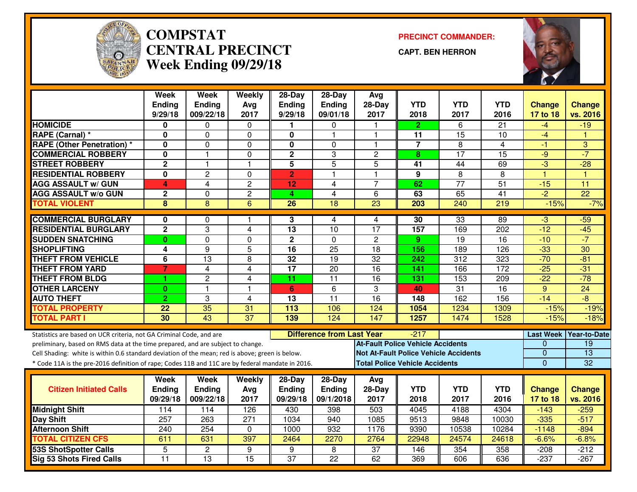

#### **COMPSTAT PRECINCT COMMANDER: CENTRAL PRECINCTWeek Ending 09/29/18**

**CAPT. BEN HERRON**



|                                                                                                  | <b>Week</b>             | <b>Week</b>                    | Weekly                     | $28-Day$                  | $28-Day$                         | Avg                                      |                |                                              |                        |                           |                     |
|--------------------------------------------------------------------------------------------------|-------------------------|--------------------------------|----------------------------|---------------------------|----------------------------------|------------------------------------------|----------------|----------------------------------------------|------------------------|---------------------------|---------------------|
|                                                                                                  | <b>Ending</b>           | <b>Ending</b>                  | Avg                        | <b>Ending</b>             | Ending                           | 28-Day                                   | <b>YTD</b>     | <b>YTD</b>                                   | <b>YTD</b>             | Change                    | <b>Change</b>       |
|                                                                                                  | 9/29/18                 | 009/22/18                      | 2017                       | 9/29/18                   | 09/01/18                         | 2017                                     | 2018           | 2017                                         | 2016                   | 17 to 18                  | vs. 2016            |
| <b>HOMICIDE</b>                                                                                  | 0                       | 0                              | 0                          | 1.                        | 0                                |                                          | $\mathbf{2}$   | 6                                            | 21                     | -4                        | $-19$               |
| RAPE (Carnal) *                                                                                  | 0                       | 0                              | $\mathbf 0$                | 0                         | 1                                | 1                                        | 11             | 15                                           | 10                     | $-4$                      |                     |
| <b>RAPE (Other Penetration)</b> *                                                                | 0                       | 0                              | 0                          | $\mathbf 0$               | 0                                | $\blacktriangleleft$                     | $\overline{7}$ | 8                                            | 4                      | -1                        | 3                   |
| <b>COMMERCIAL ROBBERY</b>                                                                        | $\mathbf{0}$            | $\mathbf{1}$                   | $\mathbf 0$                | $\overline{2}$            | 3                                | $\overline{2}$                           | 8              | $\overline{17}$                              | $\overline{15}$        | $-9$                      | $-7$                |
| <b>STREET ROBBERY</b>                                                                            | $\overline{2}$          | $\mathbf{1}$                   | $\overline{\mathbf{1}}$    | 5                         | 5                                | 5                                        | 41             | 44                                           | 69                     | $-3$                      | $-28$               |
| <b>RESIDENTIAL ROBBERY</b>                                                                       | $\overline{\mathbf{0}}$ | $\overline{2}$                 | $\mathbf 0$                | $\overline{2}$            | $\overline{1}$                   | $\overline{1}$                           | $\overline{9}$ | $\overline{8}$                               | $\overline{8}$         | $\overline{1}$            | $\overline{1}$      |
| <b>AGG ASSAULT w/ GUN</b>                                                                        | $\overline{4}$          | 4                              | $\overline{c}$             | 12                        | 4                                | $\overline{7}$                           | 62             | $\overline{77}$                              | $\overline{51}$        | $-15$                     | 11                  |
| <b>AGG ASSAULT w/o GUN</b>                                                                       | $\overline{2}$          | $\overline{0}$                 | $\overline{2}$             | $\overline{4}$            | $\overline{4}$                   | $\overline{6}$                           | 63             | 65                                           | 41                     | $-2$                      | $\overline{22}$     |
| <b>TOTAL VIOLENT</b>                                                                             | 8                       | $\overline{8}$                 | 6                          | $\overline{26}$           | 18                               | 23                                       | 203            | 240                                          | 219                    | $-15%$                    | $-7%$               |
| <b>COMMERCIAL BURGLARY</b>                                                                       |                         |                                |                            |                           |                                  |                                          | 30             | 33                                           | 89                     |                           |                     |
| <b>RESIDENTIAL BURGLARY</b>                                                                      | 0<br>$\overline{2}$     | $\Omega$<br>3                  |                            | 3<br>$\overline{13}$      | 4<br>$\overline{10}$             | 4<br>$\overline{17}$                     |                |                                              |                        | $-3$<br>$-12$             | $-59$<br>$-45$      |
|                                                                                                  | $\bf{0}$                | 0                              | $\overline{4}$<br>$\Omega$ | $\mathbf{2}$              | $\Omega$                         | $\overline{c}$                           | 157<br>9       | 169<br>19                                    | 202<br>16              | $-10$                     | $-7$                |
| <b>SUDDEN SNATCHING</b><br><b>SHOPLIFTING</b>                                                    |                         | 9                              | 5                          | 16                        | 25                               | 18                                       | 156            | 189                                          | 126                    | $-33$                     | 30                  |
| <b>THEFT FROM VEHICLE</b>                                                                        | 4<br>6                  | $\overline{13}$                | 8                          | 32                        | 19                               | $\overline{32}$                          |                | $\overline{312}$                             | 323                    | $-70$                     | $-81$               |
| <b>THEFT FROM YARD</b>                                                                           | $\overline{7}$          | 4                              | 4                          | $\overline{17}$           | $\overline{20}$                  | $\overline{16}$                          | 242<br>141     | 166                                          | 172                    | $-25$                     | $-31$               |
|                                                                                                  | 1                       |                                |                            |                           |                                  |                                          |                |                                              |                        |                           | $-78$               |
| <b>THEFT FROM BLDG</b><br><b>OTHER LARCENY</b>                                                   | $\mathbf{0}$            | $\overline{c}$<br>$\mathbf{1}$ | 4<br>$\overline{1}$        | 11                        | 11<br>6                          | 16<br>3                                  | 131<br>40      | 153<br>$\overline{31}$                       | 209<br>$\overline{16}$ | $-22$<br>$\overline{9}$   | $\overline{24}$     |
| <b>AUTO THEFT</b>                                                                                | $\overline{2}$          | 3                              | $\overline{\mathbf{4}}$    | 6<br>13                   | $\overline{11}$                  | $\overline{16}$                          | 148            | 162                                          | 156                    | $-14$                     | -8                  |
| <b>TOTAL PROPERTY</b>                                                                            | 22                      | 35                             | 31                         | 113                       | 106                              | 124                                      | 1054           | 1234                                         | 1309                   | $-15%$                    | $-19%$              |
| <b>TOTAL PART I</b>                                                                              | 30                      | 43                             | $\overline{37}$            | 139                       | 124                              | 147                                      | 1257           | 1474                                         | 1528                   | $-15%$                    | $-18%$              |
|                                                                                                  |                         |                                |                            |                           |                                  |                                          |                |                                              |                        |                           |                     |
| Statistics are based on UCR criteria, not GA Criminal Code, and are                              |                         |                                |                            |                           | <b>Difference from Last Year</b> |                                          | $-217$         |                                              |                        | <b>Last Week</b>          | <b>Year-to-Date</b> |
| preliminary, based on RMS data at the time prepared, and are subject to change.                  |                         |                                |                            |                           |                                  | <b>At-Fault Police Vehicle Accidents</b> |                |                                              |                        | $\Omega$                  | $\overline{19}$     |
| Cell Shading: white is within 0.6 standard deviation of the mean; red is above; green is below.  |                         |                                |                            |                           |                                  |                                          |                | <b>Not At-Fault Police Vehicle Accidents</b> |                        | $\mathbf{0}$              | $\overline{13}$     |
| * Code 11A is the pre-2016 definition of rape; Codes 11B and 11C are by federal mandate in 2016. |                         |                                |                            |                           |                                  | <b>Total Police Vehicle Accidents</b>    |                |                                              |                        | $\mathbf 0$               | 32                  |
|                                                                                                  | <b>Week</b>             | Week                           |                            |                           | $28-Day$                         |                                          |                |                                              |                        |                           |                     |
| <b>Citizen Initiated Calls</b>                                                                   | <b>Ending</b>           | <b>Ending</b>                  | Weekly                     | $28-Day$<br><b>Ending</b> | Ending                           | Avg<br>$28-Day$                          | <b>YTD</b>     | <b>YTD</b>                                   | <b>YTD</b>             |                           | <b>Change</b>       |
|                                                                                                  | 09/29/18                | 009/22/18                      | Avg<br>2017                | 09/29/18                  | 09/1/2018                        | 2017                                     | 2018           | 2017                                         | 2016                   | <b>Change</b><br>17 to 18 | vs. 2016            |
|                                                                                                  |                         |                                |                            |                           |                                  |                                          | 4045           |                                              |                        |                           | $-259$              |
| <b>Midnight Shift</b>                                                                            | 114<br>257              | 114                            | 126<br>271                 | 430                       | 398                              | 503                                      | 9513           | 4188                                         | 4304                   | $-143$                    | $-517$              |
| <b>Day Shift</b><br><b>Afternoon Shift</b>                                                       |                         | 263<br>254                     |                            | 1034<br>1000              | 940<br>932                       | 1085<br>1176                             |                | 9848                                         | 10030<br>10284         | $-335$<br>$-1148$         | $-894$              |
| <b>TOTAL CITIZEN CFS</b>                                                                         | 240<br>611              | 631                            | 0<br>397                   | 2464                      | 2270                             | 2764                                     | 9390<br>22948  | 10538<br>24574                               | 24618                  |                           | $-6.8%$             |
|                                                                                                  |                         |                                |                            |                           |                                  |                                          |                |                                              |                        | $-6.6%$                   |                     |
| <b>53S ShotSpotter Calls</b>                                                                     | $\overline{5}$          | $\overline{2}$                 | 9                          | 9                         | 8                                | $\overline{37}$                          | 146            | 354                                          | 358                    | $-208$                    | $-212$              |
| <b>Sig 53 Shots Fired Calls</b>                                                                  | $\overline{11}$         | $\overline{13}$                | 15                         | 37                        | $\overline{22}$                  | 62                                       | 369            | 606                                          | 636                    | $-237$                    | $-267$              |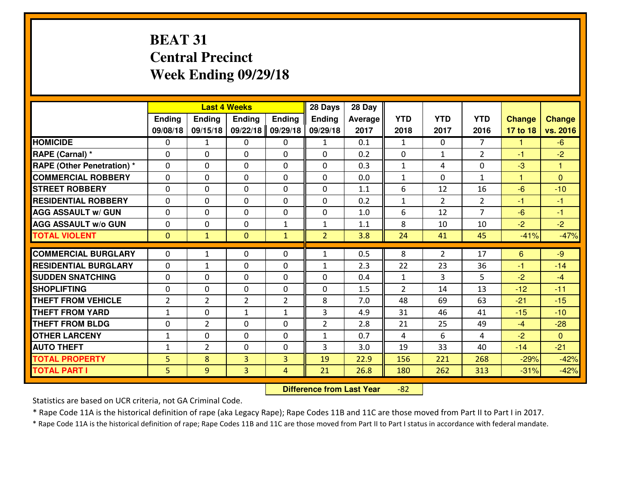# **BEAT 31 Central PrecinctWeek Ending 09/29/18**

|                                  |                |                | <b>Last 4 Weeks</b> |                | 28 Days        | 28 Day  |              |                |                |               |                |
|----------------------------------|----------------|----------------|---------------------|----------------|----------------|---------|--------------|----------------|----------------|---------------|----------------|
|                                  | Ending         | Ending         | <b>Ending</b>       | <b>Ending</b>  | <b>Ending</b>  | Average | <b>YTD</b>   | <b>YTD</b>     | <b>YTD</b>     | <b>Change</b> | Change         |
|                                  | 09/08/18       | 09/15/18       | 09/22/18            | 09/29/18       | 09/29/18       | 2017    | 2018         | 2017           | 2016           | 17 to 18      | vs. 2016       |
| <b>HOMICIDE</b>                  | 0              | 1              | 0                   | 0              | 1              | 0.1     | 1            | $\Omega$       | $\overline{7}$ | 1             | $-6$           |
| RAPE (Carnal) *                  | $\Omega$       | $\Omega$       | $\mathbf 0$         | $\Omega$       | $\Omega$       | 0.2     | $\mathbf 0$  | $\mathbf{1}$   | $\overline{2}$ | $-1$          | $-2$           |
| <b>RAPE (Other Penetration)*</b> | $\Omega$       | 0              | $\Omega$            | $\Omega$       | $\Omega$       | 0.3     | $\mathbf{1}$ | 4              | $\Omega$       | $-3$          | $\mathbf{1}$   |
| <b>COMMERCIAL ROBBERY</b>        | $\Omega$       | $\Omega$       | $\mathbf 0$         | $\Omega$       | $\Omega$       | 0.0     | $\mathbf{1}$ | $\Omega$       | $\mathbf{1}$   | 1             | $\Omega$       |
| <b>ISTREET ROBBERY</b>           | $\Omega$       | 0              | $\mathbf{0}$        | 0              | $\mathbf{0}$   | 1.1     | 6            | 12             | 16             | $-6$          | $-10$          |
| <b>RESIDENTIAL ROBBERY</b>       | 0              | 0              | $\mathbf 0$         | $\Omega$       | 0              | 0.2     | $\mathbf{1}$ | $\overline{2}$ | $\overline{2}$ | $-1$          | $-1$           |
| <b>AGG ASSAULT W/ GUN</b>        | 0              | 0              | $\mathbf 0$         | $\Omega$       | 0              | 1.0     | 6            | 12             | $\overline{7}$ | $-6$          | $-1$           |
| <b>AGG ASSAULT W/o GUN</b>       | 0              | 0              | $\mathbf 0$         | $\mathbf{1}$   | $\mathbf{1}$   | 1.1     | 8            | 10             | 10             | $-2$          | $-2$           |
| <b>TOTAL VIOLENT</b>             | $\mathbf{0}$   | $\mathbf{1}$   | $\mathbf{0}$        | $\mathbf{1}$   | $\overline{2}$ | 3.8     | 24           | 41             | 45             | $-41%$        | $-47%$         |
| <b>COMMERCIAL BURGLARY</b>       | $\Omega$       | $\mathbf{1}$   | $\mathbf{0}$        | $\Omega$       | $\mathbf{1}$   | 0.5     | 8            | $\overline{2}$ | 17             | 6             | $-9$           |
| <b>RESIDENTIAL BURGLARY</b>      | 0              | $\mathbf{1}$   | $\mathbf 0$         | 0              | $\mathbf{1}$   | 2.3     | 22           | 23             | 36             | $-1$          | $-14$          |
| <b>SUDDEN SNATCHING</b>          | 0              | $\Omega$       | $\mathbf 0$         | $\Omega$       | $\Omega$       | 0.4     | $\mathbf{1}$ | 3              | 5              | $-2$          | $-4$           |
| <b>SHOPLIFTING</b>               | 0              | 0              | $\mathbf 0$         | 0              | 0              | 1.5     | 2            | 14             | 13             | $-12$         | $-11$          |
| <b>THEFT FROM VEHICLE</b>        | $\overline{2}$ | $\overline{2}$ | $\overline{2}$      | $\overline{2}$ | 8              | 7.0     | 48           | 69             | 63             | $-21$         | $-15$          |
| <b>THEFT FROM YARD</b>           | $\mathbf 1$    | 0              | $\mathbf{1}$        | $\mathbf{1}$   | 3              | 4.9     | 31           | 46             | 41             | $-15$         | $-10$          |
| <b>THEFT FROM BLDG</b>           | 0              | $\overline{2}$ | $\mathbf{0}$        | $\Omega$       | $\overline{2}$ | 2.8     | 21           | 25             | 49             | $-4$          | $-28$          |
| <b>OTHER LARCENY</b>             | $\mathbf{1}$   | 0              | 0                   | 0              | $\mathbf{1}$   | 0.7     | 4            | 6              | 4              | $-2$          | $\overline{0}$ |
| <b>AUTO THEFT</b>                | $\mathbf{1}$   | $\overline{2}$ | 0                   | 0              | 3              | 3.0     | 19           | 33             | 40             | $-14$         | $-21$          |
| <b>TOTAL PROPERTY</b>            | 5              | 8              | $\overline{3}$      | 3              | 19             | 22.9    | 156          | 221            | 268            | $-29%$        | $-42%$         |
| <b>TOTAL PART I</b>              | 5              | 9              | 3                   | 4              | 21             | 26.8    | 180          | 262            | 313            | $-31%$        | $-42%$         |
|                                  |                |                |                     |                |                |         |              |                |                |               |                |

 **Difference from Last Year**-82

Statistics are based on UCR criteria, not GA Criminal Code.

\* Rape Code 11A is the historical definition of rape (aka Legacy Rape); Rape Codes 11B and 11C are those moved from Part II to Part I in 2017.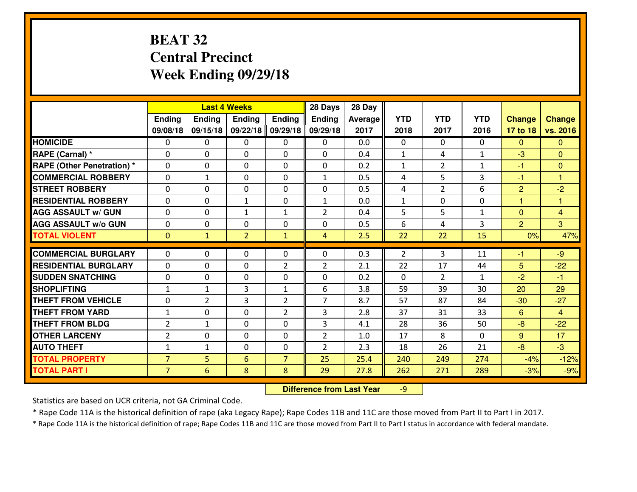# **BEAT 32 Central PrecinctWeek Ending 09/29/18**

|                                  |                |                | <b>Last 4 Weeks</b> |                | 28 Days        | 28 Day  |                |                |              |                |                |
|----------------------------------|----------------|----------------|---------------------|----------------|----------------|---------|----------------|----------------|--------------|----------------|----------------|
|                                  | <b>Ending</b>  | <b>Ending</b>  | <b>Endina</b>       | <b>Ending</b>  | <b>Ending</b>  | Average | <b>YTD</b>     | <b>YTD</b>     | <b>YTD</b>   | <b>Change</b>  | <b>Change</b>  |
|                                  | 09/08/18       | 09/15/18       | 09/22/18            | 09/29/18       | 09/29/18       | 2017    | 2018           | 2017           | 2016         | 17 to 18       | vs. 2016       |
| <b>HOMICIDE</b>                  | $\Omega$       | 0              | 0                   | 0              | 0              | 0.0     | 0              | $\Omega$       | 0            | $\Omega$       | $\mathbf{0}$   |
| RAPE (Carnal) *                  | $\Omega$       | 0              | $\mathbf{0}$        | 0              | $\Omega$       | 0.4     | 1              | 4              | $\mathbf{1}$ | $-3$           | $\Omega$       |
| <b>RAPE (Other Penetration)*</b> | $\Omega$       | $\Omega$       | $\mathbf 0$         | $\Omega$       | 0              | 0.2     | $\mathbf{1}$   | $\overline{2}$ | $\mathbf{1}$ | $-1$           | $\mathbf{0}$   |
| <b>COMMERCIAL ROBBERY</b>        | $\Omega$       | $\mathbf{1}$   | $\mathbf 0$         | $\Omega$       | $\mathbf{1}$   | 0.5     | 4              | 5              | 3            | $-1$           | 1              |
| <b>STREET ROBBERY</b>            | $\Omega$       | $\Omega$       | $\mathbf 0$         | $\Omega$       | 0              | 0.5     | 4              | $\overline{2}$ | 6            | $\overline{2}$ | $-2$           |
| <b>RESIDENTIAL ROBBERY</b>       | $\Omega$       | $\Omega$       | $\mathbf{1}$        | $\Omega$       | $\mathbf{1}$   | 0.0     | $\mathbf{1}$   | $\Omega$       | 0            | $\mathbf{1}$   | $\mathbf{1}$   |
| <b>AGG ASSAULT w/ GUN</b>        | $\Omega$       | 0              | $\mathbf{1}$        | $\mathbf{1}$   | $\overline{2}$ | 0.4     | 5              | 5              | $\mathbf{1}$ | $\mathbf{0}$   | $\overline{4}$ |
| <b>AGG ASSAULT w/o GUN</b>       | 0              | 0              | $\mathbf 0$         | 0              | 0              | 0.5     | 6              | 4              | 3            | 2              | $\overline{3}$ |
| <b>TOTAL VIOLENT</b>             | $\mathbf{0}$   | $\mathbf{1}$   | $\overline{2}$      | $\mathbf{1}$   | $\overline{4}$ | 2.5     | 22             | 22             | 15           | 0%             | 47%            |
| <b>COMMERCIAL BURGLARY</b>       | $\Omega$       | 0              | 0                   | $\Omega$       | $\Omega$       | 0.3     | $\overline{2}$ | 3              | 11           | $-1$           | $-9$           |
| <b>RESIDENTIAL BURGLARY</b>      | 0              | 0              | $\mathbf 0$         | $\overline{2}$ | $\overline{2}$ | 2.1     | 22             | 17             | 44           | 5              | $-22$          |
| <b>SUDDEN SNATCHING</b>          | 0              | 0              | $\mathbf 0$         | 0              | 0              | 0.2     | $\mathbf{0}$   | $\overline{2}$ | $\mathbf{1}$ | $-2$           | $-1$           |
| <b>SHOPLIFTING</b>               | $\mathbf{1}$   | $\mathbf{1}$   | 3                   | $\mathbf{1}$   | 6              | 3.8     | 59             | 39             | 30           | 20             | 29             |
| <b>THEFT FROM VEHICLE</b>        | 0              | $\overline{2}$ | 3                   | $\overline{2}$ | $\overline{7}$ | 8.7     | 57             | 87             | 84           | $-30$          | $-27$          |
| <b>THEFT FROM YARD</b>           | $1\,$          | 0              | $\mathbf 0$         | $\overline{2}$ | 3              | 2.8     | 37             | 31             | 33           | $6\phantom{1}$ | $\overline{4}$ |
| <b>THEFT FROM BLDG</b>           | $\overline{2}$ | 1              | $\mathbf 0$         | 0              | 3              | 4.1     | 28             | 36             | 50           | $-8$           | $-22$          |
| <b>OTHER LARCENY</b>             | $\overline{2}$ | 0              | $\mathbf 0$         | 0              | $\overline{2}$ | 1.0     | 17             | 8              | 0            | 9              | 17             |
| <b>AUTO THEFT</b>                | $\mathbf{1}$   | $\mathbf{1}$   | $\mathbf 0$         | 0              | $\overline{2}$ | 2.3     | 18             | 26             | 21           | $-8$           | $-3$           |
| <b>TOTAL PROPERTY</b>            | $\overline{7}$ | 5              | 6                   | $\overline{7}$ | 25             | 25.4    | 240            | 249            | 274          | $-4%$          | $-12%$         |
| <b>TOTAL PART I</b>              | $\overline{7}$ | 6              | 8                   | 8              | 29             | 27.8    | 262            | 271            | 289          | $-3%$          | $-9%$          |
|                                  |                |                |                     |                |                |         |                |                |              |                |                |

 **Difference from Last Year**-9

Statistics are based on UCR criteria, not GA Criminal Code.

\* Rape Code 11A is the historical definition of rape (aka Legacy Rape); Rape Codes 11B and 11C are those moved from Part II to Part I in 2017.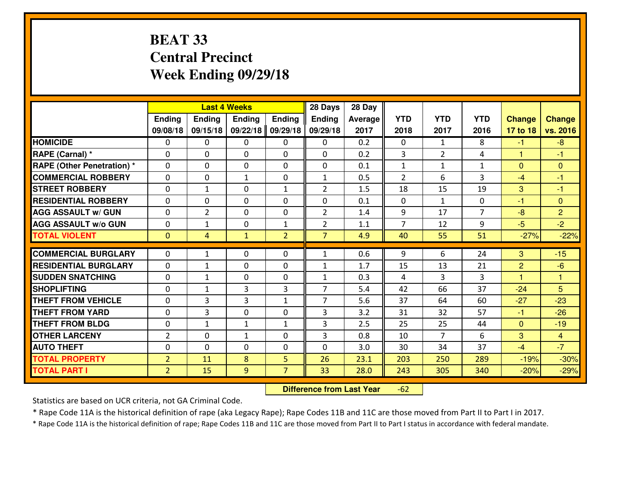# **BEAT 33 Central PrecinctWeek Ending 09/29/18**

|                                  |                |                | <b>Last 4 Weeks</b> |                | 28 Days        | 28 Day  |                |                |                |                |                |
|----------------------------------|----------------|----------------|---------------------|----------------|----------------|---------|----------------|----------------|----------------|----------------|----------------|
|                                  | <b>Ending</b>  | <b>Ending</b>  | <b>Endina</b>       | <b>Ending</b>  | <b>Ending</b>  | Average | <b>YTD</b>     | <b>YTD</b>     | <b>YTD</b>     | <b>Change</b>  | <b>Change</b>  |
|                                  | 09/08/18       | 09/15/18       | 09/22/18            | 09/29/18       | 09/29/18       | 2017    | 2018           | 2017           | 2016           | 17 to 18       | vs. 2016       |
| <b>HOMICIDE</b>                  | $\Omega$       | 0              | 0                   | 0              | 0              | 0.2     | 0              | $\mathbf{1}$   | 8              | $-1$           | $-8$           |
| RAPE (Carnal) *                  | $\Omega$       | 0              | $\mathbf{0}$        | 0              | $\Omega$       | 0.2     | 3              | $\overline{2}$ | 4              | 1              | -1             |
| <b>RAPE (Other Penetration)*</b> | $\Omega$       | $\Omega$       | $\mathbf 0$         | $\Omega$       | 0              | 0.1     | $\mathbf{1}$   | $\mathbf{1}$   | $\mathbf{1}$   | $\Omega$       | $\Omega$       |
| <b>COMMERCIAL ROBBERY</b>        | $\Omega$       | 0              | $\mathbf{1}$        | 0              | $\mathbf{1}$   | 0.5     | $\overline{2}$ | 6              | 3              | $-4$           | $-1$           |
| <b>STREET ROBBERY</b>            | $\Omega$       | $\mathbf{1}$   | $\mathbf 0$         | $\mathbf{1}$   | $\overline{2}$ | 1.5     | 18             | 15             | 19             | 3              | $-1$           |
| <b>RESIDENTIAL ROBBERY</b>       | $\Omega$       | $\Omega$       | $\mathbf 0$         | $\Omega$       | 0              | 0.1     | $\mathbf 0$    | $\mathbf{1}$   | 0              | $-1$           | $\overline{0}$ |
| <b>AGG ASSAULT w/ GUN</b>        | $\Omega$       | $\overline{2}$ | $\mathbf 0$         | $\Omega$       | $\overline{2}$ | 1.4     | 9              | 17             | $\overline{7}$ | $-8$           | $\overline{2}$ |
| <b>AGG ASSAULT w/o GUN</b>       | 0              | $\mathbf{1}$   | $\mathbf 0$         | $\mathbf{1}$   | $\overline{2}$ | 1.1     | $\overline{7}$ | 12             | 9              | $-5$           | $-2$           |
| <b>TOTAL VIOLENT</b>             | $\mathbf{0}$   | $\overline{4}$ | $\mathbf{1}$        | $\overline{2}$ | $\overline{7}$ | 4.9     | 40             | 55             | 51             | $-27%$         | $-22%$         |
| <b>COMMERCIAL BURGLARY</b>       | $\Omega$       | $\mathbf{1}$   | 0                   | $\Omega$       | $\mathbf{1}$   | 0.6     | 9              | 6              | 24             | 3              | $-15$          |
| <b>RESIDENTIAL BURGLARY</b>      | 0              | $\mathbf{1}$   | $\mathbf 0$         | 0              | $\mathbf{1}$   | 1.7     | 15             | 13             | 21             | $\overline{2}$ | $-6$           |
| <b>SUDDEN SNATCHING</b>          | 0              | $\mathbf{1}$   | $\mathbf 0$         | 0              | $\mathbf{1}$   | 0.3     | 4              | 3              | 3              | $\overline{1}$ | 1              |
| <b>SHOPLIFTING</b>               | 0              | $\mathbf{1}$   | 3                   | 3              | $\overline{7}$ | 5.4     | 42             | 66             | 37             | $-24$          | 5              |
| <b>THEFT FROM VEHICLE</b>        | $\Omega$       | 3              | 3                   | $\mathbf{1}$   | $\overline{7}$ | 5.6     | 37             | 64             | 60             | $-27$          | $-23$          |
| <b>THEFT FROM YARD</b>           | 0              | 3              | $\mathbf 0$         | 0              | 3              | 3.2     | 31             | 32             | 57             | $-1$           | $-26$          |
| <b>THEFT FROM BLDG</b>           | 0              | 1              | $\mathbf{1}$        | $\mathbf{1}$   | 3              | 2.5     | 25             | 25             | 44             | $\overline{0}$ | $-19$          |
| <b>OTHER LARCENY</b>             | $\overline{2}$ | 0              | $\mathbf{1}$        | 0              | 3              | 0.8     | 10             | $\overline{7}$ | 6              | 3              | $\overline{4}$ |
| <b>AUTO THEFT</b>                | 0              | 0              | $\mathbf 0$         | 0              | 0              | 3.0     | 30             | 34             | 37             | $-4$           | $-7$           |
| <b>TOTAL PROPERTY</b>            | $\overline{2}$ | 11             | 8                   | 5              | 26             | 23.1    | 203            | 250            | 289            | $-19%$         |                |
|                                  |                |                |                     |                |                |         |                |                |                |                | $-30%$         |
| <b>TOTAL PART I</b>              | $\overline{2}$ | 15             | 9                   | $\overline{7}$ | 33             | 28.0    | 243            | 305            | 340            | $-20%$         | $-29%$         |

 **Difference from Last Year** $-62$ 

Statistics are based on UCR criteria, not GA Criminal Code.

\* Rape Code 11A is the historical definition of rape (aka Legacy Rape); Rape Codes 11B and 11C are those moved from Part II to Part I in 2017.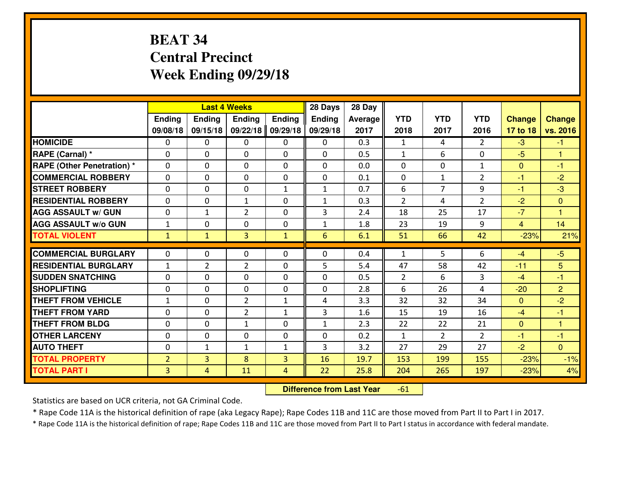# **BEAT 34 Central PrecinctWeek Ending 09/29/18**

|                                  |                |                | <b>Last 4 Weeks</b> |               | 28 Days       | 28 Day  |                |                |                |                |                      |
|----------------------------------|----------------|----------------|---------------------|---------------|---------------|---------|----------------|----------------|----------------|----------------|----------------------|
|                                  | Ending         | Ending         | Ending              | <b>Ending</b> | <b>Ending</b> | Average | <b>YTD</b>     | <b>YTD</b>     | <b>YTD</b>     | <b>Change</b>  | <b>Change</b>        |
|                                  | 09/08/18       | 09/15/18       | 09/22/18            | 09/29/18      | 09/29/18      | 2017    | 2018           | 2017           | 2016           | 17 to 18       | vs. 2016             |
| <b>HOMICIDE</b>                  | 0              | 0              | 0                   | 0             | 0             | 0.3     | 1              | 4              | $\overline{2}$ | $-3$           | $-1$                 |
| RAPE (Carnal) *                  | $\Omega$       | 0              | 0                   | $\Omega$      | 0             | 0.5     | $\mathbf{1}$   | 6              | 0              | $-5$           | 1                    |
| <b>RAPE (Other Penetration)*</b> | $\Omega$       | $\Omega$       | $\mathbf 0$         | $\Omega$      | $\Omega$      | 0.0     | $\Omega$       | $\Omega$       | $\mathbf{1}$   | $\mathbf{0}$   | $-1$                 |
| <b>COMMERCIAL ROBBERY</b>        | $\Omega$       | $\Omega$       | $\mathbf 0$         | $\Omega$      | 0             | 0.1     | $\Omega$       | $\mathbf{1}$   | $\overline{2}$ | $-1$           | $-2$                 |
| <b>ISTREET ROBBERY</b>           | $\mathbf{0}$   | 0              | $\mathbf{0}$        | $\mathbf{1}$  | $\mathbf{1}$  | 0.7     | 6              | $\overline{7}$ | 9              | $-1$           | $-3$                 |
| <b>RESIDENTIAL ROBBERY</b>       | 0              | 0              | 1                   | 0             | $\mathbf{1}$  | 0.3     | $\overline{2}$ | 4              | $\overline{2}$ | $-2$           | $\overline{0}$       |
| <b>AGG ASSAULT W/ GUN</b>        | 0              | $\mathbf{1}$   | $\overline{2}$      | 0             | 3             | 2.4     | 18             | 25             | 17             | $-7$           | $\mathbf{1}$         |
| <b>AGG ASSAULT W/o GUN</b>       | $1\,$          | 0              | $\mathbf 0$         | $\mathbf{0}$  | $\mathbf{1}$  | 1.8     | 23             | 19             | 9              | $\overline{4}$ | 14                   |
| <b>TOTAL VIOLENT</b>             | $\mathbf{1}$   | $\mathbf{1}$   | $\overline{3}$      | $\mathbf{1}$  | 6             | 6.1     | 51             | 66             | 42             | $-23%$         | 21%                  |
| <b>COMMERCIAL BURGLARY</b>       | $\Omega$       | 0              | $\mathbf{0}$        | $\Omega$      | $\Omega$      | 0.4     | $\mathbf{1}$   | 5              | 6              | $-4$           | $-5$                 |
| <b>RESIDENTIAL BURGLARY</b>      | $\mathbf{1}$   | $\overline{2}$ | $\overline{2}$      | $\Omega$      | 5             | 5.4     | 47             | 58             | 42             | $-11$          | 5                    |
| <b>SUDDEN SNATCHING</b>          | $\Omega$       | $\Omega$       | $\mathbf 0$         | $\Omega$      | 0             | 0.5     | $\overline{2}$ | 6              | 3              | $-4$           | $-1$                 |
| <b>SHOPLIFTING</b>               | 0              | 0              | $\mathbf 0$         | 0             | 0             | 2.8     | 6              | 26             | 4              | $-20$          | $\overline{2}$       |
| <b>THEFT FROM VEHICLE</b>        | $\mathbf{1}$   | 0              | $\overline{2}$      | $\mathbf{1}$  | 4             | 3.3     | 32             | 32             | 34             | $\Omega$       | $-2$                 |
| <b>THEFT FROM YARD</b>           | 0              | 0              | $\overline{2}$      | $\mathbf{1}$  | 3             | 1.6     | 15             | 19             | 16             | $-4$           | $-1$                 |
| <b>THEFT FROM BLDG</b>           | $\mathbf{0}$   | 0              | 1                   | 0             | $\mathbf{1}$  | 2.3     | 22             | 22             | 21             | $\mathbf{0}$   | $\blacktriangleleft$ |
| <b>OTHER LARCENY</b>             | 0              | 0              | $\mathbf 0$         | 0             | 0             | 0.2     | $\mathbf{1}$   | $\overline{2}$ | $\overline{2}$ | $-1$           | $-1$                 |
| <b>AUTO THEFT</b>                | 0              | $\mathbf{1}$   | 1                   | $\mathbf{1}$  | 3             | 3.2     | 27             | 29             | 27             | $-2$           | $\overline{0}$       |
| <b>TOTAL PROPERTY</b>            | $\overline{2}$ | $\overline{3}$ | 8                   | 3             | 16            | 19.7    | 153            | 199            | 155            | $-23%$         | $-1%$                |
| <b>TOTAL PART I</b>              | $\overline{3}$ | $\overline{4}$ | 11                  | 4             | 22            | 25.8    | 204            | 265            | 197            | $-23%$         | 4%                   |

 **Difference from Last Year**-61

Statistics are based on UCR criteria, not GA Criminal Code.

\* Rape Code 11A is the historical definition of rape (aka Legacy Rape); Rape Codes 11B and 11C are those moved from Part II to Part I in 2017.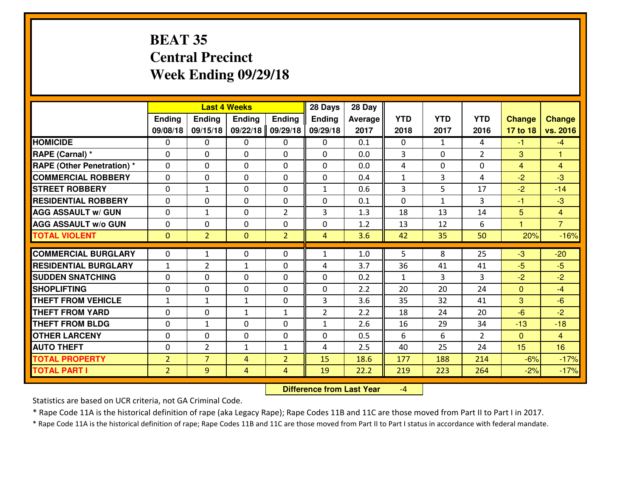# **BEAT 35 Central PrecinctWeek Ending 09/29/18**

|                                   |                |                | <b>Last 4 Weeks</b> |                | 28 Days        | 28 Day         |                |              |                |                      |                |
|-----------------------------------|----------------|----------------|---------------------|----------------|----------------|----------------|----------------|--------------|----------------|----------------------|----------------|
|                                   | Ending         | <b>Ending</b>  | <b>Ending</b>       | Ending         | <b>Ending</b>  | <b>Average</b> | <b>YTD</b>     | <b>YTD</b>   | <b>YTD</b>     | <b>Change</b>        | <b>Change</b>  |
|                                   | 09/08/18       | 09/15/18       | 09/22/18            | 09/29/18       | 09/29/18       | 2017           | 2018           | 2017         | 2016           | 17 to 18             | vs. 2016       |
| <b>HOMICIDE</b>                   | $\Omega$       | 0              | $\Omega$            | $\Omega$       | 0              | 0.1            | $\Omega$       | $\mathbf{1}$ | 4              | $-1$                 | $-4$           |
| RAPE (Carnal) *                   | $\Omega$       | 0              | $\Omega$            | $\Omega$       | $\Omega$       | 0.0            | 3              | $\Omega$     | $\overline{2}$ | 3                    | $\mathbf{1}$   |
| <b>RAPE (Other Penetration) *</b> | 0              | 0              | $\mathbf 0$         | 0              | 0              | 0.0            | 4              | $\Omega$     | 0              | $\overline{4}$       | $\overline{4}$ |
| <b>COMMERCIAL ROBBERY</b>         | 0              | 0              | $\mathbf 0$         | 0              | 0              | 0.4            | $\mathbf{1}$   | 3            | 4              | $-2$                 | $-3$           |
| <b>STREET ROBBERY</b>             | $\mathbf{0}$   | 1              | $\mathbf 0$         | 0              | $\mathbf{1}$   | 0.6            | $\overline{3}$ | 5            | 17             | $-2$                 | $-14$          |
| <b>RESIDENTIAL ROBBERY</b>        | $\Omega$       | 0              | $\mathbf 0$         | 0              | 0              | 0.1            | $\mathbf{0}$   | $\mathbf{1}$ | 3              | $-1$                 | $-3$           |
| <b>AGG ASSAULT w/ GUN</b>         | 0              | $\mathbf{1}$   | 0                   | $\overline{2}$ | 3              | 1.3            | 18             | 13           | 14             | 5                    | $\overline{4}$ |
| <b>AGG ASSAULT W/o GUN</b>        | 0              | 0              | 0                   | 0              | 0              | 1.2            | 13             | 12           | 6              | $\blacktriangleleft$ | $\overline{7}$ |
| <b>TOTAL VIOLENT</b>              | $\mathbf{0}$   | $\overline{2}$ | $\mathbf{0}$        | $\overline{2}$ | $\overline{4}$ | 3.6            | 42             | 35           | 50             | 20%                  | $-16%$         |
| <b>COMMERCIAL BURGLARY</b>        | $\mathbf{0}$   | 1              | $\mathbf{0}$        | $\mathbf{0}$   | $\mathbf{1}$   | 1.0            | 5              | 8            | 25             | $-3$                 | $-20$          |
| <b>RESIDENTIAL BURGLARY</b>       | $\mathbf{1}$   | $\overline{2}$ | $\mathbf{1}$        | 0              | 4              | 3.7            | 36             | 41           | 41             | $-5$                 | $-5$           |
| <b>SUDDEN SNATCHING</b>           | $\mathbf{0}$   | 0              |                     | 0              | 0              | 0.2            | $\mathbf{1}$   | 3            | 3              | $-2$                 | $-2$           |
| <b>SHOPLIFTING</b>                | 0              | 0              | 0<br>$\mathbf 0$    | 0              | 0              | 2.2            | 20             | 20           | 24             | $\mathbf{0}$         | $-4$           |
| <b>THEFT FROM VEHICLE</b>         | $\mathbf{1}$   | 1              | $\mathbf{1}$        | 0              | 3              | 3.6            | 35             | 32           | 41             | 3                    | $-6$           |
| <b>THEFT FROM YARD</b>            | 0              | 0              | 1                   | $\mathbf{1}$   | $\overline{2}$ | 2.2            | 18             | 24           | 20             | $-6$                 | $-2$           |
| <b>THEFT FROM BLDG</b>            | 0              | 1              | 0                   | 0              | $\mathbf{1}$   | 2.6            | 16             | 29           | 34             | $-13$                | $-18$          |
| <b>OTHER LARCENY</b>              | 0              | 0              | 0                   | 0              | 0              | 0.5            | 6              | 6            | $\overline{2}$ | $\overline{0}$       | $\overline{4}$ |
| <b>AUTO THEFT</b>                 | 0              | $\overline{2}$ | $\mathbf{1}$        | $\mathbf{1}$   | 4              | 2.5            | 40             | 25           | 24             | 15                   | 16             |
| <b>TOTAL PROPERTY</b>             | $\overline{2}$ | $\overline{7}$ |                     |                |                |                |                |              |                |                      |                |
|                                   |                |                | 4                   | $\overline{2}$ | 15             | 18.6           | 177            | 188          | 214            | $-6%$                | $-17%$         |
| <b>TOTAL PART I</b>               | $\overline{2}$ | 9              | 4                   | $\overline{4}$ | 19             | 22.2           | 219            | 223          | 264            | $-2%$                | $-17%$         |

 **Difference from Last Year**-4

Statistics are based on UCR criteria, not GA Criminal Code.

\* Rape Code 11A is the historical definition of rape (aka Legacy Rape); Rape Codes 11B and 11C are those moved from Part II to Part I in 2017.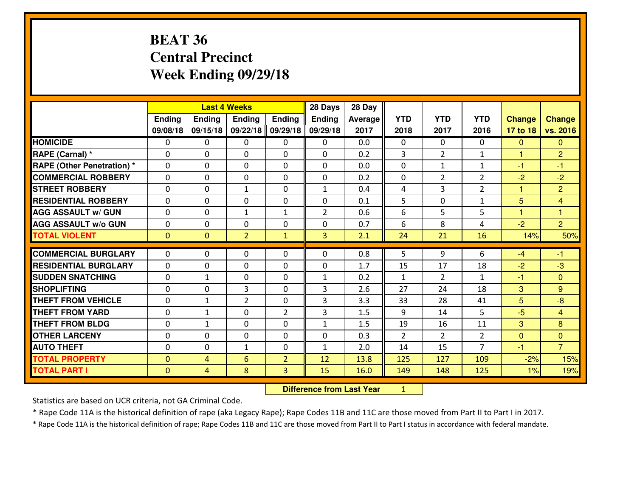# **BEAT 36 Central PrecinctWeek Ending 09/29/18**

|                                  |              |                                  | <b>Last 4 Weeks</b> |                | 28 Days        | 28 Day         |                |                |                |               |                |
|----------------------------------|--------------|----------------------------------|---------------------|----------------|----------------|----------------|----------------|----------------|----------------|---------------|----------------|
|                                  | Ending       | <b>Ending</b>                    | <b>Ending</b>       | Ending         | <b>Ending</b>  | <b>Average</b> | <b>YTD</b>     | <b>YTD</b>     | <b>YTD</b>     | <b>Change</b> | <b>Change</b>  |
|                                  | 09/08/18     | 09/15/18                         | 09/22/18            | 09/29/18       | 09/29/18       | 2017           | 2018           | 2017           | 2016           | 17 to 18      | vs. 2016       |
| <b>HOMICIDE</b>                  | 0            | 0                                | 0                   | $\mathbf{0}$   | 0              | 0.0            | 0              | $\mathbf{0}$   | 0              | $\mathbf{0}$  | $\overline{0}$ |
| RAPE (Carnal) *                  | $\mathbf{0}$ | 0                                | 0                   | 0              | 0              | 0.2            | 3              | $\overline{2}$ | $\mathbf{1}$   | 1             | $\overline{2}$ |
| <b>RAPE (Other Penetration)*</b> | 0            | 0                                | 0                   | 0              | 0              | 0.0            | 0              | $\mathbf{1}$   | $\mathbf{1}$   | $-1$          | $-1$           |
| <b>COMMERCIAL ROBBERY</b>        | $\mathbf 0$  | 0                                | $\mathbf 0$         | 0              | 0              | 0.2            | 0              | $\overline{2}$ | $\overline{2}$ | $-2$          | $-2$           |
| <b>ISTREET ROBBERY</b>           | $\Omega$     | 0                                | $\mathbf{1}$        | $\Omega$       | $\mathbf{1}$   | 0.4            | 4              | 3              | $\overline{2}$ | $\mathbf{1}$  | $\overline{2}$ |
| <b>RESIDENTIAL ROBBERY</b>       | 0            | 0                                | $\mathbf{0}$        | 0              | 0              | 0.1            | 5              | $\mathbf 0$    | $\mathbf{1}$   | 5             | $\overline{4}$ |
| <b>AGG ASSAULT W/ GUN</b>        | 0            | 0                                | $\mathbf{1}$        | $\mathbf{1}$   | $\overline{2}$ | 0.6            | 6              | 5              | 5              | $\mathbf{1}$  | $\mathbf{1}$   |
| <b>AGG ASSAULT w/o GUN</b>       | 0            | 0                                | $\mathbf 0$         | 0              | 0              | 0.7            | 6              | 8              | 4              | $-2$          | $\overline{2}$ |
| <b>TOTAL VIOLENT</b>             | $\mathbf{0}$ | $\overline{0}$                   | $\overline{2}$      | $\mathbf{1}$   | $\overline{3}$ | 2.1            | 24             | 21             | 16             | 14%           | 50%            |
| <b>COMMERCIAL BURGLARY</b>       | $\Omega$     | 0                                | $\mathbf{0}$        | 0              | $\Omega$       | 0.8            | 5              | 9              | 6              | $-4$          | $-1$           |
| <b>RESIDENTIAL BURGLARY</b>      | $\Omega$     | 0                                | $\mathbf 0$         | $\Omega$       | 0              | 1.7            | 15             | 17             | 18             | $-2$          | $-3$           |
| <b>ISUDDEN SNATCHING</b>         | $\mathbf{0}$ | 1                                | $\mathbf{0}$        | $\Omega$       | $\mathbf{1}$   | 0.2            | $\mathbf{1}$   | $\overline{2}$ | $\mathbf{1}$   | $-1$          | $\mathbf{0}$   |
| <b>SHOPLIFTING</b>               | $\mathbf{0}$ | 0                                | 3                   | 0              | 3              | 2.6            | 27             | 24             | 18             | 3             | 9              |
| <b>THEFT FROM VEHICLE</b>        | 0            | $\mathbf{1}$                     | $\overline{2}$      | 0              | 3              | 3.3            | 33             | 28             | 41             | 5             | $-8$           |
| <b>THEFT FROM YARD</b>           | $\mathbf{0}$ | $\mathbf{1}$                     | 0                   | 2              | 3              | 1.5            | 9              | 14             | 5              | $-5$          | $\overline{4}$ |
| <b>THEFT FROM BLDG</b>           | 0            | 1                                | 0                   | 0              | $\mathbf{1}$   | 1.5            | 19             | 16             | 11             | 3             | 8              |
| <b>OTHER LARCENY</b>             | 0            | 0                                | 0                   | 0              | 0              | 0.3            | $\overline{2}$ | $\overline{2}$ | $\overline{2}$ | $\mathbf{0}$  | $\overline{0}$ |
| <b>AUTO THEFT</b>                | 0            | 0                                | 1                   | 0              | $\mathbf{1}$   | 2.0            | 14             | 15             | $\overline{7}$ | $-1$          | $\overline{7}$ |
| <b>TOTAL PROPERTY</b>            | $\mathbf{0}$ | 4                                | 6                   | $\overline{2}$ | 12             | 13.8           | 125            | 127            | 109            | $-2%$         | 15%            |
| <b>TOTAL PART I</b>              | $\mathbf{0}$ | $\overline{4}$                   | 8                   | 3              | 15             | 16.0           | 149            | 148            | 125            | 1%            | 19%            |
|                                  |              | <b>Difference from Last Year</b> |                     | $\mathbf{1}$   |                |                |                |                |                |               |                |

 **Difference from Last Year**

Statistics are based on UCR criteria, not GA Criminal Code.

\* Rape Code 11A is the historical definition of rape (aka Legacy Rape); Rape Codes 11B and 11C are those moved from Part II to Part I in 2017.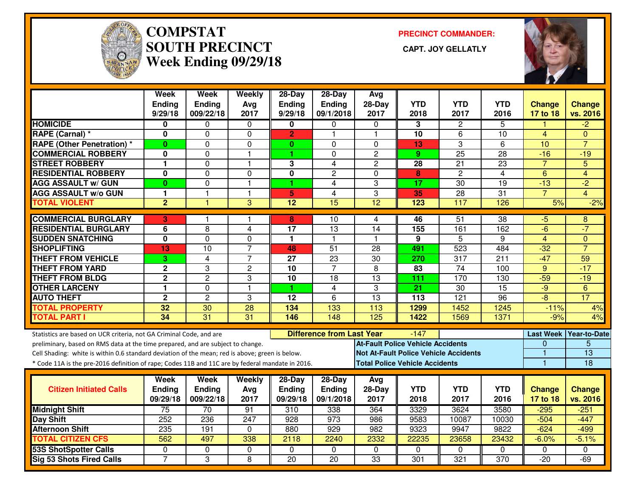

#### **COMPSTAT PRECINCT COMMANDER: SOUTH PRECINCT CAPT. JOY GELLATLYWeek Ending 09/29/18**



|                                                                                                  | Week<br>Ending<br>9/29/18 | Week<br><b>Ending</b><br>009/22/18 | Weekly<br>Avg           | 28-Day<br>Ending<br>9/29/18 | $28-Day$<br>Ending<br>09/1/2018  | Avg<br>$28-Day$<br>2017                  | <b>YTD</b>                            | <b>YTD</b>                                   | <b>YTD</b><br>2016 | <b>Change</b><br>17 to 18 | <b>Change</b><br>vs. 2016  |
|--------------------------------------------------------------------------------------------------|---------------------------|------------------------------------|-------------------------|-----------------------------|----------------------------------|------------------------------------------|---------------------------------------|----------------------------------------------|--------------------|---------------------------|----------------------------|
| <b>HOMICIDE</b>                                                                                  | 0                         | 0                                  | 2017<br>$\mathbf 0$     | 0                           | 0                                | 0                                        | 2018<br>3                             | 2017<br>2                                    | 5                  |                           | $\overline{2}$             |
| RAPE (Carnal) *                                                                                  | 0                         | $\Omega$                           | $\mathbf 0$             | $\overline{2}$              | $\mathbf{1}$                     | $\overline{1}$                           | 10                                    | 6                                            | 10                 | 4                         | $\Omega$                   |
| <b>RAPE (Other Penetration) *</b>                                                                | $\mathbf{0}$              | $\Omega$                           | 0                       | $\mathbf{0}$                | $\Omega$                         | $\Omega$                                 | 13                                    | 3                                            | 6                  | 10                        | $\overline{7}$             |
| <b>COMMERCIAL ROBBERY</b>                                                                        | 0                         | 0                                  | $\mathbf{1}$            | 1                           | 0                                | $\overline{2}$                           | 9                                     | $\overline{25}$                              | $\overline{28}$    | $-16$                     | $-19$                      |
| <b>STREET ROBBERY</b>                                                                            | 1                         | 0                                  | $\mathbf{1}$            | 3                           | 4                                | $\mathbf{2}$                             | 28                                    | 21                                           | 23                 | $\overline{7}$            | 5                          |
| <b>RESIDENTIAL ROBBERY</b>                                                                       | 0                         | 0                                  | $\Omega$                | 0                           | $\overline{c}$                   | $\Omega$                                 | 8                                     | $\overline{2}$                               | $\overline{4}$     | $6\phantom{1}6$           | 4                          |
| <b>AGG ASSAULT w/ GUN</b>                                                                        | $\bf{0}$                  | 0                                  | $\mathbf{1}$            | 1                           | $\overline{4}$                   | 3                                        | 17                                    | 30                                           | 19                 | $-13$                     | $-2$                       |
| <b>AGG ASSAULT w/o GUN</b>                                                                       | 1                         | $\mathbf{1}$                       | $\mathbf{1}$            | 5                           | 4                                | 3                                        | 35                                    | 28                                           | 31                 | $\overline{7}$            | $\overline{4}$             |
| <b>TOTAL VIOLENT</b>                                                                             | $\overline{2}$            |                                    | 3                       | $\overline{12}$             | $\overline{15}$                  | $\overline{12}$                          | $\overline{123}$                      | 117                                          | 126                | 5%                        | $-2%$                      |
|                                                                                                  |                           |                                    |                         |                             |                                  |                                          |                                       |                                              |                    |                           |                            |
| <b>COMMERCIAL BURGLARY</b>                                                                       | 3                         |                                    |                         | 8                           | 10                               | 4                                        | 46                                    | 51                                           | $\overline{38}$    | $-5$                      | 8                          |
| <b>RESIDENTIAL BURGLARY</b>                                                                      | 6                         | 8                                  | $\overline{\mathbf{4}}$ | 17                          | 13                               | 14<br>$\overline{\mathbf{1}}$            | 155                                   | 161                                          | 162                | $-6$                      | $-7$                       |
| <b>SUDDEN SNATCHING</b>                                                                          | $\overline{\mathbf{0}}$   | $\overline{0}$<br>10               | 0<br>$\overline{7}$     | 1                           | $\mathbf{1}$                     | 28                                       | 9                                     | $\overline{5}$<br>523                        | 9<br>484           | $\overline{4}$            | $\Omega$<br>$\overline{7}$ |
| <b>SHOPLIFTING</b>                                                                               | 13                        |                                    |                         | 48                          | 51                               |                                          | 491                                   |                                              |                    | $-32$                     |                            |
| <b>THEFT FROM VEHICLE</b><br><b>THEFT FROM YARD</b>                                              | 3.<br>$\overline{2}$      | $\overline{4}$<br>3                | $\overline{7}$          | 27<br>$\overline{10}$       | 23<br>$\overline{7}$             | 30<br>$\overline{8}$                     | 270                                   | 317<br>$\overline{74}$                       | 211                | $-47$                     | 59<br>$-17$                |
| <b>THEFT FROM BLDG</b>                                                                           | $\overline{2}$            | $\overline{2}$                     | $\overline{2}$          | $\overline{10}$             | 18                               | $\overline{13}$                          | 83                                    | 170                                          | 100<br>130         | 9<br>$-59$                | $-19$                      |
| <b>OTHER LARCENY</b>                                                                             | $\mathbf{1}$              | 0                                  | 3<br>$\overline{1}$     | 1                           | $\overline{4}$                   | 3                                        | 111<br>$\overline{21}$                | $\overline{30}$                              | $\overline{15}$    | $-9$                      | 6                          |
| <b>AUTO THEFT</b>                                                                                | $\mathbf 2$               | $\overline{c}$                     | 3                       | 12                          | 6                                | $\overline{13}$                          | 113                                   | 121                                          | 96                 | -8                        | 17                         |
| <b>TOTAL PROPERTY</b>                                                                            | 32                        | 30                                 | 28                      | 134                         | 133                              | 113                                      | 1299                                  | 1452                                         | 1245               | $-11%$                    | 4%                         |
| <b>TOTAL PART I</b>                                                                              | $\overline{34}$           | 31                                 | $\overline{31}$         | 146                         | 148                              | 125                                      | 1422                                  | 1569                                         | 1371               | $-9%$                     | 4%                         |
|                                                                                                  |                           |                                    |                         |                             |                                  |                                          |                                       |                                              |                    |                           |                            |
| Statistics are based on UCR criteria, not GA Criminal Code, and are                              |                           |                                    |                         |                             | <b>Difference from Last Year</b> |                                          | $-147$                                |                                              |                    |                           | Last Week Year-to-Date     |
| preliminary, based on RMS data at the time prepared, and are subject to change.                  |                           |                                    |                         |                             |                                  | <b>At-Fault Police Vehicle Accidents</b> |                                       |                                              |                    | 0                         | 5                          |
| Cell Shading: white is within 0.6 standard deviation of the mean; red is above; green is below.  |                           |                                    |                         |                             |                                  |                                          |                                       | <b>Not At-Fault Police Vehicle Accidents</b> |                    | $\overline{1}$            | $\overline{13}$            |
| * Code 11A is the pre-2016 definition of rape; Codes 11B and 11C are by federal mandate in 2016. |                           |                                    |                         |                             |                                  |                                          | <b>Total Police Vehicle Accidents</b> |                                              |                    | $\mathbf{1}$              | 18                         |
|                                                                                                  | Week                      | Week                               | Weekly                  | 28-Day                      | $28-Day$                         | Avg                                      |                                       |                                              |                    |                           |                            |
| <b>Citizen Initiated Calls</b>                                                                   | <b>Ending</b>             | <b>Ending</b>                      | Avg                     | <b>Ending</b>               | Ending                           | 28-Day                                   | <b>YTD</b>                            | <b>YTD</b>                                   | <b>YTD</b>         | <b>Change</b>             | <b>Change</b>              |
|                                                                                                  | 09/29/18                  | 009/22/18                          | 2017                    | 09/29/18                    | 09/1/2018                        | 2017                                     | 2018                                  | 2017                                         | 2016               | 17 to 18                  | vs. 2016                   |
| <b>Midnight Shift</b>                                                                            | 75                        | 70                                 | 91                      | $\overline{310}$            | 338                              | 364                                      | 3329                                  | 3624                                         | 3580               | $-295$                    | $-251$                     |
| <b>Day Shift</b>                                                                                 | 252                       | 236                                | 247                     | 928                         | 973                              | 986                                      | 9583                                  | 10087                                        | 10030              | $-504$                    | $-447$                     |
| <b>Afternoon Shift</b>                                                                           | 235                       | 191                                | $\mathbf 0$             | 880                         | 929                              | 982                                      | 9323                                  | 9947                                         | 9822               | $-624$                    | $-499$                     |
| <b>TOTAL CITIZEN CFS</b>                                                                         | 562                       | 497                                | 338                     | 2118                        | 2240                             | 2332                                     | 22235                                 | 23658                                        | 23432              | $-6.0%$                   | $-5.1%$                    |
| <b>53S ShotSpotter Calls</b>                                                                     | $\Omega$                  | 0                                  | $\mathbf 0$             | $\Omega$                    | $\mathbf{0}$                     | $\Omega$                                 | $\Omega$                              | $\Omega$                                     | $\Omega$           | $\Omega$                  | 0                          |
| <b>Sig 53 Shots Fired Calls</b>                                                                  | $\overline{7}$            | 3                                  | 8                       | $\overline{20}$             | $\overline{20}$                  | 33                                       | 301                                   | 321                                          | $\overline{370}$   | $-20$                     | $-69$                      |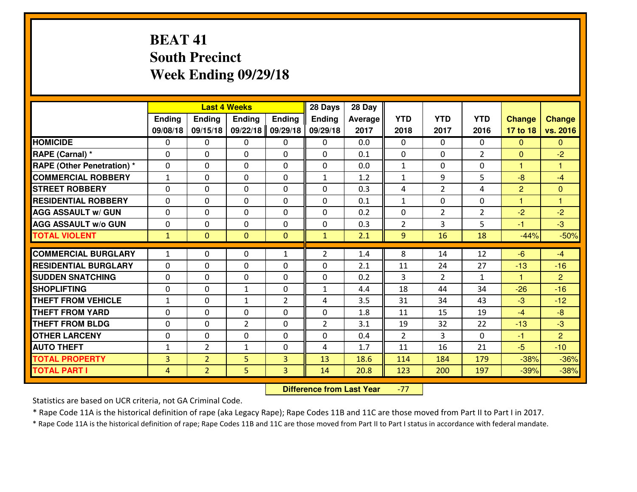# **BEAT 41 South PrecinctWeek Ending 09/29/18**

|                                  |                |                | <b>Last 4 Weeks</b> |                | 28 Days        | 28 Day  |                |                |                |                |                         |
|----------------------------------|----------------|----------------|---------------------|----------------|----------------|---------|----------------|----------------|----------------|----------------|-------------------------|
|                                  | Ending         | Ending         | Ending              | <b>Ending</b>  | <b>Ending</b>  | Average | <b>YTD</b>     | <b>YTD</b>     | <b>YTD</b>     | <b>Change</b>  | <b>Change</b>           |
|                                  | 09/08/18       | 09/15/18       | 09/22/18            | 09/29/18       | 09/29/18       | 2017    | 2018           | 2017           | 2016           | 17 to 18       | vs. 2016                |
| <b>HOMICIDE</b>                  | 0              | 0              | 0                   | 0              | 0              | 0.0     | 0              | $\Omega$       | 0              | $\Omega$       | $\Omega$                |
| RAPE (Carnal) *                  | $\Omega$       | 0              | 0                   | $\Omega$       | 0              | 0.1     | 0              | $\Omega$       | $\overline{2}$ | $\Omega$       | $-2$                    |
| <b>RAPE (Other Penetration)*</b> | $\Omega$       | $\Omega$       | $\mathbf 0$         | $\Omega$       | $\Omega$       | 0.0     | $\mathbf{1}$   | $\Omega$       | $\Omega$       | $\mathbf{1}$   | 1                       |
| <b>COMMERCIAL ROBBERY</b>        | $\mathbf{1}$   | $\Omega$       | $\mathbf 0$         | $\Omega$       | $\mathbf{1}$   | 1.2     | $\mathbf{1}$   | 9              | 5              | $-8$           | $-4$                    |
| <b>ISTREET ROBBERY</b>           | $\mathbf{0}$   | 0              | $\mathbf{0}$        | 0              | $\Omega$       | 0.3     | 4              | $\overline{2}$ | 4              | $\overline{2}$ | $\mathbf{0}$            |
| <b>RESIDENTIAL ROBBERY</b>       | 0              | 0              | $\mathbf 0$         | 0              | 0              | 0.1     | $\mathbf{1}$   | $\mathbf{0}$   | 0              | $\mathbf{1}$   | $\overline{\mathbf{1}}$ |
| <b>AGG ASSAULT W/ GUN</b>        | 0              | 0              | $\mathbf 0$         | 0              | 0              | 0.2     | 0              | $\overline{2}$ | $\overline{2}$ | $-2$           | $-2$                    |
| <b>AGG ASSAULT W/o GUN</b>       | 0              | 0              | $\mathbf 0$         | 0              | 0              | 0.3     | $\overline{2}$ | 3              | 5              | $-1$           | $-3$                    |
| <b>TOTAL VIOLENT</b>             | $\mathbf{1}$   | $\overline{0}$ | $\mathbf{O}$        | $\mathbf{0}$   | $\mathbf{1}$   | 2.1     | 9              | 16             | 18             | $-44%$         | $-50%$                  |
| <b>COMMERCIAL BURGLARY</b>       | $\mathbf{1}$   | 0              | $\mathbf{0}$        | $\mathbf{1}$   | $\overline{2}$ | 1.4     | 8              | 14             | 12             | $-6$           | $-4$                    |
| <b>RESIDENTIAL BURGLARY</b>      | $\Omega$       | $\Omega$       | $\mathbf 0$         | $\Omega$       | 0              | 2.1     | 11             | 24             | 27             | $-13$          | $-16$                   |
| <b>SUDDEN SNATCHING</b>          | $\Omega$       | $\Omega$       | $\mathbf 0$         | $\Omega$       | 0              | 0.2     | $\overline{3}$ | $\overline{2}$ | $\mathbf{1}$   | $\mathbf{1}$   | $\overline{2}$          |
| <b>SHOPLIFTING</b>               | 0              | 0              | $\mathbf{1}$        | 0              | $\mathbf{1}$   | 4.4     | 18             | 44             | 34             | $-26$          | $-16$                   |
| <b>THEFT FROM VEHICLE</b>        | $\mathbf{1}$   | 0              | $\mathbf{1}$        | $\overline{2}$ | 4              | 3.5     | 31             | 34             | 43             | $-3$           | $-12$                   |
| <b>THEFT FROM YARD</b>           | 0              | 0              | $\mathbf 0$         | 0              | 0              | 1.8     | 11             | 15             | 19             | $-4$           | $-8$                    |
| <b>THEFT FROM BLDG</b>           | $\mathbf{0}$   | 0              | $\overline{2}$      | 0              | $\overline{2}$ | 3.1     | 19             | 32             | 22             | $-13$          | $-3$                    |
| <b>OTHER LARCENY</b>             | 0              | 0              | $\mathbf 0$         | 0              | 0              | 0.4     | $\overline{2}$ | 3              | 0              | $-1$           | $\overline{2}$          |
| <b>AUTO THEFT</b>                | $\mathbf{1}$   | $\overline{2}$ | 1                   | 0              | 4              | 1.7     | 11             | 16             | 21             | $-5$           | $-10$                   |
| <b>TOTAL PROPERTY</b>            | $\overline{3}$ | $\overline{2}$ | 5                   | $\overline{3}$ | 13             | 18.6    | 114            | 184            | 179            | $-38%$         | $-36%$                  |
| <b>TOTAL PART I</b>              | $\overline{4}$ | $\overline{2}$ | 5                   | 3              | 14             | 20.8    | 123            | 200            | 197            | $-39%$         | $-38%$                  |
|                                  |                |                |                     |                |                |         |                |                |                |                |                         |

 **Difference from Last Year**-77

Statistics are based on UCR criteria, not GA Criminal Code.

\* Rape Code 11A is the historical definition of rape (aka Legacy Rape); Rape Codes 11B and 11C are those moved from Part II to Part I in 2017.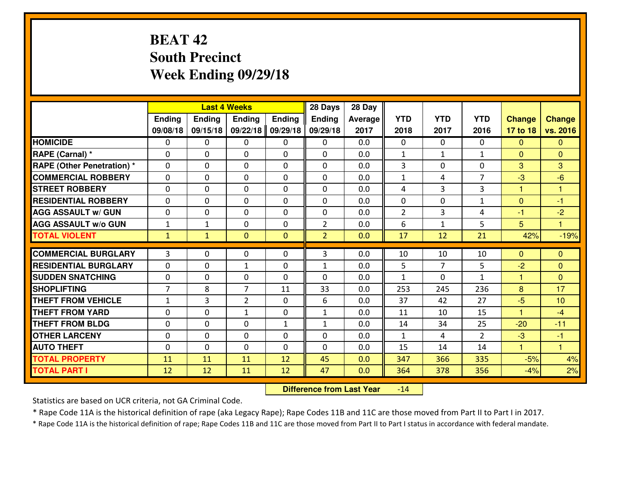# **BEAT 42 South PrecinctWeek Ending 09/29/18**

|                                   |                |               | <b>Last 4 Weeks</b> |               | 28 Days        | 28 Day  |                |                |                |                |                         |
|-----------------------------------|----------------|---------------|---------------------|---------------|----------------|---------|----------------|----------------|----------------|----------------|-------------------------|
|                                   | Ending         | <b>Ending</b> | <b>Ending</b>       | <b>Ending</b> | <b>Ending</b>  | Average | <b>YTD</b>     | <b>YTD</b>     | <b>YTD</b>     | <b>Change</b>  | <b>Change</b>           |
|                                   | 09/08/18       | 09/15/18      | 09/22/18            | 09/29/18      | 09/29/18       | 2017    | 2018           | 2017           | 2016           | 17 to 18       | vs. 2016                |
| <b>HOMICIDE</b>                   | $\Omega$       | 0             | 0                   | 0             | 0              | 0.0     | 0              | $\Omega$       | 0              | $\Omega$       | $\Omega$                |
| RAPE (Carnal) *                   | $\Omega$       | 0             | $\mathbf{0}$        | $\Omega$      | $\Omega$       | 0.0     | $\mathbf{1}$   | $\mathbf{1}$   | $\mathbf{1}$   | $\Omega$       | $\mathbf{0}$            |
| <b>RAPE (Other Penetration) *</b> | 0              | 0             | $\mathbf 0$         | 0             | 0              | 0.0     | 3              | 0              | 0              | 3              | 3                       |
| <b>COMMERCIAL ROBBERY</b>         | 0              | 0             | $\mathbf 0$         | 0             | 0              | 0.0     | $\mathbf{1}$   | 4              | $\overline{7}$ | $-3$           | $-6$                    |
| <b>STREET ROBBERY</b>             | 0              | 0             | $\mathbf 0$         | 0             | 0              | 0.0     | 4              | $\overline{3}$ | 3              | $\mathbf{1}$   | $\mathbf{1}$            |
| <b>RESIDENTIAL ROBBERY</b>        | 0              | 0             | $\mathbf 0$         | 0             | 0              | 0.0     | 0              | 0              | $\mathbf{1}$   | $\mathbf{0}$   | $-1$                    |
| <b>AGG ASSAULT W/ GUN</b>         | 0              | 0             | $\mathbf 0$         | 0             | 0              | 0.0     | $\overline{2}$ | 3              | 4              | $-1$           | $-2$                    |
| <b>AGG ASSAULT W/o GUN</b>        | $\mathbf{1}$   | 1             | 0                   | 0             | $\overline{2}$ | 0.0     | 6              | $\mathbf{1}$   | 5              | 5              | $\overline{\mathbf{1}}$ |
| <b>TOTAL VIOLENT</b>              | $\mathbf{1}$   | $\mathbf{1}$  | $\overline{0}$      | $\mathbf{0}$  | $\overline{2}$ | 0.0     | 17             | 12             | 21             | 42%            | $-19%$                  |
| <b>COMMERCIAL BURGLARY</b>        | 3              | 0             | 0                   | 0             | 3              | 0.0     | 10             | 10             | 10             | $\mathbf{0}$   | $\mathbf{0}$            |
| <b>RESIDENTIAL BURGLARY</b>       | 0              | 0             |                     | 0             |                | 0.0     | 5              | $\overline{7}$ | 5              | $-2$           | $\mathbf{0}$            |
| <b>SUDDEN SNATCHING</b>           | 0              | $\Omega$      | 1<br>$\mathbf 0$    | $\Omega$      | 1<br>0         | 0.0     | $\mathbf{1}$   | $\Omega$       | $\mathbf{1}$   | $\mathbf{1}$   | $\Omega$                |
| <b>SHOPLIFTING</b>                | $\overline{7}$ | 8             | $\overline{7}$      | 11            | 33             | 0.0     | 253            | 245            | 236            | 8              | 17                      |
| <b>THEFT FROM VEHICLE</b>         | $\mathbf{1}$   | 3             | $\overline{2}$      | 0             | 6              | 0.0     | 37             | 42             | 27             | $-5$           | 10                      |
| <b>THEFT FROM YARD</b>            | 0              | 0             | 1                   | 0             | $\mathbf{1}$   | 0.0     | 11             | 10             | 15             | 1              | $-4$                    |
| <b>THEFT FROM BLDG</b>            | 0              | $\Omega$      | $\mathbf 0$         | $\mathbf{1}$  | $\mathbf{1}$   | 0.0     | 14             | 34             | 25             | $-20$          | $-11$                   |
| <b>OTHER LARCENY</b>              | $\mathbf 0$    | 0             | $\mathbf 0$         | $\Omega$      | 0              | 0.0     | $\mathbf{1}$   | 4              | $\overline{2}$ | $-3$           | $-1$                    |
| <b>AUTO THEFT</b>                 |                |               |                     |               |                |         |                |                |                | $\overline{1}$ | $\overline{1}$          |
|                                   | 0              | 0             | $\mathbf 0$         | 0             | 0              | 0.0     | 15             | 14             | 14             |                |                         |
| <b>TOTAL PROPERTY</b>             | 11             | 11            | 11                  | 12            | 45             | 0.0     | 347            | 366            | 335            | $-5%$          | 4%                      |
| <b>TOTAL PART I</b>               | 12             | 12            | 11                  | 12            | 47             | 0.0     | 364            | 378            | 356            | $-4%$          | 2%                      |

 **Difference from Last Year** $-14$ 

Statistics are based on UCR criteria, not GA Criminal Code.

\* Rape Code 11A is the historical definition of rape (aka Legacy Rape); Rape Codes 11B and 11C are those moved from Part II to Part I in 2017.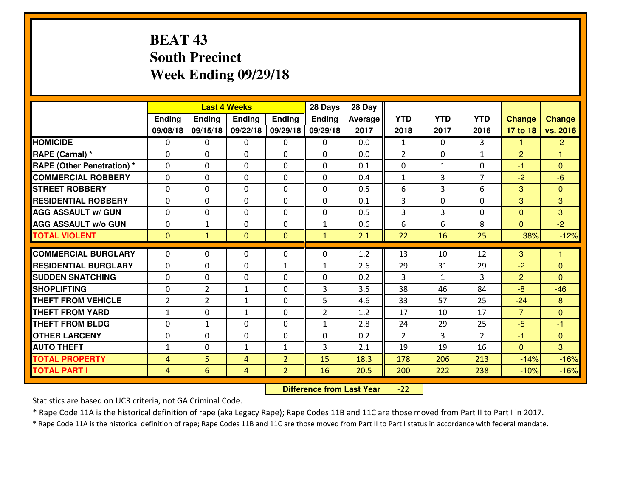# **BEAT 43 South PrecinctWeek Ending 09/29/18**

|                             |                |                | <b>Last 4 Weeks</b> |                | 28 Days        | 28 Day  |                |                |                |                |                |
|-----------------------------|----------------|----------------|---------------------|----------------|----------------|---------|----------------|----------------|----------------|----------------|----------------|
|                             | Ending         | <b>Ending</b>  | <b>Ending</b>       | <b>Ending</b>  | <b>Ending</b>  | Average | <b>YTD</b>     | <b>YTD</b>     | <b>YTD</b>     | <b>Change</b>  | <b>Change</b>  |
|                             | 09/08/18       | 09/15/18       | 09/22/18            | 09/29/18       | 09/29/18       | 2017    | 2018           | 2017           | 2016           | 17 to 18       | vs. 2016       |
| <b>HOMICIDE</b>             | $\Omega$       | 0              | 0                   | 0              | $\Omega$       | 0.0     | 1              | $\Omega$       | 3              | 1              | $-2$           |
| RAPE (Carnal) *             | $\mathbf{0}$   | 0              | $\mathbf{0}$        | 0              | $\Omega$       | 0.0     | 2              | $\mathbf{0}$   | $\mathbf{1}$   | 2              | 1              |
| RAPE (Other Penetration) *  | $\Omega$       | 0              | $\mathbf{0}$        | $\Omega$       | $\Omega$       | 0.1     | $\mathbf{0}$   | $\mathbf{1}$   | 0              | $-1$           | $\Omega$       |
| <b>COMMERCIAL ROBBERY</b>   | $\mathbf{0}$   | 0              | 0                   | 0              | $\Omega$       | 0.4     | $\mathbf{1}$   | 3              | $\overline{7}$ | $-2$           | $-6$           |
| <b>STREET ROBBERY</b>       | 0              | 0              | $\mathbf 0$         | 0              | 0              | 0.5     | 6              | $\overline{3}$ | 6              | 3              | $\overline{0}$ |
| <b>RESIDENTIAL ROBBERY</b>  | $\Omega$       | $\Omega$       | $\mathbf 0$         | $\Omega$       | 0              | 0.1     | $\overline{3}$ | $\Omega$       | 0              | 3              | 3              |
| <b>AGG ASSAULT w/ GUN</b>   | $\Omega$       | 0              | $\mathbf 0$         | $\Omega$       | 0              | 0.5     | $\overline{3}$ | 3              | 0              | $\overline{0}$ | 3              |
| <b>AGG ASSAULT W/o GUN</b>  | 0              | $\mathbf{1}$   | $\mathbf 0$         | $\mathbf 0$    | $\mathbf{1}$   | 0.6     | 6              | 6              | 8              | $\mathbf{0}$   | $-2$           |
| <b>TOTAL VIOLENT</b>        | $\mathbf{0}$   | $\mathbf{1}$   | $\mathbf{O}$        | $\mathbf{0}$   | $\mathbf{1}$   | 2.1     | 22             | 16             | 25             | 38%            | $-12%$         |
| <b>COMMERCIAL BURGLARY</b>  | $\Omega$       | 0              | $\mathbf{0}$        | $\Omega$       | $\Omega$       | 1.2     | 13             | 10             | 12             | 3              | 1              |
| <b>RESIDENTIAL BURGLARY</b> | 0              | 0              | 0                   | $\mathbf{1}$   | 1              | 2.6     | 29             | 31             | 29             | $-2$           | $\mathbf{0}$   |
| <b>SUDDEN SNATCHING</b>     | 0              | 0              | $\mathbf 0$         | 0              | 0              | 0.2     | 3              | $\mathbf{1}$   | 3              | 2              | $\Omega$       |
| <b>SHOPLIFTING</b>          | 0              | $\overline{2}$ | 1                   | 0              | 3              | 3.5     | 38             | 46             | 84             | $-8$           | $-46$          |
| <b>THEFT FROM VEHICLE</b>   | $\overline{2}$ | $\overline{2}$ | 1                   | 0              | 5              | 4.6     | 33             | 57             | 25             | $-24$          | 8              |
| <b>THEFT FROM YARD</b>      | $1\,$          | 0              | 1                   | 0              | $\overline{2}$ | 1.2     | 17             | 10             | 17             | $\overline{7}$ | $\overline{0}$ |
| <b>THEFT FROM BLDG</b>      | 0              | $\mathbf{1}$   | $\mathbf 0$         | 0              | $\mathbf{1}$   | 2.8     | 24             | 29             | 25             | $-5$           | $-1$           |
| <b>OTHER LARCENY</b>        | 0              | 0              | $\mathbf 0$         | 0              | 0              | 0.2     | $\overline{2}$ | 3              | $\overline{2}$ | $-1$           | $\overline{0}$ |
| <b>AUTO THEFT</b>           | $\mathbf{1}$   | 0              | $\mathbf{1}$        | $\mathbf{1}$   | 3              | 2.1     | 19             | 19             | 16             | $\Omega$       | 3              |
| <b>TOTAL PROPERTY</b>       | 4              | 5              | 4                   | $\overline{2}$ | 15             | 18.3    | 178            | 206            | 213            | $-14%$         | $-16%$         |
| <b>TOTAL PART I</b>         | $\overline{4}$ | 6              | 4                   | $\overline{2}$ | 16             | 20.5    | 200            | 222            | 238            | $-10%$         | $-16%$         |
|                             |                |                |                     |                |                |         |                |                |                |                |                |

 **Difference from Last Year**-22

Statistics are based on UCR criteria, not GA Criminal Code.

\* Rape Code 11A is the historical definition of rape (aka Legacy Rape); Rape Codes 11B and 11C are those moved from Part II to Part I in 2017.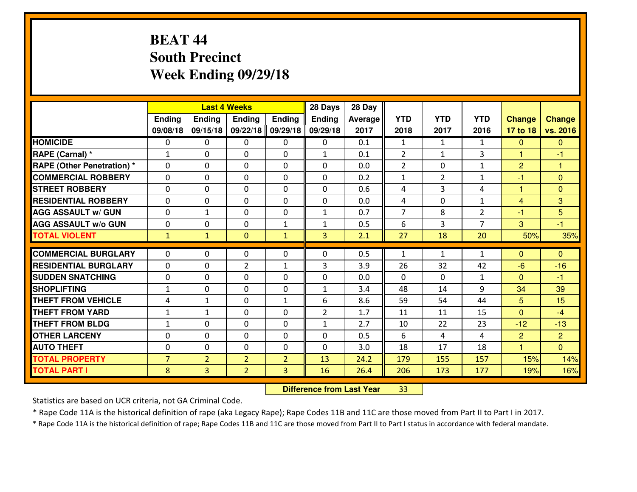# **BEAT 44 South PrecinctWeek Ending 09/29/18**

|                                   |                |                | <b>Last 4 Weeks</b> |                          | 28 Days        | 28 Day  |                |                |                |                |                |
|-----------------------------------|----------------|----------------|---------------------|--------------------------|----------------|---------|----------------|----------------|----------------|----------------|----------------|
|                                   | Ending         | <b>Ending</b>  | <b>Ending</b>       | <b>Ending</b>            | <b>Ending</b>  | Average | <b>YTD</b>     | <b>YTD</b>     | <b>YTD</b>     | <b>Change</b>  | <b>Change</b>  |
|                                   | 09/08/18       | 09/15/18       | 09/22/18            | 09/29/18                 | 09/29/18       | 2017    | 2018           | 2017           | 2016           | 17 to 18       | vs. 2016       |
| <b>HOMICIDE</b>                   | $\Omega$       | 0              | 0                   | 0                        | 0              | 0.1     | $\mathbf{1}$   | $\mathbf{1}$   | $\mathbf{1}$   | $\Omega$       | $\Omega$       |
| RAPE (Carnal) *                   | $\mathbf{1}$   | 0              | $\mathbf{0}$        | $\Omega$                 | $\mathbf{1}$   | 0.1     | 2              | $\mathbf{1}$   | 3              | $\mathbf{1}$   | $-1$           |
| <b>RAPE (Other Penetration) *</b> | 0              | 0              | $\mathbf 0$         | $\Omega$                 | 0              | 0.0     | $\overline{2}$ | $\mathbf{0}$   | $\mathbf{1}$   | $\overline{2}$ | 1              |
| <b>COMMERCIAL ROBBERY</b>         | 0              | 0              | $\mathbf 0$         | 0                        | 0              | 0.2     | $\mathbf{1}$   | $\overline{2}$ | $\mathbf{1}$   | $-1$           | $\mathbf{0}$   |
| <b>STREET ROBBERY</b>             | 0              | 0              | $\mathbf 0$         | 0                        | 0              | 0.6     | 4              | $\overline{3}$ | 4              | $\mathbf{1}$   | $\mathbf{0}$   |
| <b>RESIDENTIAL ROBBERY</b>        | 0              | 0              | $\mathbf 0$         | 0                        | 0              | 0.0     | 4              | 0              | $\mathbf{1}$   | $\overline{4}$ | 3              |
| <b>AGG ASSAULT W/ GUN</b>         | 0              | $\mathbf{1}$   | $\mathbf 0$         | 0                        | $\mathbf{1}$   | 0.7     | $\overline{7}$ | 8              | $\overline{2}$ | $-1$           | 5              |
| <b>AGG ASSAULT W/o GUN</b>        | 0              | 0              | $\mathbf 0$         | $\mathbf{1}$             | $\mathbf{1}$   | 0.5     | 6              | 3              | $\overline{7}$ | 3              | $-1$           |
| <b>TOTAL VIOLENT</b>              | $\mathbf{1}$   | $\mathbf{1}$   | $\overline{0}$      | $\mathbf{1}$             | 3              | 2.1     | 27             | 18             | 20             | 50%            | 35%            |
| <b>COMMERCIAL BURGLARY</b>        | $\Omega$       | 0              | 0                   | 0                        | $\Omega$       | 0.5     | $\mathbf{1}$   | $\mathbf{1}$   | $\mathbf{1}$   | $\mathbf{0}$   | $\mathbf{0}$   |
| <b>RESIDENTIAL BURGLARY</b>       | $\mathbf{0}$   | 0              | $\overline{2}$      |                          | 3              | 3.9     | 26             | 32             | 42             | $-6$           | $-16$          |
| <b>SUDDEN SNATCHING</b>           | 0              | $\Omega$       | $\mathbf 0$         | $\mathbf{1}$<br>$\Omega$ | 0              | 0.0     | $\Omega$       | $\Omega$       | $\mathbf{1}$   | $\Omega$       | $-1$           |
| <b>SHOPLIFTING</b>                | $\mathbf{1}$   | 0              | $\mathbf 0$         | 0                        | $\mathbf{1}$   | 3.4     | 48             | 14             | 9              | 34             | 39             |
| <b>THEFT FROM VEHICLE</b>         | 4              | $\mathbf{1}$   | $\mathbf{0}$        | $\mathbf{1}$             | 6              | 8.6     | 59             | 54             | 44             | 5              | 15             |
| <b>THEFT FROM YARD</b>            | $\mathbf{1}$   | $\mathbf{1}$   | $\mathbf 0$         | 0                        | $\overline{2}$ | 1.7     | 11             | 11             | 15             | $\overline{0}$ | $-4$           |
| <b>THEFT FROM BLDG</b>            | $\mathbf{1}$   | $\Omega$       | $\mathbf 0$         | $\Omega$                 | $\mathbf{1}$   | 2.7     | 10             | 22             | 23             | $-12$          | $-13$          |
| <b>OTHER LARCENY</b>              | $\mathbf 0$    | $\Omega$       | $\mathbf 0$         | $\Omega$                 | 0              | 0.5     | 6              | 4              | 4              | $\overline{2}$ | $\overline{2}$ |
| <b>AUTO THEFT</b>                 | 0              | 0              | $\mathbf 0$         | 0                        | 0              | 3.0     | 18             | 17             | 18             | $\overline{1}$ | $\overline{0}$ |
| <b>TOTAL PROPERTY</b>             |                |                |                     |                          | 13             | 24.2    |                |                |                |                |                |
|                                   | $\overline{7}$ | $\overline{2}$ | $\overline{2}$      | $\overline{2}$           |                |         | 179            | 155            | 157            | 15%            | 14%            |
| <b>TOTAL PART I</b>               | 8              | $\overline{3}$ | $\overline{2}$      | 3                        | 16             | 26.4    | 206            | 173            | 177            | 19%            | 16%            |

 **Difference from Last Year**<sup>33</sup>

Statistics are based on UCR criteria, not GA Criminal Code.

\* Rape Code 11A is the historical definition of rape (aka Legacy Rape); Rape Codes 11B and 11C are those moved from Part II to Part I in 2017.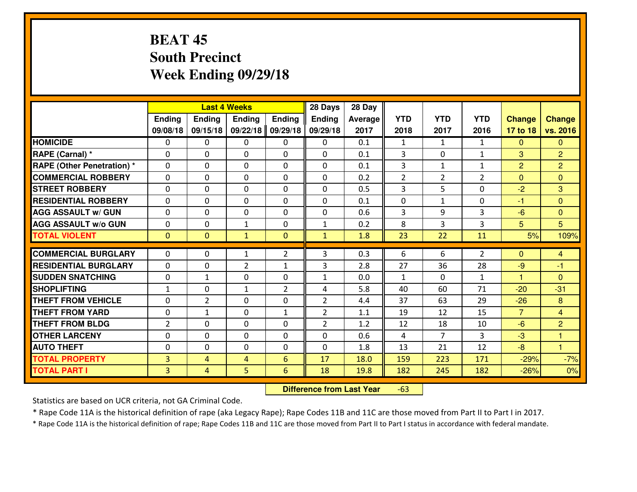# **BEAT 45 South PrecinctWeek Ending 09/29/18**

|                                  |                |                | <b>Last 4 Weeks</b> |                | 28 Days        | 28 Day  |                |                |                |                |                |
|----------------------------------|----------------|----------------|---------------------|----------------|----------------|---------|----------------|----------------|----------------|----------------|----------------|
|                                  | Ending         | Ending         | <b>Ending</b>       | <b>Ending</b>  | <b>Ending</b>  | Average | <b>YTD</b>     | <b>YTD</b>     | <b>YTD</b>     | <b>Change</b>  | <b>Change</b>  |
|                                  | 09/08/18       | 09/15/18       | 09/22/18            | 09/29/18       | 09/29/18       | 2017    | 2018           | 2017           | 2016           | 17 to 18       | vs. 2016       |
| <b>HOMICIDE</b>                  | 0              | 0              | 0                   | $\mathbf{0}$   | 0              | 0.1     | 1              | $\mathbf{1}$   | $\mathbf{1}$   | $\mathbf{0}$   | $\Omega$       |
| RAPE (Carnal) *                  | $\Omega$       | 0              | $\mathbf{0}$        | 0              | 0              | 0.1     | 3              | $\Omega$       | $\mathbf{1}$   | 3              | $\overline{2}$ |
| <b>RAPE (Other Penetration)*</b> | $\Omega$       | 0              | $\Omega$            | $\Omega$       | $\Omega$       | 0.1     | 3              | $\mathbf{1}$   | $\mathbf{1}$   | 2              | $\overline{2}$ |
| <b>COMMERCIAL ROBBERY</b>        | $\Omega$       | $\Omega$       | $\mathbf 0$         | $\Omega$       | $\Omega$       | 0.2     | $\overline{2}$ | $\overline{2}$ | $\overline{2}$ | $\Omega$       | $\Omega$       |
| <b>ISTREET ROBBERY</b>           | $\mathbf{0}$   | 0              | $\mathbf{0}$        | 0              | $\Omega$       | 0.5     | 3              | 5              | $\Omega$       | $-2$           | 3              |
| <b>RESIDENTIAL ROBBERY</b>       | 0              | 0              | $\mathbf 0$         | 0              | 0              | 0.1     | $\mathbf 0$    | $\mathbf{1}$   | 0              | $-1$           | $\mathbf{0}$   |
| <b>AGG ASSAULT w/ GUN</b>        | 0              | 0              | $\mathbf 0$         | 0              | 0              | 0.6     | 3              | 9              | 3              | $-6$           | $\overline{0}$ |
| <b>AGG ASSAULT W/o GUN</b>       | 0              | 0              | 1                   | 0              | $\mathbf{1}$   | 0.2     | 8              | 3              | 3              | 5              | 5              |
| <b>TOTAL VIOLENT</b>             | $\mathbf{0}$   | $\overline{0}$ | $\mathbf{1}$        | $\overline{0}$ | $\mathbf{1}$   | 1.8     | 23             | 22             | 11             | 5%             | 109%           |
| <b>COMMERCIAL BURGLARY</b>       | $\Omega$       | 0              | $\mathbf{1}$        | $\overline{2}$ | 3              | 0.3     | 6              | 6              | $\overline{2}$ | $\Omega$       | $\overline{4}$ |
| <b>RESIDENTIAL BURGLARY</b>      | $\Omega$       | 0              | $\overline{2}$      | $\mathbf{1}$   | 3              | 2.8     | 27             | 36             | 28             | $-9$           | $-1$           |
| <b>SUDDEN SNATCHING</b>          | 0              | $\mathbf{1}$   | $\mathbf 0$         | 0              | $\mathbf{1}$   | 0.0     | $\mathbf{1}$   | $\Omega$       | $\mathbf{1}$   | $\mathbf{1}$   | $\Omega$       |
| <b>SHOPLIFTING</b>               | $\mathbf{1}$   | 0              | $\mathbf{1}$        | 2              | 4              | 5.8     | 40             | 60             | 71             | $-20$          | $-31$          |
| <b>THEFT FROM VEHICLE</b>        | 0              | $\overline{2}$ | $\mathbf 0$         | 0              | $\overline{2}$ | 4.4     | 37             | 63             | 29             | $-26$          | 8              |
| <b>THEFT FROM YARD</b>           | 0              | 1              | 0                   | $\mathbf{1}$   | $\overline{2}$ | 1.1     | 19             | 12             | 15             | $\overline{7}$ | $\overline{4}$ |
| <b>THEFT FROM BLDG</b>           | $\overline{2}$ | 0              | $\Omega$            | 0              | $\overline{2}$ | 1.2     | 12             | 18             | 10             | $-6$           | $\overline{2}$ |
| <b>OTHER LARCENY</b>             | 0              | 0              | 0                   | 0              | 0              | 0.6     | 4              | $\overline{7}$ | 3              | $-3$           | $\mathbf{1}$   |
| <b>AUTO THEFT</b>                | 0              | 0              | 0                   | 0              | 0              | 1.8     | 13             | 21             | 12             | $-8$           | $\mathbf{1}$   |
| <b>TOTAL PROPERTY</b>            | $\overline{3}$ | 4              | 4                   | $6\phantom{1}$ | 17             | 18.0    | 159            | 223            | 171            | $-29%$         | $-7%$          |
| <b>TOTAL PART I</b>              | $\overline{3}$ | 4              | 5                   | $6\phantom{1}$ | 18             | 19.8    | 182            | 245            | 182            | $-26%$         | 0%             |

 **Difference from Last Year**-63

Statistics are based on UCR criteria, not GA Criminal Code.

\* Rape Code 11A is the historical definition of rape (aka Legacy Rape); Rape Codes 11B and 11C are those moved from Part II to Part I in 2017.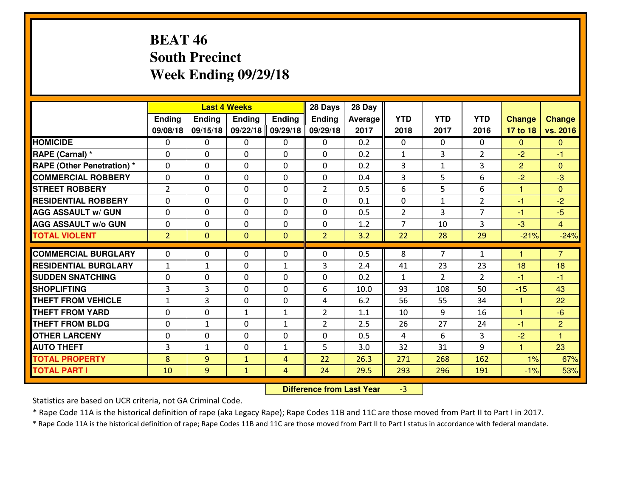# **BEAT 46 South PrecinctWeek Ending 09/29/18**

|                                  |                | <b>Last 4 Weeks</b><br>Ending<br><b>Ending</b><br><b>Ending</b><br><b>Ending</b> |                |                | 28 Days        | 28 Day  |                |                |                |                      |                |
|----------------------------------|----------------|----------------------------------------------------------------------------------|----------------|----------------|----------------|---------|----------------|----------------|----------------|----------------------|----------------|
|                                  |                |                                                                                  |                |                | <b>Ending</b>  | Average | <b>YTD</b>     | <b>YTD</b>     | <b>YTD</b>     | <b>Change</b>        | <b>Change</b>  |
|                                  | 09/08/18       | 09/15/18                                                                         | 09/22/18       | 09/29/18       | 09/29/18       | 2017    | 2018           | 2017           | 2016           | 17 to 18             | vs. 2016       |
| <b>HOMICIDE</b>                  | $\Omega$       | 0                                                                                | 0              | 0              | 0              | 0.2     | 0              | $\Omega$       | 0              | $\Omega$             | $\Omega$       |
| RAPE (Carnal) *                  | $\Omega$       | 0                                                                                | $\Omega$       | $\Omega$       | $\Omega$       | 0.2     | $\mathbf{1}$   | 3              | $\overline{2}$ | $-2$                 | -1             |
| <b>RAPE (Other Penetration)*</b> | 0              | 0                                                                                | $\mathbf 0$    | 0              | 0              | 0.2     | 3              | $\mathbf{1}$   | 3              | 2                    | $\Omega$       |
| <b>COMMERCIAL ROBBERY</b>        | 0              | 0                                                                                | $\mathbf 0$    | 0              | 0              | 0.4     | 3              | 5              | 6              | $-2$                 | $-3$           |
| <b>STREET ROBBERY</b>            | $\overline{2}$ | 0                                                                                | $\mathbf 0$    | 0              | $\overline{2}$ | 0.5     | 6              | 5              | 6              | 1                    | $\mathbf{0}$   |
| <b>RESIDENTIAL ROBBERY</b>       | 0              | 0                                                                                | $\mathbf 0$    | 0              | 0              | 0.1     | $\mathbf 0$    | $\mathbf{1}$   | $\overline{2}$ | $-1$                 | $-2$           |
| <b>AGG ASSAULT W/ GUN</b>        | 0              | 0                                                                                | $\mathbf 0$    | 0              | 0              | 0.5     | $\overline{2}$ | $\overline{3}$ | $\overline{7}$ | $-1$                 | $-5$           |
| <b>AGG ASSAULT W/o GUN</b>       | 0              | 0                                                                                | 0              | $\mathbf{0}$   | $\mathbf 0$    | 1.2     | $\overline{7}$ | 10             | 3              | $-3$                 | $\overline{4}$ |
| <b>TOTAL VIOLENT</b>             | $\overline{2}$ | $\overline{0}$                                                                   | $\overline{0}$ | $\mathbf{0}$   | $\overline{2}$ | 3.2     | 22             | 28             | 29             | $-21%$               | $-24%$         |
| <b>COMMERCIAL BURGLARY</b>       | $\mathbf{0}$   | 0                                                                                | $\mathbf{0}$   | 0              | $\Omega$       | 0.5     | 8              | $\overline{7}$ | $\mathbf{1}$   | $\blacktriangleleft$ | $\overline{7}$ |
| <b>RESIDENTIAL BURGLARY</b>      | $\mathbf{1}$   | 1                                                                                | 0              | $\mathbf{1}$   | 3              | 2.4     | 41             | 23             | 23             | 18                   | 18             |
| <b>SUDDEN SNATCHING</b>          | $\mathbf{0}$   | 0                                                                                | $\mathbf 0$    | 0              | 0              | 0.2     | $\mathbf{1}$   | $\overline{2}$ | $\overline{2}$ | $-1$                 | $-1$           |
| <b>SHOPLIFTING</b>               | 3              | 3                                                                                | $\mathbf 0$    | 0              | 6              | 10.0    | 93             | 108            | 50             | $-15$                | 43             |
| <b>THEFT FROM VEHICLE</b>        | $\mathbf{1}$   | 3                                                                                | $\mathbf 0$    | 0              | 4              | 6.2     | 56             | 55             | 34             | $\mathbf{1}$         | 22             |
| <b>THEFT FROM YARD</b>           | 0              | 0                                                                                | 1              | $\mathbf{1}$   | $\overline{2}$ | 1.1     | 10             | 9              | 16             | $\mathbf{1}$         | $-6$           |
| <b>THEFT FROM BLDG</b>           | 0              | $\mathbf{1}$                                                                     | $\mathbf 0$    | $\mathbf{1}$   | $\overline{2}$ | 2.5     | 26             | 27             | 24             | $-1$                 | $\overline{2}$ |
| <b>OTHER LARCENY</b>             | 0              | 0                                                                                | $\mathbf 0$    | 0              | 0              | 0.5     | $\overline{4}$ | 6              | 3              | $-2$                 | $\overline{1}$ |
| <b>AUTO THEFT</b>                | 3              | $\mathbf{1}$                                                                     | $\mathbf 0$    | $\mathbf{1}$   | 5              | 3.0     | 32             | 31             | 9              | $\mathbf{1}$         | 23             |
| <b>TOTAL PROPERTY</b>            | 8              | 9                                                                                | $\mathbf{1}$   | $\overline{4}$ | 22             | 26.3    | 271            | 268            | 162            | 1%                   | 67%            |
| <b>TOTAL PART I</b>              | 10             | 9                                                                                | $\mathbf{1}$   | 4              | 24             | 29.5    | 293            | 296            | 191            | $-1%$                | 53%            |

 **Difference from Last Year**-3

Statistics are based on UCR criteria, not GA Criminal Code.

\* Rape Code 11A is the historical definition of rape (aka Legacy Rape); Rape Codes 11B and 11C are those moved from Part II to Part I in 2017.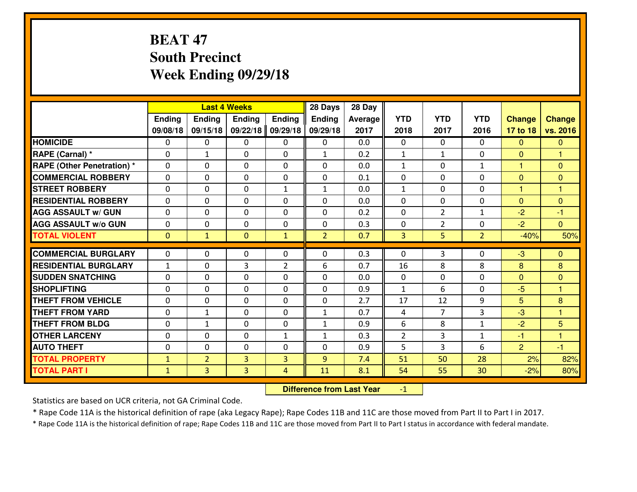# **BEAT 47 South PrecinctWeek Ending 09/29/18**

|                                   |              |                | <b>Last 4 Weeks</b> |                | 28 Days        | 28 Day  |                |                |                |                |                      |
|-----------------------------------|--------------|----------------|---------------------|----------------|----------------|---------|----------------|----------------|----------------|----------------|----------------------|
|                                   | Ending       | <b>Ending</b>  | <b>Ending</b>       | <b>Ending</b>  | Ending         | Average | <b>YTD</b>     | <b>YTD</b>     | <b>YTD</b>     | <b>Change</b>  | <b>Change</b>        |
|                                   | 09/08/18     | 09/15/18       | 09/22/18            | 09/29/18       | 09/29/18       | 2017    | 2018           | 2017           | 2016           | 17 to 18       | vs. 2016             |
| <b>HOMICIDE</b>                   | $\Omega$     | 0              | 0                   | 0              | 0              | 0.0     | 0              | $\Omega$       | 0              | $\Omega$       | $\Omega$             |
| RAPE (Carnal) *                   | $\mathbf{0}$ | $\mathbf{1}$   | $\mathbf{0}$        | 0              | $\mathbf{1}$   | 0.2     | $\mathbf{1}$   | $\mathbf{1}$   | 0              | $\Omega$       | $\blacktriangleleft$ |
| <b>RAPE (Other Penetration) *</b> | $\Omega$     | 0              | $\mathbf{0}$        | $\Omega$       | $\Omega$       | 0.0     | $\mathbf{1}$   | 0              | $\mathbf{1}$   | $\mathbf{1}$   | $\mathbf{0}$         |
| <b>COMMERCIAL ROBBERY</b>         | 0            | 0              | $\mathbf 0$         | 0              | 0              | 0.1     | $\mathbf{0}$   | 0              | 0              | $\mathbf{0}$   | $\mathbf{0}$         |
| <b>STREET ROBBERY</b>             | 0            | 0              | $\mathbf 0$         | $\mathbf{1}$   | $\mathbf{1}$   | 0.0     | $\mathbf{1}$   | 0              | 0              | $\mathbf{1}$   | $\overline{1}$       |
| <b>RESIDENTIAL ROBBERY</b>        | $\Omega$     | $\Omega$       | $\mathbf 0$         | $\Omega$       | 0              | 0.0     | 0              | $\Omega$       | 0              | $\mathbf{0}$   | $\Omega$             |
| <b>AGG ASSAULT w/ GUN</b>         | 0            | 0              | $\mathbf 0$         | 0              | 0              | 0.2     | 0              | $\overline{2}$ | $\mathbf{1}$   | $-2$           | $-1$                 |
| <b>AGG ASSAULT W/o GUN</b>        | 0            | 0              | $\mathbf 0$         | $\mathbf 0$    | 0              | 0.3     | 0              | $\overline{2}$ | 0              | $-2$           | $\overline{0}$       |
| <b>TOTAL VIOLENT</b>              | $\mathbf{0}$ | $\mathbf{1}$   | $\overline{0}$      | $\mathbf{1}$   | $\overline{2}$ | 0.7     | 3              | 5              | $\overline{2}$ | $-40%$         | 50%                  |
| <b>COMMERCIAL BURGLARY</b>        | $\Omega$     | 0              | $\mathbf{0}$        | $\Omega$       | $\Omega$       | 0.3     | $\Omega$       | 3              | 0              | -3             | $\mathbf{0}$         |
| <b>RESIDENTIAL BURGLARY</b>       | $\mathbf{1}$ | 0              | 3                   | $\overline{2}$ | 6              | 0.7     | 16             | 8              | 8              | 8              | 8                    |
| <b>SUDDEN SNATCHING</b>           | 0            | 0              | 0                   | 0              | 0              | 0.0     | $\mathbf 0$    | 0              | 0              | $\overline{0}$ | $\mathbf{0}$         |
| <b>SHOPLIFTING</b>                | 0            | 0              | $\mathbf 0$         | 0              | 0              | 0.9     | $\mathbf{1}$   | 6              | 0              | $-5$           | 1                    |
| <b>THEFT FROM VEHICLE</b>         | $\Omega$     | 0              | $\mathbf 0$         | 0              | 0              | 2.7     | 17             | 12             | 9              | 5              | 8                    |
| <b>THEFT FROM YARD</b>            | 0            | $\mathbf{1}$   | $\mathbf 0$         | 0              | $\mathbf{1}$   | 0.7     | 4              | $\overline{7}$ | 3              | $-3$           | $\overline{1}$       |
| <b>THEFT FROM BLDG</b>            | 0            | $\mathbf{1}$   | $\mathbf 0$         | 0              | $\mathbf{1}$   | 0.9     | 6              | 8              | $\mathbf{1}$   | $-2$           | 5                    |
| <b>OTHER LARCENY</b>              | 0            | 0              | $\mathbf 0$         | $\mathbf{1}$   | $\mathbf{1}$   | 0.3     | $\overline{2}$ | 3              | $\mathbf{1}$   | $-1$           | $\overline{1}$       |
| <b>AUTO THEFT</b>                 | $\mathbf{0}$ | 0              | $\mathbf{0}$        | 0              | 0              | 0.9     | 5              | 3              | 6              | $\overline{2}$ | $-1$                 |
| <b>TOTAL PROPERTY</b>             | $\mathbf{1}$ | $\overline{2}$ | $\overline{3}$      | 3              | 9              | 7.4     | 51             | 50             | 28             | 2%             | 82%                  |
| <b>TOTAL PART I</b>               | $\mathbf{1}$ | $\overline{3}$ | 3                   | 4              | 11             | 8.1     | 54             | 55             | 30             | $-2%$          | 80%                  |

 **Difference from Last Year** $-1$  |

Statistics are based on UCR criteria, not GA Criminal Code.

\* Rape Code 11A is the historical definition of rape (aka Legacy Rape); Rape Codes 11B and 11C are those moved from Part II to Part I in 2017.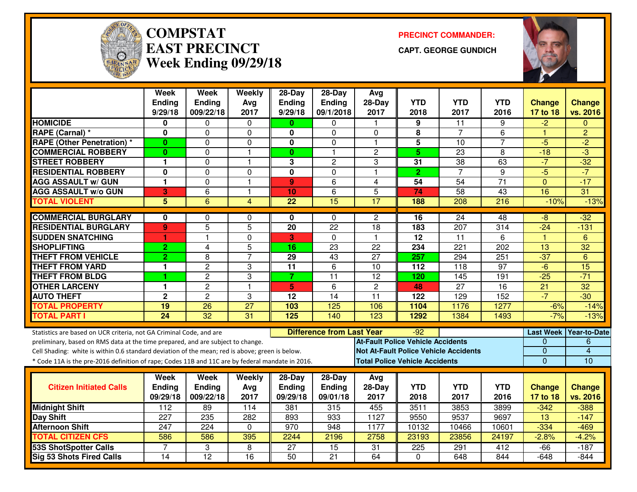

#### **COMPSTATEAST PRECINCTWeek Ending 09/29/18**

**PRECINCT COMMANDER:**

**CAPT. GEORGE GUNDICH**



|                                                                                                                                                        | Week                    | <b>Week</b>     | Weekly                  | $28-Day$                | $28-Day$                         | Avg                                          |                  |                  |                  |                  |                 |
|--------------------------------------------------------------------------------------------------------------------------------------------------------|-------------------------|-----------------|-------------------------|-------------------------|----------------------------------|----------------------------------------------|------------------|------------------|------------------|------------------|-----------------|
|                                                                                                                                                        | Ending                  | Ending          | Avg                     | <b>Ending</b>           | <b>Ending</b>                    | 28-Day                                       | <b>YTD</b>       | <b>YTD</b>       | <b>YTD</b>       | <b>Change</b>    | <b>Change</b>   |
|                                                                                                                                                        | 9/29/18                 | 009/22/18       | 2017                    | 9/29/18                 | 09/1/2018                        | 2017                                         | 2018             | 2017             | 2016             | 17 to 18         | vs. 2016        |
| <b>HOMICIDE</b>                                                                                                                                        | 0                       | 0               | 0                       | $\mathbf{0}$            | 0                                | $\mathbf{1}$                                 | 9                | 11               | 9                | $-2$             | $\mathbf{0}$    |
| RAPE (Carnal) *                                                                                                                                        | 0                       | 0               | $\Omega$                | 0                       | $\Omega$                         | $\Omega$                                     | 8                | $\overline{7}$   | 6                | 1                | $\overline{2}$  |
| <b>RAPE (Other Penetration) *</b>                                                                                                                      | $\bf{0}$                | $\Omega$        | $\mathbf 0$             | 0                       | $\Omega$                         | $\blacktriangleleft$                         | 5                | 10               | 7                | $-5$             | $-2$            |
| <b>COMMERCIAL ROBBERY</b>                                                                                                                              | $\bf{0}$                | 0               | $\overline{1}$          | $\mathbf{0}$            | $\mathbf{1}$                     | $\overline{c}$                               | 5 <sup>5</sup>   | 23               | 8                | $-18$            | $\overline{3}$  |
| <b>STREET ROBBERY</b>                                                                                                                                  | 1                       | 0               | $\overline{1}$          | 3                       | $\overline{c}$                   | 3                                            | 31               | 38               | 63               | $-7$             | $-32$           |
| <b>RESIDENTIAL ROBBERY</b>                                                                                                                             | $\overline{\mathbf{0}}$ | 0               | $\Omega$                | $\overline{\mathbf{0}}$ | $\mathbf 0$                      | $\overline{1}$                               | $\overline{2}$   | $\overline{7}$   | 9                | $-5$             | $-7$            |
| <b>AGG ASSAULT w/ GUN</b>                                                                                                                              | 1                       | $\Omega$        | $\overline{1}$          | $\mathbf{9}$            | 6                                | 4                                            | $\overline{54}$  | $\overline{54}$  | $\overline{71}$  | $\Omega$         | $-17$           |
| <b>AGG ASSAULT w/o GUN</b>                                                                                                                             | $\overline{\mathbf{3}}$ | 6               | $\mathbf{1}$            | 10                      | 6                                | 5                                            | 74               | $\overline{58}$  | 43               | $\overline{16}$  | $\overline{31}$ |
| <b>TOTAL VIOLENT</b>                                                                                                                                   | $\overline{5}$          | $\overline{6}$  | $\overline{\mathbf{4}}$ | $\overline{22}$         | 15                               | 17                                           | 188              | 208              | 216              | $-10%$           | $-13%$          |
| <b>COMMERCIAL BURGLARY</b>                                                                                                                             | 0                       | 0               | 0                       | 0                       | $\mathbf{0}$                     | 2                                            | 16               | 24               | 48               | $-8$             | $-32$           |
| <b>RESIDENTIAL BURGLARY</b>                                                                                                                            | 9                       | $\overline{5}$  | $\overline{5}$          | $\overline{20}$         | $\overline{22}$                  | $\overline{18}$                              | 183              | 207              | $\overline{314}$ | $-24$            | $-131$          |
| <b>SUDDEN SNATCHING</b>                                                                                                                                | 1                       | 1               | $\mathbf 0$             | 3                       | $\Omega$                         | $\mathbf{1}$                                 | $\overline{12}$  | $\overline{11}$  | 6                | $\overline{1}$   | 6               |
| <b>SHOPLIFTING</b>                                                                                                                                     | $\overline{2}$          | $\overline{4}$  | 5                       | 16                      | $\overline{23}$                  | $\overline{22}$                              | 234              | $\overline{221}$ | 202              | 13               | $\overline{32}$ |
| <b>THEFT FROM VEHICLE</b>                                                                                                                              | $\overline{2}$          | 8               | $\overline{7}$          | $\overline{29}$         | 43                               | $\overline{27}$                              | 257              | 294              | $\overline{251}$ | $-37$            | 6               |
| <b>THEFT FROM YARD</b>                                                                                                                                 | 1                       | $\overline{2}$  | 3                       | $\overline{11}$         | $\overline{6}$                   | $\overline{10}$                              | $\overline{112}$ | $\overline{118}$ | 97               | $-6$             | 15              |
| <b>THEFT FROM BLDG</b>                                                                                                                                 | 1                       | $\overline{c}$  | 3                       | $\overline{7}$          | 11                               | 12                                           | 120              | 145              | 191              | $-25$            | $-71$           |
| <b>OTHER LARCENY</b>                                                                                                                                   | 1                       | $\overline{2}$  | $\overline{1}$          | 5                       | 6                                | $\overline{2}$                               | 48               | $\overline{27}$  | $\overline{16}$  | $\overline{21}$  | 32              |
| <b>AUTO THEFT</b>                                                                                                                                      | $\mathbf 2$             | $\overline{c}$  | 3                       | 12                      | 14                               | 11                                           | 122              | 129              | 152              | $-7$             | $-30$           |
| <b>TOTAL PROPERTY</b>                                                                                                                                  | 19                      | 26              | $\overline{27}$         | 103                     | 125                              | 106                                          | 1104             | 1176             | 1277             | $-6%$            | $-14%$          |
| <b>TOTAL PART I</b>                                                                                                                                    | $\overline{24}$         | $\overline{32}$ | 31                      | 125                     | 140                              | 123                                          | 1292             | 1384             | 1493             | $-7%$            | $-13%$          |
|                                                                                                                                                        |                         |                 |                         |                         | <b>Difference from Last Year</b> |                                              | $-92$            |                  |                  | <b>Last Week</b> | Year-to-Date    |
| Statistics are based on UCR criteria, not GA Criminal Code, and are<br>preliminary, based on RMS data at the time prepared, and are subject to change. |                         |                 |                         |                         |                                  | <b>At-Fault Police Vehicle Accidents</b>     |                  |                  |                  | 0                | 6               |
| Cell Shading: white is within 0.6 standard deviation of the mean; red is above; green is below.                                                        |                         |                 |                         |                         |                                  | <b>Not At-Fault Police Vehicle Accidents</b> |                  |                  |                  | 0                | $\overline{4}$  |
| * Code 11A is the pre-2016 definition of rape; Codes 11B and 11C are by federal mandate in 2016.                                                       |                         |                 |                         |                         |                                  | <b>Total Police Vehicle Accidents</b>        |                  |                  |                  | $\overline{0}$   | $\overline{10}$ |
|                                                                                                                                                        |                         |                 |                         |                         |                                  |                                              |                  |                  |                  |                  |                 |
|                                                                                                                                                        | Week                    | <b>Week</b>     | Weekly                  | $28$ -Day               | $28-Day$                         | Avg                                          |                  |                  |                  |                  |                 |
| <b>Citizen Initiated Calls</b>                                                                                                                         | <b>Ending</b>           | Ending          | Avg                     | Ending                  | <b>Ending</b>                    | $28-Day$                                     | <b>YTD</b>       | <b>YTD</b>       | <b>YTD</b>       | <b>Change</b>    | <b>Change</b>   |
|                                                                                                                                                        | 09/29/18                | 009/22/18       | 2017                    | 09/29/18                | 09/01/18                         | 2017                                         | 2018             | 2017             | 2016             | 17 to 18         | vs. 2016        |
| <b>Midnight Shift</b>                                                                                                                                  | 112                     | 89              | 114                     | 381                     | 315                              | 455                                          | 3511             | 3853             | 3899             | $-342$           | $-388$          |
| Day Shift                                                                                                                                              | $\overline{227}$        | 235             | 282                     | 893                     | 933                              | 1127                                         | 9550             | 9537             | 9697             | $\overline{13}$  | $-147$          |
| <b>Afternoon Shift</b>                                                                                                                                 | 247                     | 224             | $\Omega$                | 970                     | 948                              | 1177                                         | 10132            | 10466            | 10601            | $-334$           | $-469$          |
| <b>TOTAL CITIZEN CFS</b>                                                                                                                               | 586                     | 586             | 395                     | 2244                    | 2196                             | 2758                                         | 23193            | 23856            | 24197            | $-2.8%$          | $-4.2%$         |
| 53S ShotSpotter Calls                                                                                                                                  | $\overline{7}$          | 3               | 8                       | $\overline{27}$         | 15                               | 31                                           | 225              | 291              | 412              | $-66$            | $-187$          |
| <b>Sig 53 Shots Fired Calls</b>                                                                                                                        | $\overline{14}$         | $\overline{12}$ | $\overline{16}$         | $\overline{50}$         | $\overline{21}$                  | 64                                           | $\Omega$         | 648              | 844              | $-648$           | $-844$          |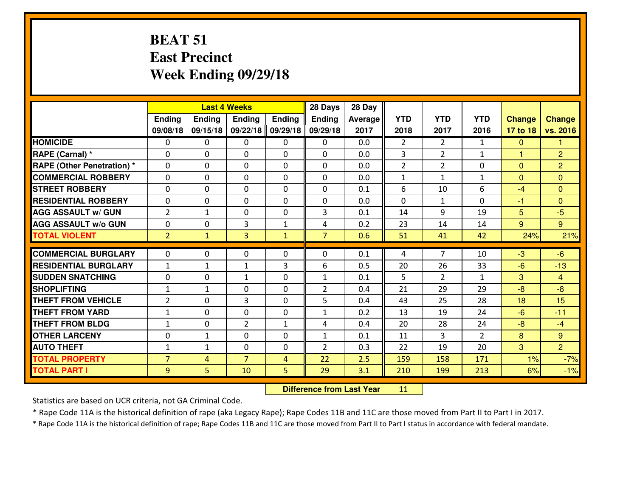# **BEAT 51 East PrecinctWeek Ending 09/29/18**

|                                   |                |               | <b>Last 4 Weeks</b> |               | 28 Days        | 28 Day         |                |                |                |               |                |
|-----------------------------------|----------------|---------------|---------------------|---------------|----------------|----------------|----------------|----------------|----------------|---------------|----------------|
|                                   | Ending         | <b>Ending</b> | <b>Ending</b>       | <b>Ending</b> | Ending         | <b>Average</b> | <b>YTD</b>     | <b>YTD</b>     | <b>YTD</b>     | <b>Change</b> | <b>Change</b>  |
|                                   | 09/08/18       | 09/15/18      | 09/22/18            | 09/29/18      | 09/29/18       | 2017           | 2018           | 2017           | 2016           | 17 to 18      | vs. 2016       |
| <b>HOMICIDE</b>                   | $\Omega$       | 0             | 0                   | 0             | $\Omega$       | 0.0            | $\overline{2}$ | $\overline{2}$ | $\mathbf{1}$   | $\Omega$      | 1              |
| RAPE (Carnal) *                   | $\mathbf{0}$   | 0             | $\mathbf{0}$        | 0             | $\Omega$       | 0.0            | 3              | $\overline{2}$ | $\mathbf{1}$   | $\mathbf{1}$  | $\overline{2}$ |
| <b>RAPE (Other Penetration) *</b> | $\Omega$       | 0             | $\mathbf{0}$        | $\Omega$      | $\Omega$       | 0.0            | $\overline{2}$ | $\overline{2}$ | 0              | $\Omega$      | $\overline{2}$ |
| <b>COMMERCIAL ROBBERY</b>         | $\mathbf{0}$   | 0             | 0                   | 0             | $\Omega$       | 0.0            | $\mathbf{1}$   | $\mathbf{1}$   | $\mathbf{1}$   | $\mathbf{0}$  | $\mathbf{0}$   |
| <b>STREET ROBBERY</b>             | 0              | 0             | $\mathbf 0$         | $\Omega$      | 0              | 0.1            | 6              | 10             | 6              | $-4$          | $\mathbf{0}$   |
| <b>RESIDENTIAL ROBBERY</b>        | $\Omega$       | $\Omega$      | $\mathbf 0$         | $\Omega$      | 0              | 0.0            | $\Omega$       | $\mathbf{1}$   | $\Omega$       | $-1$          | $\Omega$       |
| <b>AGG ASSAULT w/ GUN</b>         | $\overline{2}$ | $\mathbf{1}$  | $\mathbf 0$         | 0             | 3              | 0.1            | 14             | 9              | 19             | 5             | $-5$           |
| <b>AGG ASSAULT W/o GUN</b>        | 0              | 0             | 3                   | $\mathbf{1}$  | 4              | 0.2            | 23             | 14             | 14             | 9             | $9^{\circ}$    |
| <b>TOTAL VIOLENT</b>              | $\overline{2}$ | $\mathbf{1}$  | 3                   | $\mathbf{1}$  | $\overline{7}$ | 0.6            | 51             | 41             | 42             | 24%           | 21%            |
| <b>COMMERCIAL BURGLARY</b>        | $\Omega$       | 0             | $\mathbf{0}$        | $\Omega$      | $\Omega$       | 0.1            | 4              | $\overline{7}$ | 10             | -3            | $-6$           |
| <b>RESIDENTIAL BURGLARY</b>       | $\mathbf{1}$   | $\mathbf{1}$  | $\mathbf{1}$        | 3             | 6              | 0.5            | 20             | 26             | 33             | $-6$          | $-13$          |
| <b>SUDDEN SNATCHING</b>           | 0              | 0             | $\mathbf{1}$        | 0             | $\mathbf{1}$   | 0.1            | 5              | $\overline{2}$ | $\mathbf{1}$   | 3             | $\overline{4}$ |
| <b>SHOPLIFTING</b>                | $\mathbf{1}$   | $\mathbf{1}$  | $\mathbf 0$         | 0             | $\overline{2}$ | 0.4            | 21             | 29             | 29             | $-8$          | $-8$           |
| <b>THEFT FROM VEHICLE</b>         | $\overline{2}$ | 0             | 3                   | 0             | 5              | 0.4            | 43             | 25             | 28             | 18            | 15             |
| <b>THEFT FROM YARD</b>            | $\mathbf 1$    | 0             | $\mathbf 0$         | 0             | $\mathbf{1}$   | 0.2            | 13             | 19             | 24             | $-6$          | $-11$          |
| <b>THEFT FROM BLDG</b>            | $\mathbf{1}$   | 0             | $\overline{2}$      | $\mathbf{1}$  | 4              | 0.4            | 20             | 28             | 24             | $-8$          | $-4$           |
| <b>OTHER LARCENY</b>              | 0              | $\mathbf{1}$  | $\mathbf 0$         | 0             | $\mathbf{1}$   | 0.1            | 11             | 3              | $\overline{2}$ | 8             | 9              |
| <b>AUTO THEFT</b>                 | $\mathbf{1}$   | $\mathbf{1}$  | $\mathbf{0}$        | 0             | $\overline{2}$ | 0.3            | 22             | 19             | 20             | 3             | $\overline{2}$ |
| <b>TOTAL PROPERTY</b>             | $\overline{7}$ | 4             | $\overline{7}$      | 4             | 22             | 2.5            | 159            | 158            | 171            | 1%            | $-7%$          |
|                                   |                | 5             | 10                  | 5             | 29             | 3.1            | 210            | 199            | 213            |               | $-1%$          |
| <b>TOTAL PART I</b>               | 9              |               |                     |               |                |                |                |                |                | 6%            |                |

 **Difference from Last Year**<sup>11</sup>

Statistics are based on UCR criteria, not GA Criminal Code.

\* Rape Code 11A is the historical definition of rape (aka Legacy Rape); Rape Codes 11B and 11C are those moved from Part II to Part I in 2017.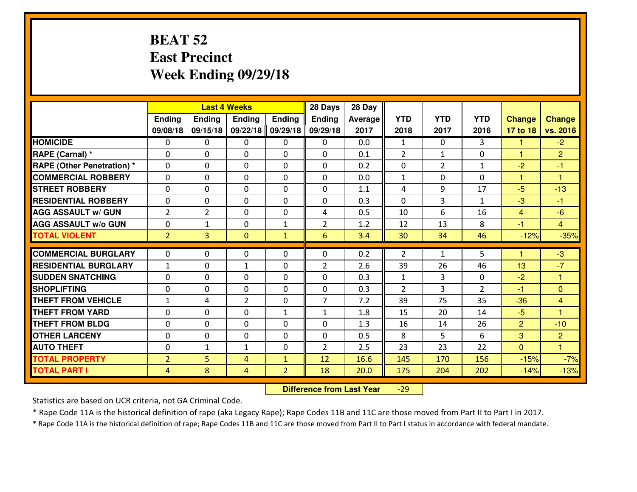### **BEAT 52 East PrecinctWeek Ending 09/29/18**

|                                  | <b>Last 4 Weeks</b> |                |                |                | 28 Days         | 28 Day  |                |                |                |                |                      |
|----------------------------------|---------------------|----------------|----------------|----------------|-----------------|---------|----------------|----------------|----------------|----------------|----------------------|
|                                  | Ending              | Ending         | Ending         | <b>Ending</b>  | <b>Ending</b>   | Average | <b>YTD</b>     | <b>YTD</b>     | <b>YTD</b>     | <b>Change</b>  | <b>Change</b>        |
|                                  | 09/08/18            | 09/15/18       | 09/22/18       | 09/29/18       | 09/29/18        | 2017    | 2018           | 2017           | 2016           | 17 to 18       | vs. 2016             |
| <b>HOMICIDE</b>                  | 0                   | 0              | 0              | 0              | 0               | 0.0     | $\mathbf{1}$   | $\Omega$       | 3              | 1              | $-2$                 |
| RAPE (Carnal) *                  | $\Omega$            | 0              | 0              | $\Omega$       | 0               | 0.1     | $\overline{2}$ | $\mathbf{1}$   | 0              | $\mathbf{1}$   | $\overline{2}$       |
| <b>RAPE (Other Penetration)*</b> | $\Omega$            | $\Omega$       | $\mathbf 0$    | $\Omega$       | $\Omega$        | 0.2     | $\Omega$       | $\overline{2}$ | $\mathbf{1}$   | $-2$           | $-1$                 |
| <b>COMMERCIAL ROBBERY</b>        | $\Omega$            | $\Omega$       | $\mathbf 0$    | $\Omega$       | $\Omega$        | 0.0     | $\mathbf{1}$   | 0              | $\Omega$       | $\mathbf{1}$   | $\overline{1}$       |
| <b>ISTREET ROBBERY</b>           | $\mathbf{0}$        | 0              | $\mathbf{0}$   | 0              | $\Omega$        | 1.1     | 4              | 9              | 17             | $-5$           | $-13$                |
| <b>RESIDENTIAL ROBBERY</b>       | 0                   | 0              | $\mathbf 0$    | 0              | 0               | 0.3     | 0              | 3              | $\mathbf{1}$   | $-3$           | $-1$                 |
| <b>AGG ASSAULT W/ GUN</b>        | $\overline{2}$      | $\overline{2}$ | $\mathbf 0$    | 0              | 4               | 0.5     | 10             | 6              | 16             | $\overline{4}$ | $-6$                 |
| <b>AGG ASSAULT W/o GUN</b>       | 0                   | 1              | $\mathbf{0}$   | $\mathbf{1}$   | $\overline{2}$  | 1.2     | 12             | 13             | 8              | $-1$           | $\overline{4}$       |
| <b>TOTAL VIOLENT</b>             | $\overline{2}$      | $\overline{3}$ | $\overline{0}$ | $\mathbf{1}$   | $6\overline{6}$ | 3.4     | 30             | 34             | 46             | $-12%$         | $-35%$               |
| <b>COMMERCIAL BURGLARY</b>       | $\Omega$            | 0              | $\mathbf{0}$   | $\Omega$       | $\Omega$        | 0.2     | $\overline{2}$ | $\mathbf{1}$   | 5              | 1              | $-3$                 |
| <b>RESIDENTIAL BURGLARY</b>      | $\mathbf{1}$        | 0              | 1              | 0              | $\overline{2}$  | 2.6     | 39             | 26             | 46             | 13             | $-7$                 |
| <b>SUDDEN SNATCHING</b>          | $\Omega$            | 0              | $\mathbf 0$    | $\Omega$       | 0               | 0.3     | $\mathbf{1}$   | 3              | 0              | $-2$           | $\blacktriangleleft$ |
| <b>SHOPLIFTING</b>               | 0                   | 0              | $\mathbf 0$    | 0              | 0               | 0.3     | $\overline{2}$ | 3              | $\overline{2}$ | $-1$           | $\overline{0}$       |
| <b>THEFT FROM VEHICLE</b>        | $\mathbf{1}$        | 4              | $\overline{2}$ | 0              | $\overline{7}$  | 7.2     | 39             | 75             | 35             | $-36$          | $\overline{4}$       |
| <b>THEFT FROM YARD</b>           | 0                   | 0              | $\mathbf 0$    | $\mathbf{1}$   | $\mathbf{1}$    | 1.8     | 15             | 20             | 14             | $-5$           | $\overline{1}$       |
| <b>THEFT FROM BLDG</b>           | $\mathbf{0}$        | 0              | 0              | $\Omega$       | 0               | 1.3     | 16             | 14             | 26             | $\overline{2}$ | $-10$                |
| <b>OTHER LARCENY</b>             | 0                   | 0              | $\mathbf 0$    | 0              | 0               | 0.5     | 8              | 5              | 6              | 3              | $\overline{2}$       |
| <b>AUTO THEFT</b>                | 0                   | $\mathbf{1}$   | 1              | 0              | $\overline{2}$  | 2.5     | 23             | 23             | 22             | $\mathbf{0}$   | $\overline{1}$       |
| <b>TOTAL PROPERTY</b>            | $\overline{2}$      | 5              | 4              | $\mathbf{1}$   | 12              | 16.6    | 145            | 170            | 156            | $-15%$         | $-7%$                |
| <b>TOTAL PART I</b>              | $\overline{4}$      | 8              | $\overline{4}$ | $\overline{2}$ | 18              | 20.0    | 175            | 204            | 202            | $-14%$         | $-13%$               |

 **Difference from Last Year**-29

Statistics are based on UCR criteria, not GA Criminal Code.

\* Rape Code 11A is the historical definition of rape (aka Legacy Rape); Rape Codes 11B and 11C are those moved from Part II to Part I in 2017.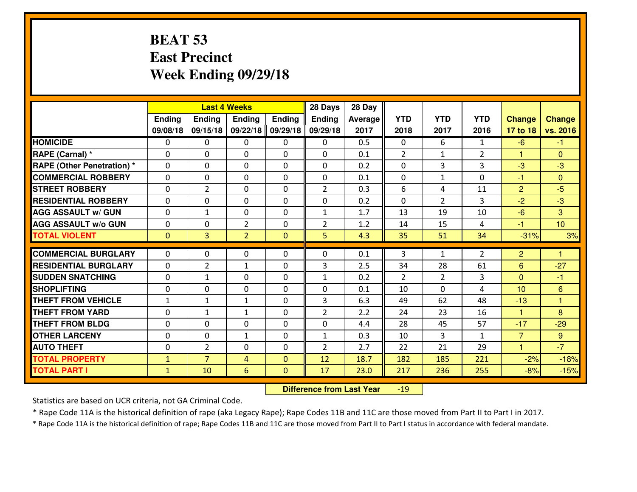# **BEAT 53 East PrecinctWeek Ending 09/29/18**

|                                   | <b>Last 4 Weeks</b> |                |                |               | 28 Days        | 28 Day  |                |                |                |                |               |
|-----------------------------------|---------------------|----------------|----------------|---------------|----------------|---------|----------------|----------------|----------------|----------------|---------------|
|                                   | <b>Ending</b>       | Ending         | <b>Endina</b>  | <b>Ending</b> | <b>Ending</b>  | Average | <b>YTD</b>     | <b>YTD</b>     | <b>YTD</b>     | <b>Change</b>  | <b>Change</b> |
|                                   | 09/08/18            | 09/15/18       | 09/22/18       | 09/29/18      | 09/29/18       | 2017    | 2018           | 2017           | 2016           | 17 to 18       | vs. 2016      |
| <b>HOMICIDE</b>                   | $\Omega$            | 0              | $\mathbf{0}$   | 0             | 0              | 0.5     | $\Omega$       | 6              | $\mathbf{1}$   | $-6$           | -1            |
| RAPE (Carnal) *                   | $\Omega$            | 0              | $\mathbf{0}$   | 0             | $\Omega$       | 0.1     | 2              | $\mathbf{1}$   | $\overline{2}$ | $\mathbf{1}$   | $\Omega$      |
| <b>RAPE (Other Penetration) *</b> | $\Omega$            | 0              | $\mathbf 0$    | $\Omega$      | $\Omega$       | 0.2     | $\mathbf{0}$   | 3              | 3              | -3             | $-3$          |
| <b>COMMERCIAL ROBBERY</b>         | 0                   | 0              | $\mathbf 0$    | 0             | 0              | 0.1     | 0              | $\mathbf{1}$   | 0              | $-1$           | $\mathbf{0}$  |
| <b>STREET ROBBERY</b>             | 0                   | $\overline{2}$ | $\mathbf 0$    | 0             | $\overline{2}$ | 0.3     | 6              | 4              | 11             | $\overline{2}$ | $-5$          |
| <b>RESIDENTIAL ROBBERY</b>        | 0                   | 0              | $\mathbf 0$    | $\Omega$      | 0              | 0.2     | 0              | $\overline{2}$ | 3              | $-2$           | $-3$          |
| <b>AGG ASSAULT W/ GUN</b>         | 0                   | 1              | $\mathbf 0$    | 0             | $\mathbf{1}$   | 1.7     | 13             | 19             | 10             | $-6$           | 3             |
| <b>AGG ASSAULT W/o GUN</b>        | 0                   | 0              | $\overline{2}$ | $\mathbf{0}$  | $\overline{2}$ | 1.2     | 14             | 15             | 4              | $-1$           | 10            |
| <b>TOTAL VIOLENT</b>              | $\mathbf{0}$        | $\overline{3}$ | $\overline{2}$ | $\mathbf{0}$  | 5              | 4.3     | 35             | 51             | 34             | $-31%$         | 3%            |
| <b>COMMERCIAL BURGLARY</b>        | $\Omega$            | $\Omega$       | $\mathbf 0$    | $\Omega$      | 0              | 0.1     | 3              | $\mathbf{1}$   | $\overline{2}$ | $\overline{2}$ | 1             |
| <b>RESIDENTIAL BURGLARY</b>       | 0                   | $\overline{2}$ | $\mathbf{1}$   | 0             | 3              | 2.5     | 34             | 28             | 61             | $6\phantom{1}$ | $-27$         |
| <b>SUDDEN SNATCHING</b>           | 0                   | $\mathbf{1}$   | $\mathbf 0$    | $\Omega$      | $\mathbf{1}$   | 0.2     | $\overline{2}$ | $\overline{2}$ | 3              | $\Omega$       | $-1$          |
| <b>SHOPLIFTING</b>                | 0                   | $\Omega$       | $\mathbf 0$    | $\Omega$      | 0              | 0.1     | 10             | $\Omega$       | 4              | 10             | 6             |
| <b>THEFT FROM VEHICLE</b>         | $\mathbf{1}$        | $\mathbf{1}$   | $\mathbf{1}$   | 0             | 3              | 6.3     | 49             | 62             | 48             | $-13$          | 1             |
| <b>THEFT FROM YARD</b>            | $\mathbf 0$         | $\mathbf{1}$   | $\mathbf{1}$   | 0             | $\overline{2}$ | 2.2     | 24             | 23             | 16             | $\mathbf{1}$   | 8             |
| <b>THEFT FROM BLDG</b>            | 0                   | 0              | $\mathbf 0$    | $\mathbf 0$   | 0              | 4.4     | 28             | 45             | 57             | $-17$          | $-29$         |
| <b>OTHER LARCENY</b>              | 0                   | 0              | $\mathbf{1}$   | $\Omega$      | $\mathbf{1}$   | 0.3     | 10             | 3              | $\mathbf{1}$   | $\overline{7}$ | 9             |
| <b>AUTO THEFT</b>                 | $\mathbf{0}$        | $\overline{2}$ | $\mathbf{0}$   | $\Omega$      | $\overline{2}$ | 2.7     | 22             | 21             | 29             | $\mathbf{1}$   | $-7$          |
| <b>TOTAL PROPERTY</b>             | $\mathbf{1}$        | $\overline{7}$ | $\overline{4}$ | $\Omega$      | 12             | 18.7    | 182            | 185            | 221            | $-2%$          | $-18%$        |
| <b>TOTAL PART I</b>               | $\mathbf{1}$        | 10             | 6              | $\mathbf{0}$  | 17             | 23.0    | 217            | 236            | 255            | $-8%$          | $-15%$        |
|                                   |                     |                |                |               |                |         |                |                |                |                |               |

 **Difference from Last Year**-19

Statistics are based on UCR criteria, not GA Criminal Code.

\* Rape Code 11A is the historical definition of rape (aka Legacy Rape); Rape Codes 11B and 11C are those moved from Part II to Part I in 2017.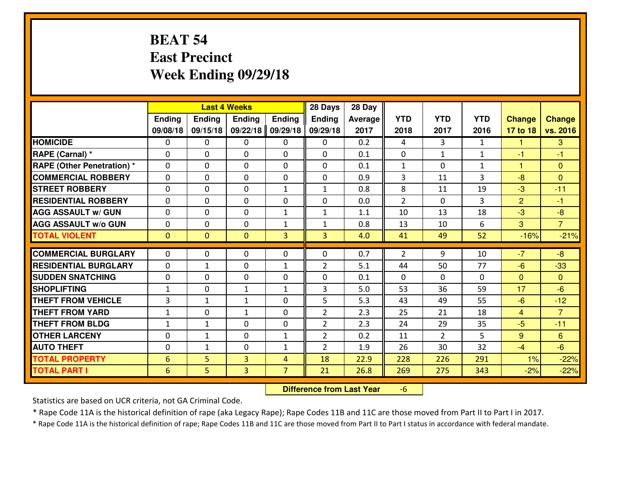# **BEAT 54 East PrecinctWeek Ending 09/29/18**

|                                  | <b>Last 4 Weeks</b> |              |               |                | 28 Days        | 28 Day  |                |                |                |                |                      |
|----------------------------------|---------------------|--------------|---------------|----------------|----------------|---------|----------------|----------------|----------------|----------------|----------------------|
|                                  | Ending              | Ending       | <b>Ending</b> | <b>Ending</b>  | <b>Ending</b>  | Average | <b>YTD</b>     | <b>YTD</b>     | <b>YTD</b>     | <b>Change</b>  | <b>Change</b>        |
|                                  | 09/08/18            | 09/15/18     | 09/22/18      | 09/29/18       | 09/29/18       | 2017    | 2018           | 2017           | 2016           | 17 to 18       | vs. 2016             |
| <b>HOMICIDE</b>                  | $\mathbf{0}$        | 0            | 0             | 0              | 0              | 0.2     | 4              | 3              | $\mathbf{1}$   | 1              | 3                    |
| RAPE (Carnal) *                  | 0                   | 0            | $\mathbf{0}$  | 0              | $\Omega$       | 0.1     | $\mathbf{0}$   | $\mathbf{1}$   | $\mathbf{1}$   | $-1$           | -1                   |
| <b>RAPE (Other Penetration)*</b> | $\Omega$            | 0            | $\mathbf{0}$  | $\Omega$       | $\Omega$       | 0.1     | 1              | 0              | $\mathbf{1}$   | 1              | $\Omega$             |
| <b>COMMERCIAL ROBBERY</b>        | $\mathbf{0}$        | 0            | $\mathbf{0}$  | 0              | $\Omega$       | 0.9     | 3              | 11             | 3              | $-8$           | $\Omega$             |
| <b>STREET ROBBERY</b>            | 0                   | 0            | $\mathbf 0$   | $\mathbf{1}$   | $\mathbf{1}$   | 0.8     | 8              | 11             | 19             | $-3$           | $-11$                |
| <b>RESIDENTIAL ROBBERY</b>       | 0                   | 0            | $\mathbf 0$   | 0              | 0              | 0.0     | $\overline{2}$ | $\Omega$       | 3              | $\overline{2}$ | $-1$                 |
| <b>AGG ASSAULT W/ GUN</b>        | 0                   | 0            | $\mathbf 0$   | $\mathbf{1}$   | $\mathbf{1}$   | 1.1     | 10             | 13             | 18             | $-3$           | $-8$                 |
| <b>AGG ASSAULT W/o GUN</b>       | 0                   | 0            | $\mathbf 0$   | $\mathbf{1}$   | $\mathbf{1}$   | 0.8     | 13             | 10             | 6              | 3              | $\overline{7}$       |
| <b>TOTAL VIOLENT</b>             | $\mathbf{0}$        | $\mathbf{0}$ | $\mathbf{0}$  | 3              | 3              | 4.0     | 41             | 49             | 52             | $-16%$         | $-21%$               |
| <b>COMMERCIAL BURGLARY</b>       | $\Omega$            | 0            | 0             | 0              | $\Omega$       | 0.7     | $\overline{2}$ | 9              | 10             | $-7$           | $-8$                 |
| <b>RESIDENTIAL BURGLARY</b>      |                     |              |               |                |                | 5.1     |                |                | 77             |                |                      |
|                                  | 0                   | 1            | $\mathbf 0$   | $\mathbf{1}$   | $\overline{2}$ |         | 44             | 50             |                | $-6$           | $-33$                |
| <b>SUDDEN SNATCHING</b>          | $\mathbf{0}$        | 0            | $\mathbf{0}$  | 0              | $\Omega$       | 0.1     | $\mathbf{0}$   | $\Omega$       | $\Omega$<br>59 | $\Omega$<br>17 | $\mathbf{0}$<br>$-6$ |
| <b>SHOPLIFTING</b>               | $\mathbf{1}$        | 0            | 1             | $\mathbf{1}$   | 3              | 5.0     | 53             | 36             |                |                |                      |
| <b>THEFT FROM VEHICLE</b>        | 3                   | $\mathbf{1}$ | $\mathbf{1}$  | 0              | 5              | 5.3     | 43             | 49             | 55             | $-6$           | $-12$                |
| <b>THEFT FROM YARD</b>           | $1\,$               | 0            | $\mathbf{1}$  | 0              | $\overline{2}$ | 2.3     | 25             | 21             | 18             | $\overline{4}$ | $\overline{7}$       |
| <b>THEFT FROM BLDG</b>           | $\mathbf{1}$        | $\mathbf{1}$ | $\mathbf 0$   | $\mathbf{0}$   | $\overline{2}$ | 2.3     | 24             | 29             | 35             | $-5$           | $-11$                |
| <b>OTHER LARCENY</b>             | 0                   | 1            | $\mathbf 0$   | $\mathbf{1}$   | $\overline{2}$ | 0.2     | 11             | $\overline{2}$ | 5              | 9              | 6                    |
| <b>AUTO THEFT</b>                | 0                   | $\mathbf{1}$ | $\mathbf 0$   | $\mathbf{1}$   | $\overline{2}$ | 1.9     | 26             | 30             | 32             | $-4$           | $-6$                 |
| <b>TOTAL PROPERTY</b>            | 6                   | 5            | 3             | $\overline{4}$ | 18             | 22.9    | 228            | 226            | 291            | 1%             | $-22%$               |
| <b>TOTAL PART I</b>              | 6                   | 5.           | 3             | $\overline{7}$ | 21             | 26.8    | 269            | 275            | 343            | $-2%$          | $-22%$               |

 **Difference from Last Year**-6

Statistics are based on UCR criteria, not GA Criminal Code.

\* Rape Code 11A is the historical definition of rape (aka Legacy Rape); Rape Codes 11B and 11C are those moved from Part II to Part I in 2017.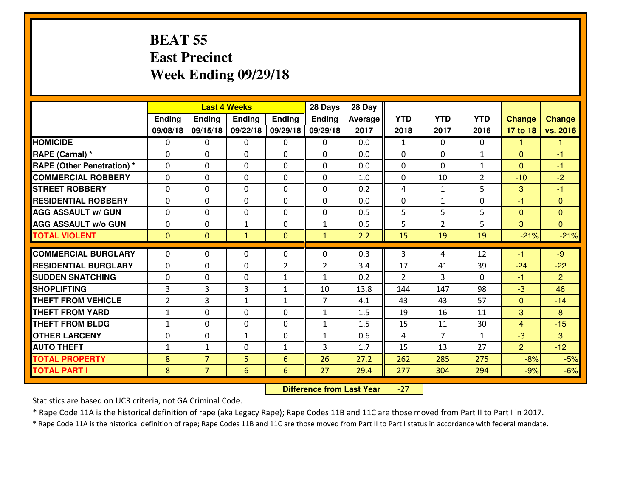### **BEAT 55 East PrecinctWeek Ending 09/29/18**

|                                   | <b>Last 4 Weeks</b> |                |               |                | 28 Days        | 28 Day  |                |                |                |                |                |
|-----------------------------------|---------------------|----------------|---------------|----------------|----------------|---------|----------------|----------------|----------------|----------------|----------------|
|                                   | <b>Ending</b>       | Ending         | <b>Endina</b> | <b>Ending</b>  | <b>Ending</b>  | Average | <b>YTD</b>     | <b>YTD</b>     | <b>YTD</b>     | <b>Change</b>  | <b>Change</b>  |
|                                   | 09/08/18            | 09/15/18       | 09/22/18      | 09/29/18       | 09/29/18       | 2017    | 2018           | 2017           | 2016           | 17 to 18       | vs. 2016       |
| <b>HOMICIDE</b>                   | $\Omega$            | 0              | $\mathbf{0}$  | 0              | 0              | 0.0     | 1              | $\Omega$       | 0              | 1              | -1             |
| RAPE (Carnal) *                   | $\Omega$            | 0              | $\mathbf{0}$  | 0              | $\Omega$       | 0.0     | $\Omega$       | $\Omega$       | $\mathbf{1}$   | $\Omega$       | -1             |
| <b>RAPE (Other Penetration) *</b> | $\Omega$            | 0              | $\mathbf 0$   | $\Omega$       | 0              | 0.0     | $\mathbf{0}$   | $\Omega$       | $\mathbf{1}$   | $\Omega$       | $-1$           |
| <b>COMMERCIAL ROBBERY</b>         | 0                   | 0              | $\mathbf 0$   | 0              | 0              | 1.0     | $\mathbf{0}$   | 10             | $\overline{2}$ | $-10$          | $-2$           |
| <b>STREET ROBBERY</b>             | 0                   | 0              | $\mathbf 0$   | 0              | 0              | 0.2     | 4              | $\mathbf{1}$   | 5              | 3              | $-1$           |
| <b>RESIDENTIAL ROBBERY</b>        | 0                   | 0              | $\mathbf 0$   | $\Omega$       | 0              | 0.0     | 0              | $\mathbf{1}$   | 0              | $-1$           | $\mathbf{0}$   |
| <b>AGG ASSAULT W/ GUN</b>         | 0                   | 0              | $\mathbf 0$   | 0              | 0              | 0.5     | 5              | 5              | 5              | $\mathbf{0}$   | $\overline{0}$ |
| <b>AGG ASSAULT W/o GUN</b>        | 0                   | 0              | 1             | $\mathbf{0}$   | $\mathbf{1}$   | 0.5     | 5              | $\overline{2}$ | 5              | 3              | $\overline{0}$ |
| <b>TOTAL VIOLENT</b>              | $\mathbf{0}$        | $\overline{0}$ | $\mathbf{1}$  | $\mathbf{0}$   | $\mathbf{1}$   | 2.2     | 15             | 19             | 19             | $-21%$         | $-21%$         |
| <b>COMMERCIAL BURGLARY</b>        | $\Omega$            | $\Omega$       | 0             | $\Omega$       | 0              | 0.3     | 3              | 4              | 12             | -1             | $-9$           |
| <b>RESIDENTIAL BURGLARY</b>       | 0                   | 0              | $\mathbf 0$   | $\overline{2}$ | $\overline{2}$ | 3.4     | 17             | 41             | 39             | $-24$          | $-22$          |
| <b>SUDDEN SNATCHING</b>           | 0                   | 0              | $\mathbf 0$   | $\mathbf{1}$   | $\mathbf{1}$   | 0.2     | 2              | 3              | 0              | $-1$           | $\overline{2}$ |
| <b>SHOPLIFTING</b>                | 3                   | 3              | 3             | $\mathbf{1}$   | 10             | 13.8    | 144            | 147            | 98             | $-3$           | 46             |
| <b>THEFT FROM VEHICLE</b>         | $\overline{2}$      | 3              | $\mathbf{1}$  | $\mathbf{1}$   | $\overline{7}$ | 4.1     | 43             | 43             | 57             | $\overline{0}$ | $-14$          |
| <b>THEFT FROM YARD</b>            | $1\,$               | 0              | $\mathbf 0$   | 0              | $\mathbf{1}$   | 1.5     | 19             | 16             | 11             | 3              | 8              |
| <b>THEFT FROM BLDG</b>            | $\mathbf{1}$        | 0              | $\mathbf 0$   | $\mathbf 0$    | $\mathbf{1}$   | 1.5     | 15             | 11             | 30             | $\overline{4}$ | $-15$          |
| <b>OTHER LARCENY</b>              | 0                   | 0              | $\mathbf{1}$  | $\Omega$       | $\mathbf{1}$   | 0.6     | $\overline{4}$ | 7              | $\mathbf{1}$   | -3             | 3              |
| <b>AUTO THEFT</b>                 | $\mathbf{1}$        | $\mathbf{1}$   | $\mathbf{0}$  | $\mathbf{1}$   | 3              | 1.7     | 15             | 13             | 27             | $\overline{2}$ | $-12$          |
| <b>TOTAL PROPERTY</b>             | 8                   | $\overline{7}$ | 5             | 6              | 26             | 27.2    | 262            | 285            | 275            | $-8%$          | $-5%$          |
| <b>TOTAL PART I</b>               | 8                   | $\overline{7}$ | 6             | 6              | 27             | 29.4    | 277            | 304            | 294            | $-9%$          | $-6%$          |
|                                   |                     |                |               |                |                |         |                |                |                |                |                |

 **Difference from Last Year**-27

Statistics are based on UCR criteria, not GA Criminal Code.

\* Rape Code 11A is the historical definition of rape (aka Legacy Rape); Rape Codes 11B and 11C are those moved from Part II to Part I in 2017.